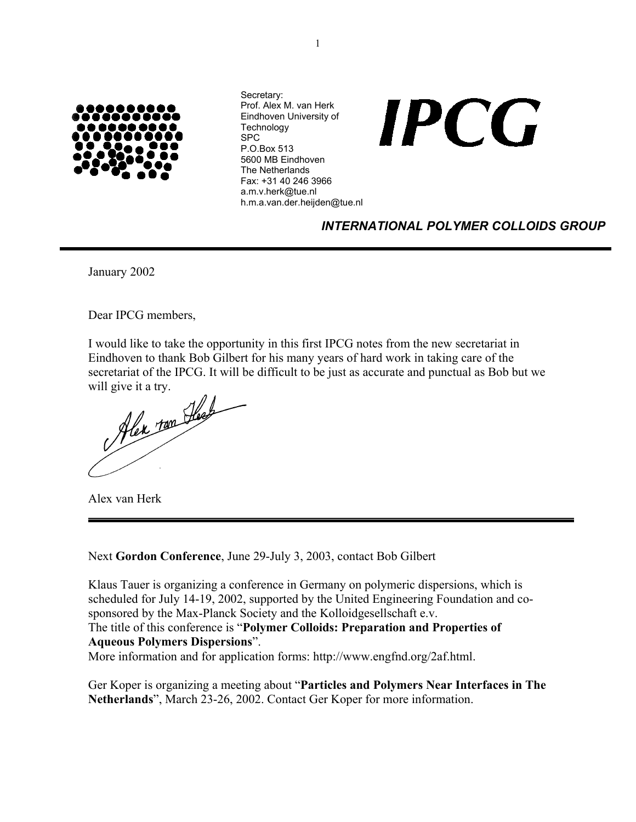

Secretary: Prof. Alex M. van Herk Eindhoven University of Technology SPC P.O.Box 513 5600 MB Eindhoven The Netherlands Fax: +31 40 246 3966 a.m.v.herk@tue.nl h.m.a.van.der.heijden@tue.nl

# **IPCG**

 *INTERNATIONAL POLYMER COLLOIDS GROUP*

January 2002

Dear IPCG members,

I would like to take the opportunity in this first IPCG notes from the new secretariat in Eindhoven to thank Bob Gilbert for his many years of hard work in taking care of the secretariat of the IPCG. It will be difficult to be just as accurate and punctual as Bob but we

will give it a try.

Alex van Herk

Next **Gordon Conference**, June 29-July 3, 2003, contact Bob Gilbert

Klaus Tauer is organizing a conference in Germany on polymeric dispersions, which is scheduled for July 14-19, 2002, supported by the United Engineering Foundation and cosponsored by the Max-Planck Society and the Kolloidgesellschaft e.v. The title of this conference is "**Polymer Colloids: Preparation and Properties of Aqueous Polymers Dispersions**".

More information and for application forms: http://www.engfnd.org/2af.html.

Ger Koper is organizing a meeting about "**Particles and Polymers Near Interfaces in The Netherlands**", March 23-26, 2002. Contact Ger Koper for more information.

1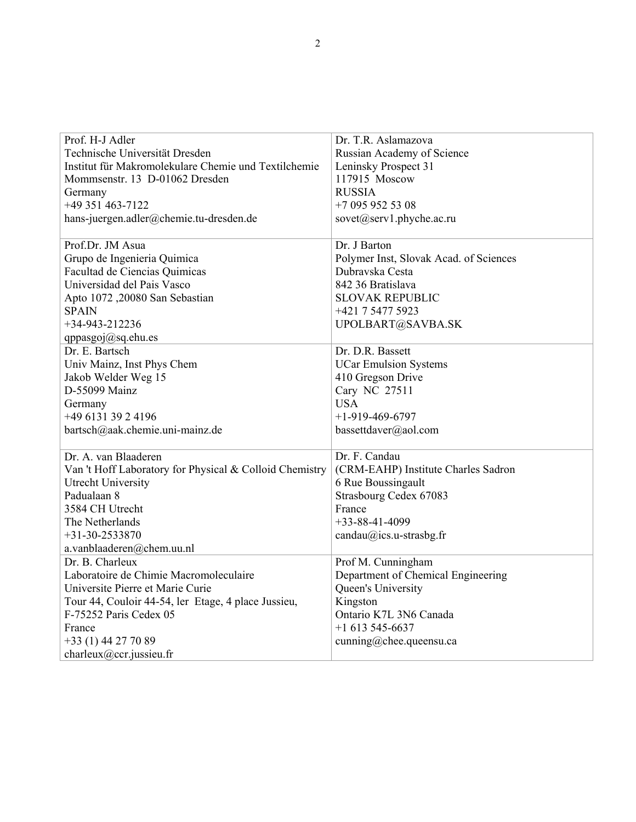| Prof. H-J Adler                                         | Dr. T.R. Aslamazova                    |
|---------------------------------------------------------|----------------------------------------|
| Technische Universität Dresden                          | Russian Academy of Science             |
| Institut für Makromolekulare Chemie und Textilchemie    | Leninsky Prospect 31                   |
| Mommsenstr. 13 D-01062 Dresden                          | 117915 Moscow                          |
| Germany                                                 | <b>RUSSIA</b>                          |
| +49 351 463-7122                                        | +7 095 952 53 08                       |
| hans-juergen.adler@chemie.tu-dresden.de                 | sovet@serv1.phyche.ac.ru               |
|                                                         |                                        |
| Prof.Dr. JM Asua                                        | Dr. J Barton                           |
| Grupo de Ingenieria Quimica                             | Polymer Inst, Slovak Acad. of Sciences |
| Facultad de Ciencias Quimicas                           | Dubravska Cesta                        |
| Universidad del Pais Vasco                              | 842 36 Bratislava                      |
| Apto 1072 ,20080 San Sebastian                          | <b>SLOVAK REPUBLIC</b>                 |
| <b>SPAIN</b>                                            | +421 7 5477 5923                       |
| $+34-943-212236$                                        | UPOLBART@SAVBA.SK                      |
| qppasgoj@sq.ehu.es                                      |                                        |
| Dr. E. Bartsch                                          | Dr. D.R. Bassett                       |
| Univ Mainz, Inst Phys Chem                              | <b>UCar Emulsion Systems</b>           |
| Jakob Welder Weg 15                                     | 410 Gregson Drive                      |
| D-55099 Mainz                                           | Cary NC 27511                          |
| Germany                                                 | <b>USA</b>                             |
| +49 6131 39 2 4196                                      | $+1-919-469-6797$                      |
| bartsch@aak.chemie.uni-mainz.de                         | bassettdaver@aol.com                   |
|                                                         |                                        |
| Dr. A. van Blaaderen                                    | Dr. F. Candau                          |
| Van 't Hoff Laboratory for Physical & Colloid Chemistry | (CRM-EAHP) Institute Charles Sadron    |
| Utrecht University                                      | 6 Rue Boussingault                     |
| Padualaan 8                                             | Strasbourg Cedex 67083                 |
| 3584 CH Utrecht                                         | France                                 |
| The Netherlands                                         | $+33 - 88 - 41 - 4099$                 |
| $+31-30-2533870$                                        | candau@ics.u-strasbg.fr                |
| a.vanblaaderen@chem.uu.nl                               |                                        |
| Dr. B. Charleux                                         | Prof M. Cunningham                     |
| Laboratoire de Chimie Macromoleculaire                  | Department of Chemical Engineering     |
| Universite Pierre et Marie Curie                        | Queen's University                     |
| Tour 44, Couloir 44-54, ler Etage, 4 place Jussieu,     | Kingston                               |
| F-75252 Paris Cedex 05                                  | Ontario K7L 3N6 Canada                 |
| France                                                  | $+1613545-6637$                        |
| $+33(1)$ 44 27 70 89                                    | cunning@chee.queensu.ca                |
| charleux@ccr.jussieu.fr                                 |                                        |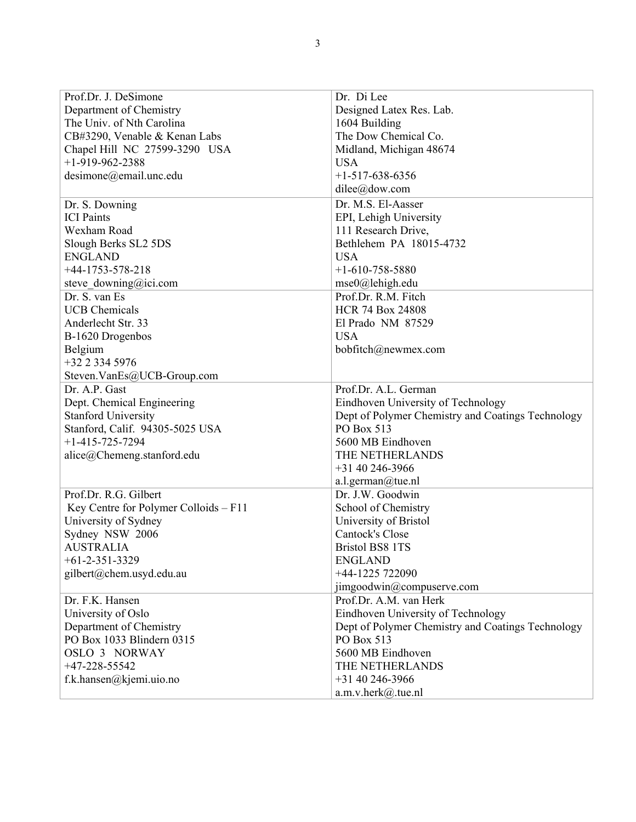| Prof.Dr. J. DeSimone                  | Dr. Di Lee                                        |
|---------------------------------------|---------------------------------------------------|
| Department of Chemistry               | Designed Latex Res. Lab.                          |
| The Univ. of Nth Carolina             | 1604 Building                                     |
| CB#3290, Venable & Kenan Labs         | The Dow Chemical Co.                              |
| Chapel Hill NC 27599-3290 USA         | Midland, Michigan 48674                           |
| $+1-919-962-2388$                     | <b>USA</b>                                        |
| desimone@email.unc.edu                | $+1-517-638-6356$                                 |
|                                       | dilee@dow.com                                     |
|                                       | Dr. M.S. El-Aasser                                |
| Dr. S. Downing                        |                                                   |
| <b>ICI</b> Paints                     | EPI, Lehigh University                            |
| Wexham Road                           | 111 Research Drive,                               |
| Slough Berks SL2 5DS                  | Bethlehem PA 18015-4732                           |
| <b>ENGLAND</b>                        | <b>USA</b>                                        |
| $+44-1753-578-218$                    | $+1 - 610 - 758 - 5880$                           |
| steve_downing@ici.com                 | $mse0$ @lehigh.edu                                |
| Dr. S. van Es                         | Prof.Dr. R.M. Fitch                               |
| <b>UCB</b> Chemicals                  | <b>HCR 74 Box 24808</b>                           |
| Anderlecht Str. 33                    | El Prado NM 87529                                 |
| B-1620 Drogenbos                      | <b>USA</b>                                        |
| Belgium                               | bobfitch@newmex.com                               |
| +32 2 334 5976                        |                                                   |
| Steven.VanEs@UCB-Group.com            |                                                   |
| Dr. A.P. Gast                         | Prof.Dr. A.L. German                              |
| Dept. Chemical Engineering            | Eindhoven University of Technology                |
| <b>Stanford University</b>            | Dept of Polymer Chemistry and Coatings Technology |
| Stanford, Calif. 94305-5025 USA       | PO Box 513                                        |
| $+1 - 415 - 725 - 7294$               | 5600 MB Eindhoven                                 |
| alice@Chemeng.stanford.edu            | THE NETHERLANDS                                   |
|                                       | $+3140246-3966$                                   |
|                                       | a.l.german@tue.nl                                 |
| Prof.Dr. R.G. Gilbert                 | Dr. J.W. Goodwin                                  |
| Key Centre for Polymer Colloids - F11 | School of Chemistry                               |
| University of Sydney                  | University of Bristol                             |
| Sydney NSW 2006                       | Cantock's Close                                   |
| <b>AUSTRALIA</b>                      | <b>Bristol BS8 1TS</b>                            |
| $+61 - 2 - 351 - 3329$                | <b>ENGLAND</b>                                    |
| gilbert@chem.usyd.edu.au              | +44-1225 722090                                   |
|                                       | jimgoodwin@compuserve.com                         |
|                                       |                                                   |
| Dr. F.K. Hansen                       | Prof.Dr. A.M. van Herk                            |
| University of Oslo                    | Eindhoven University of Technology                |
| Department of Chemistry               | Dept of Polymer Chemistry and Coatings Technology |
| PO Box 1033 Blindern 0315             | PO Box 513                                        |
| OSLO 3 NORWAY                         | 5600 MB Eindhoven                                 |
| $+47-228-55542$                       | THE NETHERLANDS                                   |
| f.k.hansen@kjemi.uio.no               | $+3140246-3966$                                   |
|                                       | $a.m.v.$ herk $(a)$ .tue.nl                       |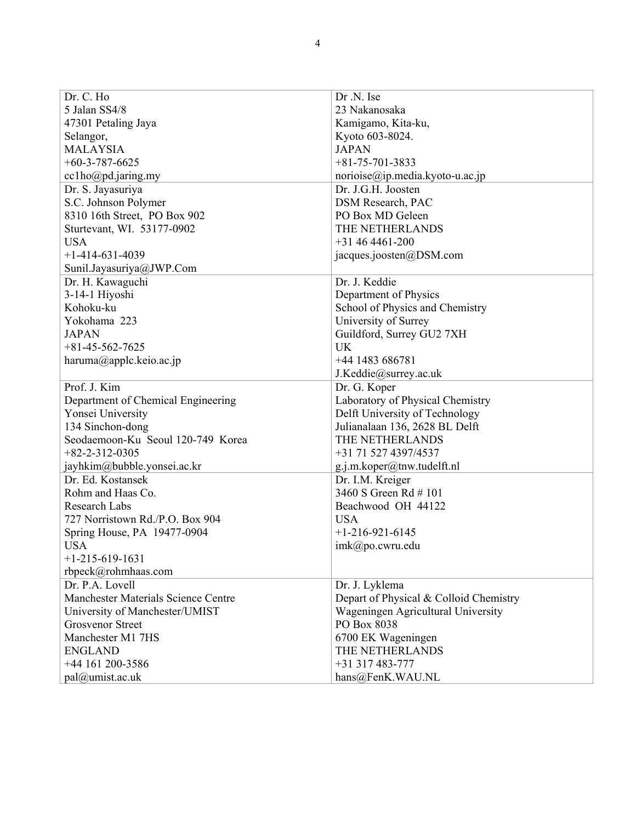| Dr. C. Ho                                  | Dr.N. Ise                              |
|--------------------------------------------|----------------------------------------|
| 5 Jalan SS4/8                              | 23 Nakanosaka                          |
| 47301 Petaling Jaya                        | Kamigamo, Kita-ku,                     |
| Selangor,                                  | Kyoto 603-8024.                        |
| <b>MALAYSIA</b>                            | <b>JAPAN</b>                           |
| $+60-3-787-6625$                           | $+81 - 75 - 701 - 3833$                |
| $cc1$ ho $@pd.jaring$ .my                  | norioise@ip.media.kyoto-u.ac.jp        |
| Dr. S. Jayasuriya                          | Dr. J.G.H. Joosten                     |
| S.C. Johnson Polymer                       | <b>DSM Research, PAC</b>               |
| 8310 16th Street, PO Box 902               | PO Box MD Geleen                       |
| Sturtevant, WI. 53177-0902                 | THE NETHERLANDS                        |
| <b>USA</b>                                 | $+31464461-200$                        |
| $+1 - 414 - 631 - 4039$                    | jacques.joosten@DSM.com                |
| Sunil.Jayasuriya@JWP.Com                   |                                        |
| Dr. H. Kawaguchi                           | Dr. J. Keddie                          |
| 3-14-1 Hiyoshi                             | Department of Physics                  |
| Kohoku-ku                                  | School of Physics and Chemistry        |
| Yokohama 223                               | University of Surrey                   |
| <b>JAPAN</b>                               | Guildford, Surrey GU2 7XH              |
| $+81 - 45 - 562 - 7625$                    | <b>UK</b>                              |
| haruma@applc.keio.ac.jp                    | +44 1483 686781                        |
|                                            | J.Keddie@surrey.ac.uk                  |
| Prof. J. Kim                               | Dr. G. Koper                           |
| Department of Chemical Engineering         | Laboratory of Physical Chemistry       |
| Yonsei University                          | Delft University of Technology         |
| 134 Sinchon-dong                           | Julianalaan 136, 2628 BL Delft         |
| Seodaemoon-Ku Seoul 120-749 Korea          | THE NETHERLANDS                        |
| $+82 - 2 - 312 - 0305$                     | +31 71 527 4397/4537                   |
| jayhkim@bubble.yonsei.ac.kr                | g.j.m.koper@tnw.tudelft.nl             |
| Dr. Ed. Kostansek                          | Dr. I.M. Kreiger                       |
| Rohm and Haas Co.                          | 3460 S Green Rd #101                   |
| <b>Research Labs</b>                       | Beachwood OH 44122                     |
| 727 Norristown Rd./P.O. Box 904            | <b>USA</b>                             |
| Spring House, PA 19477-0904                | $+1-216-921-6145$                      |
| <b>USA</b>                                 | imk@po.cwru.edu                        |
| $+1-215-619-1631$                          |                                        |
| rbpeck@rohmhaas.com                        |                                        |
| Dr. P.A. Lovell                            | Dr. J. Lyklema                         |
| <b>Manchester Materials Science Centre</b> | Depart of Physical & Colloid Chemistry |
| University of Manchester/UMIST             | Wageningen Agricultural University     |
| <b>Grosvenor Street</b>                    | PO Box 8038                            |
| Manchester M1 7HS                          | 6700 EK Wageningen                     |
| <b>ENGLAND</b>                             | THE NETHERLANDS                        |
| +44 161 200-3586                           | +31 317 483-777                        |
| pal@umist.ac.uk                            | hans@FenK.WAU.NL                       |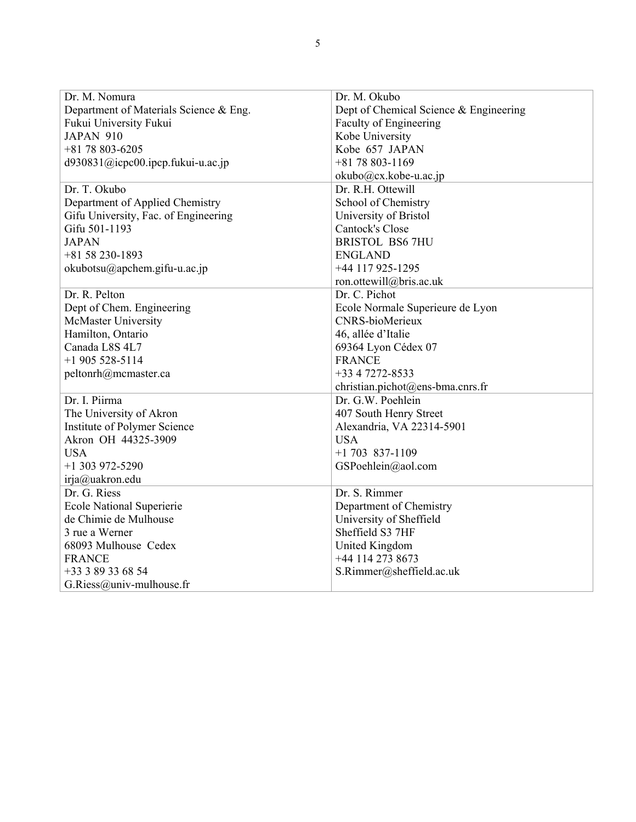| Dr. M. Nomura                          | Dr. M. Okubo                           |
|----------------------------------------|----------------------------------------|
| Department of Materials Science & Eng. | Dept of Chemical Science & Engineering |
| Fukui University Fukui                 | Faculty of Engineering                 |
| <b>JAPAN 910</b>                       | Kobe University                        |
| +81 78 803-6205                        | Kobe 657 JAPAN                         |
| d930831@icpc00.ipcp.fukui-u.ac.jp      | $+8178803-1169$                        |
|                                        | okubo@cx.kobe-u.ac.jp                  |
| Dr. T. Okubo                           | Dr. R.H. Ottewill                      |
| Department of Applied Chemistry        | School of Chemistry                    |
| Gifu University, Fac. of Engineering   | University of Bristol                  |
| Gifu 501-1193                          | <b>Cantock's Close</b>                 |
| <b>JAPAN</b>                           | <b>BRISTOL BS6 7HU</b>                 |
| +81 58 230-1893                        | <b>ENGLAND</b>                         |
| okubotsu@apchem.gifu-u.ac.jp           | +44 117 925-1295                       |
|                                        | ron.ottewill@bris.ac.uk                |
| Dr. R. Pelton                          | Dr. C. Pichot                          |
| Dept of Chem. Engineering              | Ecole Normale Superieure de Lyon       |
| McMaster University                    | <b>CNRS-bioMerieux</b>                 |
| Hamilton, Ontario                      | 46, allée d'Italie                     |
| Canada L8S 4L7                         | 69364 Lyon Cédex 07                    |
| $+1905528 - 5114$                      | <b>FRANCE</b>                          |
| peltonrh@mcmaster.ca                   | +33 4 7272-8533                        |
|                                        | christian.pichot@ens-bma.cnrs.fr       |
| Dr. I. Piirma                          | Dr. G.W. Poehlein                      |
| The University of Akron                | 407 South Henry Street                 |
| <b>Institute of Polymer Science</b>    | Alexandria, VA 22314-5901              |
| Akron OH 44325-3909                    | <b>USA</b>                             |
| <b>USA</b>                             | $+1$ 703 837-1109                      |
| $+1303972 - 5290$                      | GSPoehlein@aol.com                     |
| irja@uakron.edu                        |                                        |
| Dr. G. Riess                           | Dr. S. Rimmer                          |
| <b>Ecole National Superierie</b>       | Department of Chemistry                |
| de Chimie de Mulhouse                  | University of Sheffield                |
| 3 rue a Werner                         | Sheffield S3 7HF                       |
| 68093 Mulhouse Cedex                   | United Kingdom                         |
| <b>FRANCE</b>                          | +44 114 273 8673                       |
| +33 3 89 33 68 54                      | S.Rimmer@sheffield.ac.uk               |
| G.Riess@univ-mulhouse.fr               |                                        |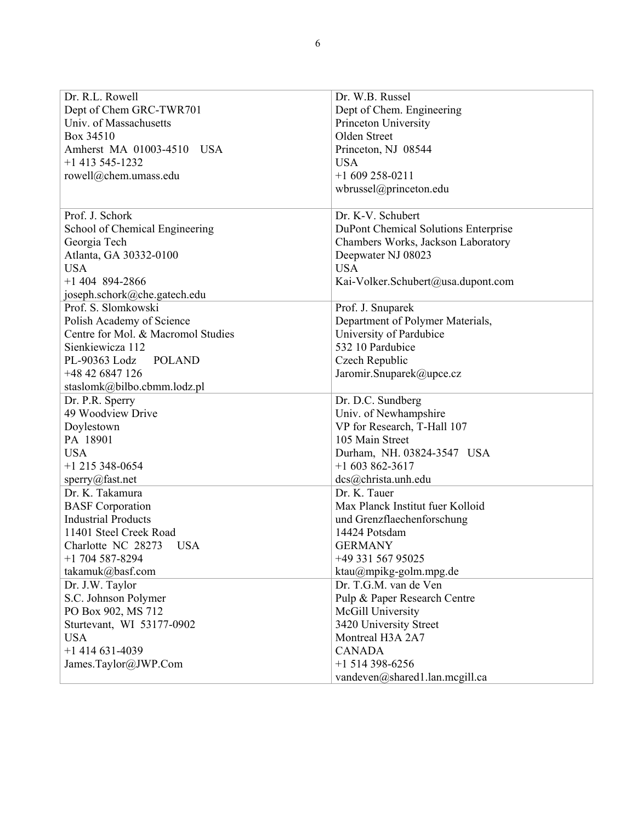| Dr. R.L. Rowell                    | Dr. W.B. Russel                      |
|------------------------------------|--------------------------------------|
| Dept of Chem GRC-TWR701            | Dept of Chem. Engineering            |
| Univ. of Massachusetts             | Princeton University                 |
| Box 34510                          | Olden Street                         |
| Amherst MA 01003-4510 USA          | Princeton, NJ 08544                  |
| $+1$ 413 545-1232                  | <b>USA</b>                           |
| rowell@chem.umass.edu              | $+1609258-0211$                      |
|                                    | wbrussel@princeton.edu               |
|                                    |                                      |
| Prof. J. Schork                    | Dr. K-V. Schubert                    |
| School of Chemical Engineering     | DuPont Chemical Solutions Enterprise |
| Georgia Tech                       | Chambers Works, Jackson Laboratory   |
| Atlanta, GA 30332-0100             | Deepwater NJ 08023                   |
| <b>USA</b>                         | <b>USA</b>                           |
| $+1404894-2866$                    | Kai-Volker.Schubert@usa.dupont.com   |
| joseph.schork@che.gatech.edu       |                                      |
| Prof. S. Slomkowski                | Prof. J. Snuparek                    |
| Polish Academy of Science          | Department of Polymer Materials,     |
| Centre for Mol. & Macromol Studies | University of Pardubice              |
| Sienkiewicza 112                   | 532 10 Pardubice                     |
| PL-90363 Lodz<br><b>POLAND</b>     | Czech Republic                       |
| +48 42 6847 126                    | Jaromir.Snuparek@upce.cz             |
| staslomk@bilbo.cbmm.lodz.pl        |                                      |
| Dr. P.R. Sperry                    | Dr. D.C. Sundberg                    |
| 49 Woodview Drive                  | Univ. of Newhampshire                |
| Doylestown                         | VP for Research, T-Hall 107          |
| PA 18901                           | 105 Main Street                      |
| <b>USA</b>                         | Durham, NH. 03824-3547 USA           |
| $+1$ 215 348-0654                  | $+1603862 - 3617$                    |
| sperry@fast.net                    | $dcs@christa.$ unh.edu               |
| Dr. K. Takamura                    | Dr. K. Tauer                         |
| <b>BASF</b> Corporation            | Max Planck Institut fuer Kolloid     |
| <b>Industrial Products</b>         | und Grenzflaechenforschung           |
| 11401 Steel Creek Road             | 14424 Potsdam                        |
| Charlotte NC 28273<br><b>USA</b>   | <b>GERMANY</b>                       |
| $+1$ 704 587-8294                  | +49 331 567 95025                    |
| takamuk@basf.com                   | ktau@mpikg-golm.mpg.de               |
| Dr. J.W. Taylor                    | Dr. T.G.M. van de Ven                |
| S.C. Johnson Polymer               | Pulp & Paper Research Centre         |
| PO Box 902, MS 712                 | McGill University                    |
| Sturtevant, WI 53177-0902          | 3420 University Street               |
| <b>USA</b>                         | Montreal H3A 2A7                     |
| $+1$ 414 631-4039                  | <b>CANADA</b>                        |
| James.Taylor@JWP.Com               | $+1514398-6256$                      |
|                                    | vandeven@shared1.lan.mcgill.ca       |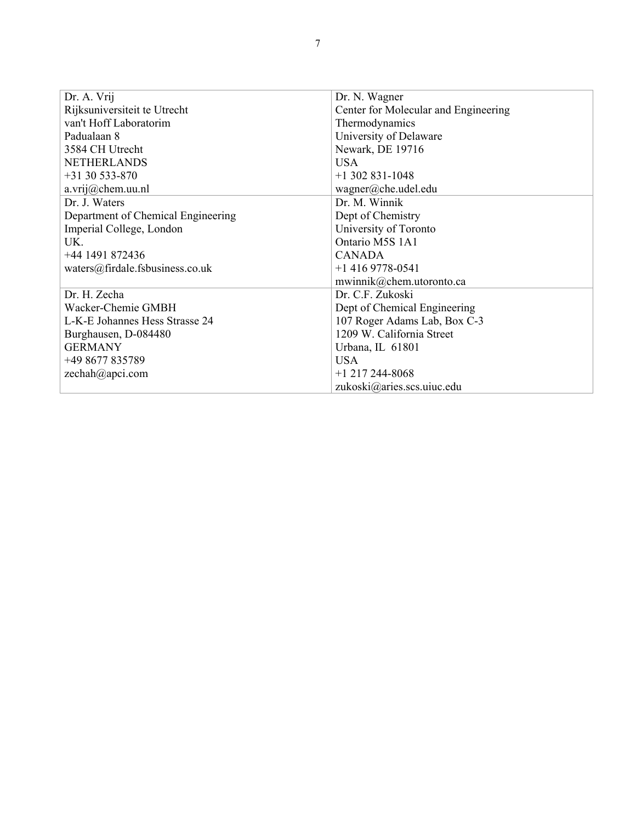| Dr. A. Vrij                        | Dr. N. Wagner                        |
|------------------------------------|--------------------------------------|
| Rijksuniversiteit te Utrecht       | Center for Molecular and Engineering |
| van't Hoff Laboratorim             | Thermodynamics                       |
| Padualaan 8                        | University of Delaware               |
| 3584 CH Utrecht                    | Newark, DE 19716                     |
| <b>NETHERLANDS</b>                 | <b>USA</b>                           |
| $+3130533-870$                     | $+1$ 302 831-1048                    |
| a.vrij@chem.uu.nl                  | wagner@che.udel.edu                  |
| Dr. J. Waters                      | Dr. M. Winnik                        |
| Department of Chemical Engineering | Dept of Chemistry                    |
| Imperial College, London           | University of Toronto                |
| UK.                                | Ontario M5S 1A1                      |
| +44 1491 872436                    | <b>CANADA</b>                        |
| waters@firdale.fsbusiness.co.uk    | $+1$ 416 9778-0541                   |
|                                    | mwinnik@chem.utoronto.ca             |
| Dr H Zecha                         | Dr. C.F. Zukoski                     |
| Wacker-Chemie GMBH                 | Dept of Chemical Engineering         |
| L-K-E Johannes Hess Strasse 24     | 107 Roger Adams Lab, Box C-3         |
| Burghausen, D-084480               | 1209 W. California Street            |
| <b>GERMANY</b>                     | Urbana, IL 61801                     |
| +49 8677 835789                    | <b>USA</b>                           |
| zechah@apci.com                    | $+1$ 217 244-8068                    |
|                                    | zukoski@aries.scs.uiuc.edu           |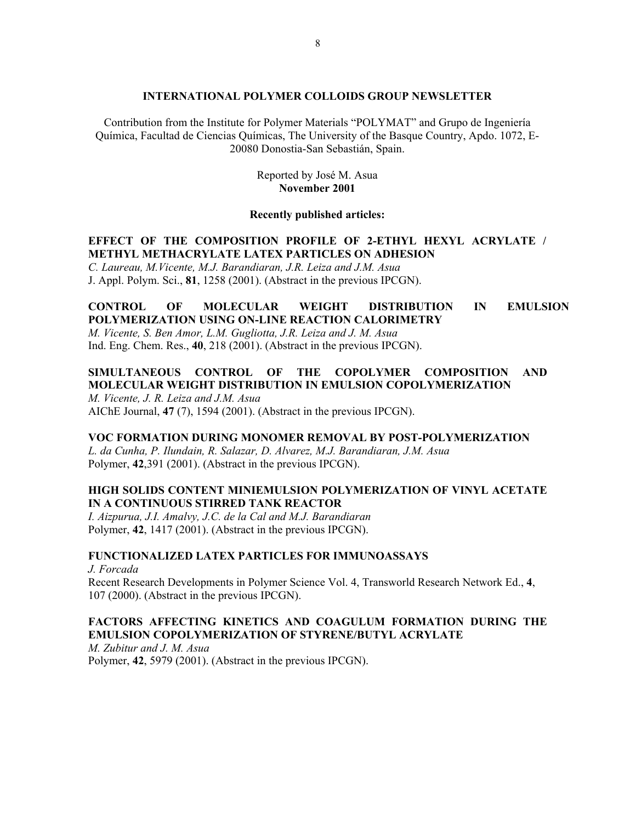# **INTERNATIONAL POLYMER COLLOIDS GROUP NEWSLETTER**

Contribution from the Institute for Polymer Materials "POLYMAT" and Grupo de Ingeniería Química, Facultad de Ciencias Químicas, The University of the Basque Country, Apdo. 1072, E-20080 Donostia-San Sebastián, Spain.

> Reported by José M. Asua **November 2001**

#### **Recently published articles:**

# **EFFECT OF THE COMPOSITION PROFILE OF 2-ETHYL HEXYL ACRYLATE / METHYL METHACRYLATE LATEX PARTICLES ON ADHESION**  *C. Laureau, M.Vicente, M.J. Barandiaran, J.R. Leiza and J.M. Asua*

J. Appl. Polym. Sci., **81**, 1258 (2001). (Abstract in the previous IPCGN).

# **CONTROL OF MOLECULAR WEIGHT DISTRIBUTION IN EMULSION POLYMERIZATION USING ON-LINE REACTION CALORIMETRY** *M. Vicente, S. Ben Amor, L.M. Gugliotta, J.R. Leiza and J. M. Asua*

Ind. Eng. Chem. Res., **40**, 218 (2001). (Abstract in the previous IPCGN).

# **SIMULTANEOUS CONTROL OF THE COPOLYMER COMPOSITION AND MOLECULAR WEIGHT DISTRIBUTION IN EMULSION COPOLYMERIZATION**  *M. Vicente, J. R. Leiza and J.M. Asua*

AIChE Journal, **47** (7), 1594 (2001). (Abstract in the previous IPCGN).

## **VOC FORMATION DURING MONOMER REMOVAL BY POST-POLYMERIZATION**

*L. da Cunha, P. Ilundain, R. Salazar, D. Alvarez, M.J. Barandiaran, J.M. Asua* Polymer, **42**,391 (2001). (Abstract in the previous IPCGN).

# **HIGH SOLIDS CONTENT MINIEMULSION POLYMERIZATION OF VINYL ACETATE IN A CONTINUOUS STIRRED TANK REACTOR**

*I. Aizpurua, J.I. Amalvy, J.C. de la Cal and M.J. Barandiaran* Polymer, **42**, 1417 (2001). (Abstract in the previous IPCGN).

# **FUNCTIONALIZED LATEX PARTICLES FOR IMMUNOASSAYS**

*J. Forcada*  Recent Research Developments in Polymer Science Vol. 4, Transworld Research Network Ed., **4**, 107 (2000). (Abstract in the previous IPCGN).

# **FACTORS AFFECTING KINETICS AND COAGULUM FORMATION DURING THE EMULSION COPOLYMERIZATION OF STYRENE/BUTYL ACRYLATE**

*M. Zubitur and J. M. Asua* Polymer, **42**, 5979 (2001). (Abstract in the previous IPCGN).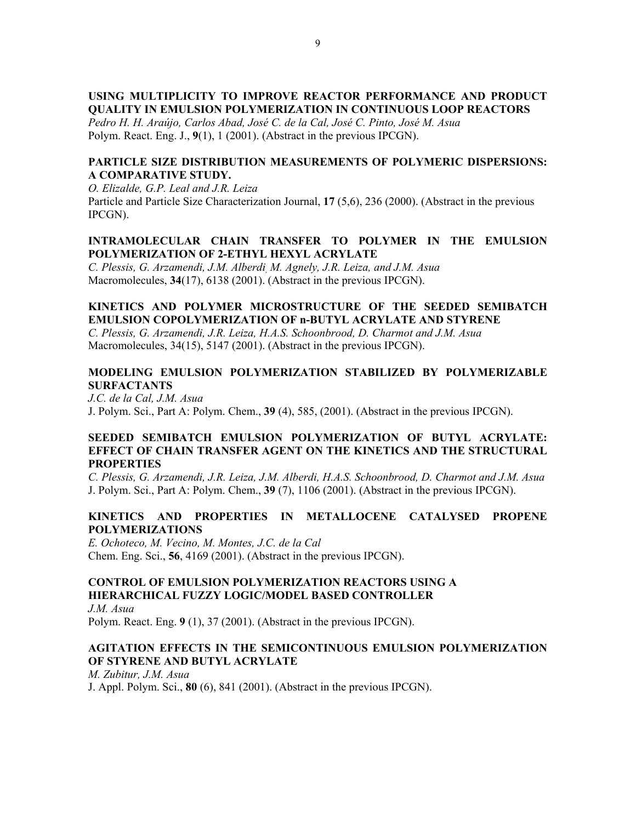# **USING MULTIPLICITY TO IMPROVE REACTOR PERFORMANCE AND PRODUCT QUALITY IN EMULSION POLYMERIZATION IN CONTINUOUS LOOP REACTORS**

*Pedro H. H. Araújo, Carlos Abad, José C. de la Cal, José C. Pinto, José M. Asua* Polym. React. Eng. J., **9**(1), 1 (2001). (Abstract in the previous IPCGN).

# **PARTICLE SIZE DISTRIBUTION MEASUREMENTS OF POLYMERIC DISPERSIONS: A COMPARATIVE STUDY.**

*O. Elizalde, G.P. Leal and J.R. Leiza* Particle and Particle Size Characterization Journal, **17** (5,6), 236 (2000). (Abstract in the previous IPCGN).

# **INTRAMOLECULAR CHAIN TRANSFER TO POLYMER IN THE EMULSION POLYMERIZATION OF 2-ETHYL HEXYL ACRYLATE**

*C. Plessis, G. Arzamendi, J.M. Alberdi, M. Agnely, J.R. Leiza, and J.M. Asua* Macromolecules, **34**(17), 6138 (2001). (Abstract in the previous IPCGN).

# **KINETICS AND POLYMER MICROSTRUCTURE OF THE SEEDED SEMIBATCH EMULSION COPOLYMERIZATION OF n-BUTYL ACRYLATE AND STYRENE**

*C. Plessis, G. Arzamendi, J.R. Leiza, H.A.S. Schoonbrood, D. Charmot and J.M. Asua* Macromolecules, 34(15), 5147 (2001). (Abstract in the previous IPCGN).

# **MODELING EMULSION POLYMERIZATION STABILIZED BY POLYMERIZABLE SURFACTANTS**

*J.C. de la Cal, J.M. Asua*  J. Polym. Sci., Part A: Polym. Chem., **39** (4), 585, (2001). (Abstract in the previous IPCGN).

# **SEEDED SEMIBATCH EMULSION POLYMERIZATION OF BUTYL ACRYLATE: EFFECT OF CHAIN TRANSFER AGENT ON THE KINETICS AND THE STRUCTURAL PROPERTIES**

*C. Plessis, G. Arzamendi, J.R. Leiza, J.M. Alberdi, H.A.S. Schoonbrood, D. Charmot and J.M. Asua*  J. Polym. Sci., Part A: Polym. Chem., **39** (7), 1106 (2001). (Abstract in the previous IPCGN).

# **KINETICS AND PROPERTIES IN METALLOCENE CATALYSED PROPENE POLYMERIZATIONS**

*E. Ochoteco, M. Vecino, M. Montes, J.C. de la Cal* Chem. Eng. Sci., **56**, 4169 (2001). (Abstract in the previous IPCGN).

#### **CONTROL OF EMULSION POLYMERIZATION REACTORS USING A HIERARCHICAL FUZZY LOGIC/MODEL BASED CONTROLLER**

*J.M. Asua*  Polym. React. Eng. **9** (1), 37 (2001). (Abstract in the previous IPCGN).

# **AGITATION EFFECTS IN THE SEMICONTINUOUS EMULSION POLYMERIZATION OF STYRENE AND BUTYL ACRYLATE**

*M. Zubitur, J.M. Asua*  J. Appl. Polym. Sci., **80** (6), 841 (2001). (Abstract in the previous IPCGN).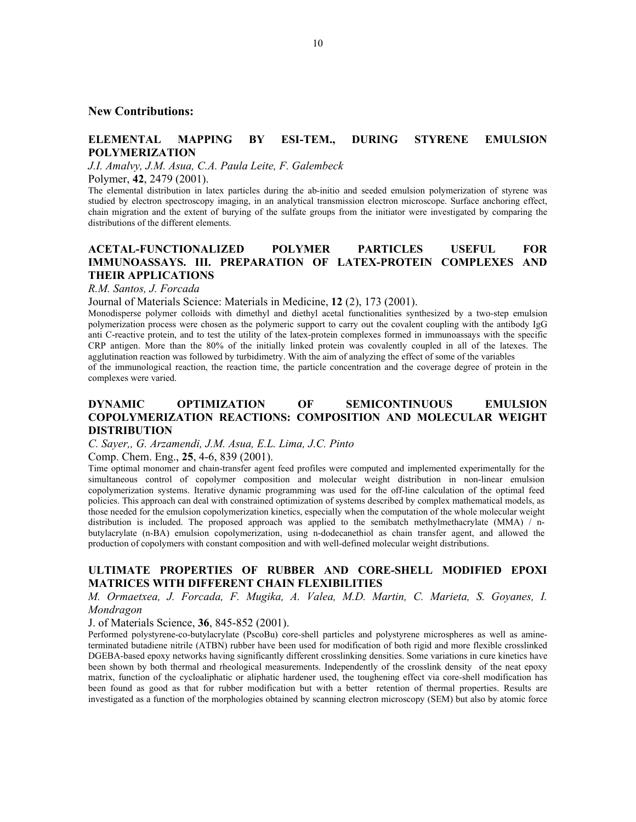#### **New Contributions:**

#### **ELEMENTAL MAPPING BY ESI-TEM., DURING STYRENE EMULSION POLYMERIZATION**

*J.I. Amalvy, J.M. Asua, C.A. Paula Leite, F. Galembeck* Polymer, **42**, 2479 (2001).

The elemental distribution in latex particles during the ab-initio and seeded emulsion polymerization of styrene was studied by electron spectroscopy imaging, in an analytical transmission electron microscope. Surface anchoring effect, chain migration and the extent of burying of the sulfate groups from the initiator were investigated by comparing the distributions of the different elements.

# **ACETAL-FUNCTIONALIZED POLYMER PARTICLES USEFUL FOR IMMUNOASSAYS. III. PREPARATION OF LATEX-PROTEIN COMPLEXES AND THEIR APPLICATIONS**

*R.M. Santos, J. Forcada* 

Journal of Materials Science: Materials in Medicine, **12** (2), 173 (2001).

Monodisperse polymer colloids with dimethyl and diethyl acetal functionalities synthesized by a two-step emulsion polymerization process were chosen as the polymeric support to carry out the covalent coupling with the antibody IgG anti C-reactive protein, and to test the utility of the latex-protein complexes formed in immunoassays with the specific CRP antigen. More than the 80% of the initially linked protein was covalently coupled in all of the latexes. The agglutination reaction was followed by turbidimetry. With the aim of analyzing the effect of some of the variables

of the immunological reaction, the reaction time, the particle concentration and the coverage degree of protein in the complexes were varied.

# **DYNAMIC OPTIMIZATION OF SEMICONTINUOUS EMULSION COPOLYMERIZATION REACTIONS: COMPOSITION AND MOLECULAR WEIGHT DISTRIBUTION**

*C. Sayer,, G. Arzamendi, J.M. Asua, E.L. Lima, J.C. Pinto* 

Comp. Chem. Eng., **25**, 4-6, 839 (2001).

Time optimal monomer and chain-transfer agent feed profiles were computed and implemented experimentally for the simultaneous control of copolymer composition and molecular weight distribution in non-linear emulsion copolymerization systems. Iterative dynamic programming was used for the off-line calculation of the optimal feed policies. This approach can deal with constrained optimization of systems described by complex mathematical models, as those needed for the emulsion copolymerization kinetics, especially when the computation of the whole molecular weight distribution is included. The proposed approach was applied to the semibatch methylmethacrylate (MMA) / nbutylacrylate (n-BA) emulsion copolymerization, using n-dodecanethiol as chain transfer agent, and allowed the production of copolymers with constant composition and with well-defined molecular weight distributions.

#### **ULTIMATE PROPERTIES OF RUBBER AND CORE-SHELL MODIFIED EPOXI MATRICES WITH DIFFERENT CHAIN FLEXIBILITIES**

# *M. Ormaetxea, J. Forcada, F. Mugika, A. Valea, M.D. Martin, C. Marieta, S. Goyanes, I. Mondragon*

J. of Materials Science, **36**, 845-852 (2001).

Performed polystyrene-co-butylacrylate (PscoBu) core-shell particles and polystyrene microspheres as well as amineterminated butadiene nitrile (ATBN) rubber have been used for modification of both rigid and more flexible crosslinked DGEBA-based epoxy networks having significantly different crosslinking densities. Some variations in cure kinetics have been shown by both thermal and rheological measurements. Independently of the crosslink density of the neat epoxy matrix, function of the cycloaliphatic or aliphatic hardener used, the toughening effect via core-shell modification has been found as good as that for rubber modification but with a better retention of thermal properties. Results are investigated as a function of the morphologies obtained by scanning electron microscopy (SEM) but also by atomic force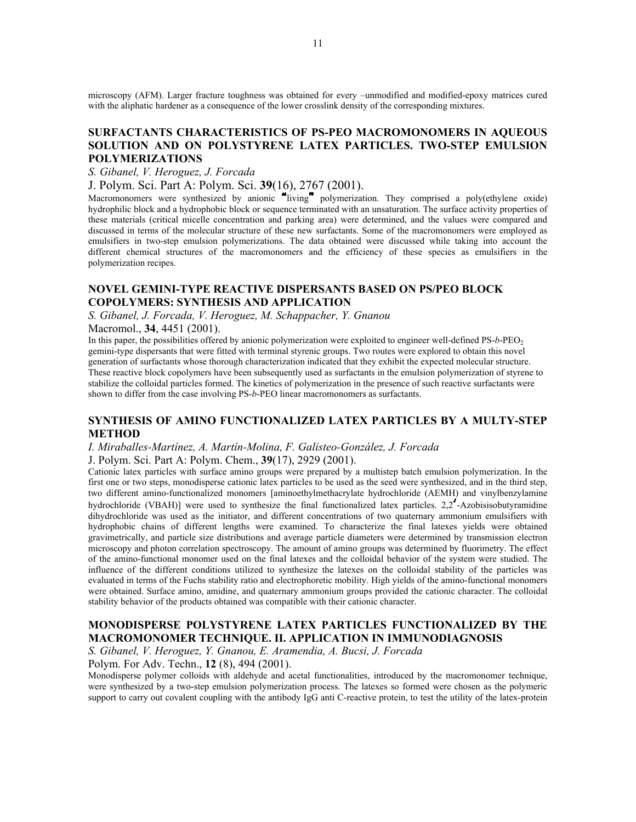microscopy (AFM). Larger fracture toughness was obtained for every –unmodified and modified-epoxy matrices cured with the aliphatic hardener as a consequence of the lower crosslink density of the corresponding mixtures.

# **SURFACTANTS CHARACTERISTICS OF PS-PEO MACROMONOMERS IN AQUEOUS SOLUTION AND ON POLYSTYRENE LATEX PARTICLES. TWO-STEP EMULSION POLYMERIZATIONS**

*S. Gibanel, V. Heroguez, J. Forcada* 

J. Polym. Sci. Part A: Polym. Sci. **39**(16), 2767 (2001).

Macromonomers were synthesized by anionic "living" polymerization. They comprised a poly(ethylene oxide) hydrophilic block and a hydrophobic block or sequence terminated with an unsaturation. The surface activity properties of these materials (critical micelle concentration and parking area) were determined, and the values were compared and discussed in terms of the molecular structure of these new surfactants. Some of the macromonomers were employed as emulsifiers in two-step emulsion polymerizations. The data obtained were discussed while taking into account the different chemical structures of the macromonomers and the efficiency of these species as emulsifiers in the polymerization recipes.

## **NOVEL GEMINI-TYPE REACTIVE DISPERSANTS BASED ON PS/PEO BLOCK COPOLYMERS: SYNTHESIS AND APPLICATION**

*S. Gibanel, J. Forcada, V. Heroguez, M. Schappacher, Y. Gnanou* 

Macromol., **34**, 4451 (2001).

In this paper, the possibilities offered by anionic polymerization were exploited to engineer well-defined PS-*b*-PEO<sub>2</sub> gemini-type dispersants that were fitted with terminal styrenic groups. Two routes were explored to obtain this novel generation of surfactants whose thorough characterization indicated that they exhibit the expected molecular structure. These reactive block copolymers have been subsequently used as surfactants in the emulsion polymerization of styrene to stabilize the colloidal particles formed. The kinetics of polymerization in the presence of such reactive surfactants were shown to differ from the case involving PS-*b*-PEO linear macromonomers as surfactants.

# **SYNTHESIS OF AMINO FUNCTIONALIZED LATEX PARTICLES BY A MULTY-STEP METHOD**

*I. Miraballes-Martínez, A. Martín-Molina, F. Galisteo-González, J. Forcada*

# J. Polym. Sci. Part A: Polym. Chem., **39**(17), 2929 (2001).

Cationic latex particles with surface amino groups were prepared by a multistep batch emulsion polymerization. In the first one or two steps, monodisperse cationic latex particles to be used as the seed were synthesized, and in the third step, two different amino-functionalized monomers [aminoethylmethacrylate hydrochloride (AEMH) and vinylbenzylamine hydrochloride (VBAH)] were used to synthesize the final functionalized latex particles. 2,2 -Azobisisobutyramidine dihydrochloride was used as the initiator, and different concentrations of two quaternary ammonium emulsifiers with hydrophobic chains of different lengths were examined. To characterize the final latexes yields were obtained gravimetrically, and particle size distributions and average particle diameters were determined by transmission electron microscopy and photon correlation spectroscopy. The amount of amino groups was determined by fluorimetry. The effect of the amino-functional monomer used on the final latexes and the colloidal behavior of the system were studied. The influence of the different conditions utilized to synthesize the latexes on the colloidal stability of the particles was evaluated in terms of the Fuchs stability ratio and electrophoretic mobility. High yields of the amino-functional monomers were obtained. Surface amino, amidine, and quaternary ammonium groups provided the cationic character. The colloidal stability behavior of the products obtained was compatible with their cationic character.

# **MONODISPERSE POLYSTYRENE LATEX PARTICLES FUNCTIONALIZED BY THE MACROMONOMER TECHNIQUE. II. APPLICATION IN IMMUNODIAGNOSIS**

*S. Gibanel, V. Heroguez, Y. Gnanou, E. Aramendia, A. Bucsi, J. Forcada* 

Polym. For Adv. Techn., **12** (8), 494 (2001).

Monodisperse polymer colloids with aldehyde and acetal functionalities, introduced by the macromonomer technique, were synthesized by a two-step emulsion polymerization process. The latexes so formed were chosen as the polymeric support to carry out covalent coupling with the antibody IgG anti C-reactive protein, to test the utility of the latex-protein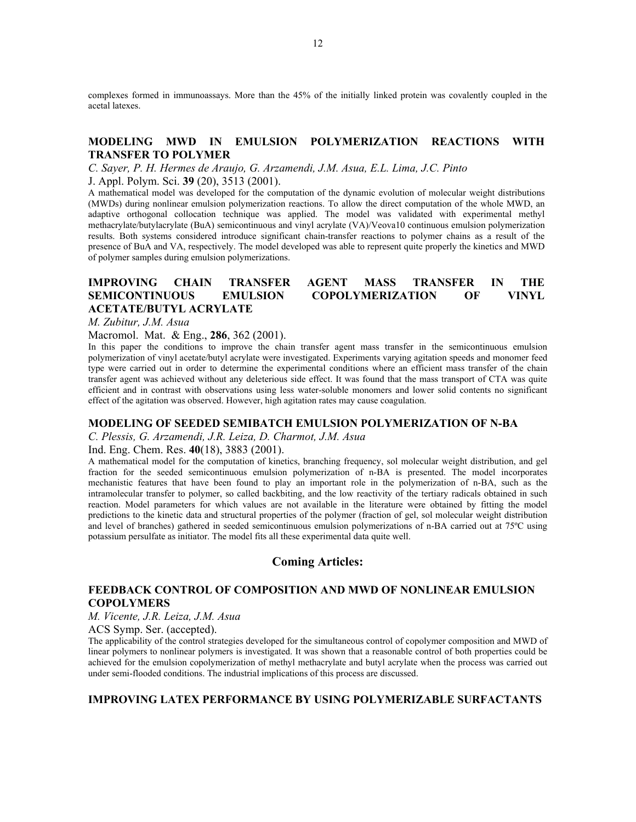complexes formed in immunoassays. More than the 45% of the initially linked protein was covalently coupled in the acetal latexes.

# **MODELING MWD IN EMULSION POLYMERIZATION REACTIONS WITH TRANSFER TO POLYMER**

*C. Sayer, P. H. Hermes de Araujo, G. Arzamendi, J.M. Asua, E.L. Lima, J.C. Pinto*

J. Appl. Polym. Sci. **39** (20), 3513 (2001). A mathematical model was developed for the computation of the dynamic evolution of molecular weight distributions (MWDs) during nonlinear emulsion polymerization reactions. To allow the direct computation of the whole MWD, an adaptive orthogonal collocation technique was applied. The model was validated with experimental methyl methacrylate/butylacrylate (BuA) semicontinuous and vinyl acrylate (VA)/Veova10 continuous emulsion polymerization results. Both systems considered introduce significant chain-transfer reactions to polymer chains as a result of the presence of BuA and VA, respectively. The model developed was able to represent quite properly the kinetics and MWD of polymer samples during emulsion polymerizations.

# **IMPROVING CHAIN TRANSFER AGENT MASS TRANSFER IN THE SEMICONTINUOUS EMULSION COPOLYMERIZATION OF VINYL ACETATE/BUTYL ACRYLATE**

#### *M. Zubitur, J.M. Asua*

Macromol. Mat. & Eng., **286**, 362 (2001).

In this paper the conditions to improve the chain transfer agent mass transfer in the semicontinuous emulsion polymerization of vinyl acetate/butyl acrylate were investigated. Experiments varying agitation speeds and monomer feed type were carried out in order to determine the experimental conditions where an efficient mass transfer of the chain transfer agent was achieved without any deleterious side effect. It was found that the mass transport of CTA was quite efficient and in contrast with observations using less water-soluble monomers and lower solid contents no significant effect of the agitation was observed. However, high agitation rates may cause coagulation.

#### **MODELING OF SEEDED SEMIBATCH EMULSION POLYMERIZATION OF N-BA**

*C. Plessis, G. Arzamendi, J.R. Leiza, D. Charmot, J.M. Asua* 

Ind. Eng. Chem. Res. **40**(18), 3883 (2001).

A mathematical model for the computation of kinetics, branching frequency, sol molecular weight distribution, and gel fraction for the seeded semicontinuous emulsion polymerization of n-BA is presented. The model incorporates mechanistic features that have been found to play an important role in the polymerization of n-BA, such as the intramolecular transfer to polymer, so called backbiting, and the low reactivity of the tertiary radicals obtained in such reaction. Model parameters for which values are not available in the literature were obtained by fitting the model predictions to the kinetic data and structural properties of the polymer (fraction of gel, sol molecular weight distribution and level of branches) gathered in seeded semicontinuous emulsion polymerizations of n-BA carried out at 75ºC using potassium persulfate as initiator. The model fits all these experimental data quite well.

#### **Coming Articles:**

# **FEEDBACK CONTROL OF COMPOSITION AND MWD OF NONLINEAR EMULSION COPOLYMERS**

*M. Vicente, J.R. Leiza, J.M. Asua*

ACS Symp. Ser. (accepted).

The applicability of the control strategies developed for the simultaneous control of copolymer composition and MWD of linear polymers to nonlinear polymers is investigated. It was shown that a reasonable control of both properties could be achieved for the emulsion copolymerization of methyl methacrylate and butyl acrylate when the process was carried out under semi-flooded conditions. The industrial implications of this process are discussed.

#### **IMPROVING LATEX PERFORMANCE BY USING POLYMERIZABLE SURFACTANTS**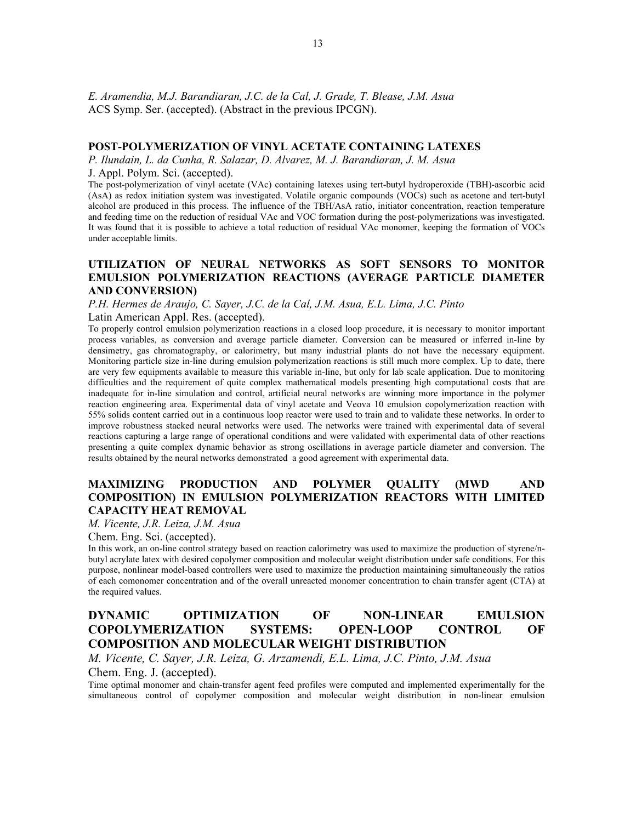*E. Aramendia, M.J. Barandiaran, J.C. de la Cal, J. Grade, T. Blease, J.M. Asua*  ACS Symp. Ser. (accepted). (Abstract in the previous IPCGN).

#### **POST-POLYMERIZATION OF VINYL ACETATE CONTAINING LATEXES**

*P. Ilundain, L. da Cunha, R. Salazar, D. Alvarez, M. J. Barandiaran, J. M. Asua*

J. Appl. Polym. Sci. (accepted).

The post-polymerization of vinyl acetate (VAc) containing latexes using tert-butyl hydroperoxide (TBH)-ascorbic acid (AsA) as redox initiation system was investigated. Volatile organic compounds (VOCs) such as acetone and tert-butyl alcohol are produced in this process. The influence of the TBH/AsA ratio, initiator concentration, reaction temperature and feeding time on the reduction of residual VAc and VOC formation during the post-polymerizations was investigated. It was found that it is possible to achieve a total reduction of residual VAc monomer, keeping the formation of VOCs under acceptable limits.

# **UTILIZATION OF NEURAL NETWORKS AS SOFT SENSORS TO MONITOR EMULSION POLYMERIZATION REACTIONS (AVERAGE PARTICLE DIAMETER AND CONVERSION)**

*P.H. Hermes de Araujo, C. Sayer, J.C. de la Cal, J.M. Asua, E.L. Lima, J.C. Pinto*  Latin American Appl. Res. (accepted).

To properly control emulsion polymerization reactions in a closed loop procedure, it is necessary to monitor important process variables, as conversion and average particle diameter. Conversion can be measured or inferred in-line by densimetry, gas chromatography, or calorimetry, but many industrial plants do not have the necessary equipment. Monitoring particle size in-line during emulsion polymerization reactions is still much more complex. Up to date, there are very few equipments available to measure this variable in-line, but only for lab scale application. Due to monitoring difficulties and the requirement of quite complex mathematical models presenting high computational costs that are inadequate for in-line simulation and control, artificial neural networks are winning more importance in the polymer reaction engineering area. Experimental data of vinyl acetate and Veova 10 emulsion copolymerization reaction with 55% solids content carried out in a continuous loop reactor were used to train and to validate these networks. In order to improve robustness stacked neural networks were used. The networks were trained with experimental data of several reactions capturing a large range of operational conditions and were validated with experimental data of other reactions presenting a quite complex dynamic behavior as strong oscillations in average particle diameter and conversion. The results obtained by the neural networks demonstrated a good agreement with experimental data.

# **MAXIMIZING PRODUCTION AND POLYMER QUALITY (MWD AND COMPOSITION) IN EMULSION POLYMERIZATION REACTORS WITH LIMITED CAPACITY HEAT REMOVAL**

*M. Vicente, J.R. Leiza, J.M. Asua* 

Chem. Eng. Sci. (accepted).

In this work, an on-line control strategy based on reaction calorimetry was used to maximize the production of styrene/nbutyl acrylate latex with desired copolymer composition and molecular weight distribution under safe conditions. For this purpose, nonlinear model-based controllers were used to maximize the production maintaining simultaneously the ratios of each comonomer concentration and of the overall unreacted monomer concentration to chain transfer agent (CTA) at the required values.

# **DYNAMIC OPTIMIZATION OF NON-LINEAR EMULSION COPOLYMERIZATION SYSTEMS: OPEN-LOOP CONTROL OF COMPOSITION AND MOLECULAR WEIGHT DISTRIBUTION**

*M. Vicente, C. Sayer, J.R. Leiza, G. Arzamendi, E.L. Lima, J.C. Pinto, J.M. Asua*  Chem. Eng. J. (accepted).

Time optimal monomer and chain-transfer agent feed profiles were computed and implemented experimentally for the simultaneous control of copolymer composition and molecular weight distribution in non-linear emulsion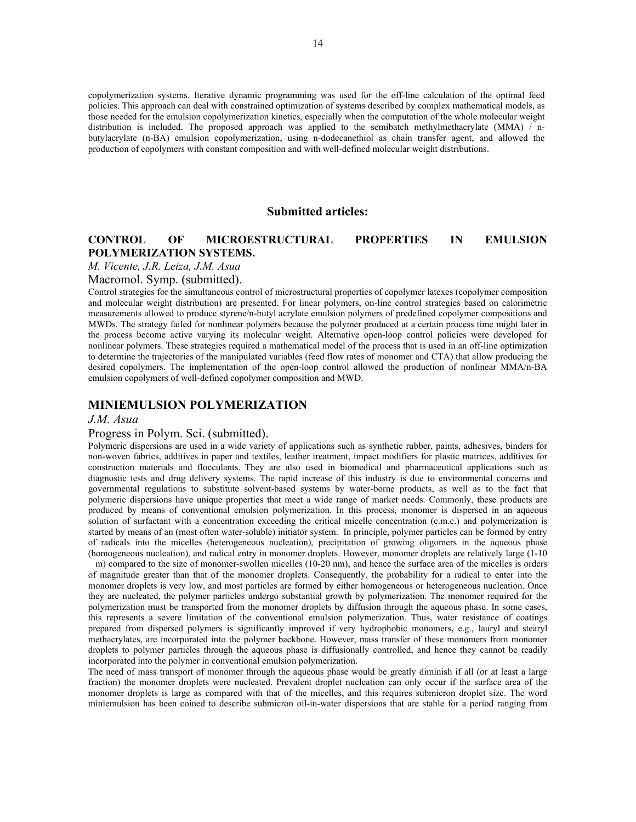copolymerization systems. Iterative dynamic programming was used for the off-line calculation of the optimal feed policies. This approach can deal with constrained optimization of systems described by complex mathematical models, as those needed for the emulsion copolymerization kinetics, especially when the computation of the whole molecular weight distribution is included. The proposed approach was applied to the semibatch methylmethacrylate (MMA) / nbutylacrylate (n-BA) emulsion copolymerization, using n-dodecanethiol as chain transfer agent, and allowed the production of copolymers with constant composition and with well-defined molecular weight distributions.

# **Submitted articles:**

# **CONTROL OF MICROESTRUCTURAL PROPERTIES IN EMULSION POLYMERIZATION SYSTEMS.**

*M. Vicente, J.R. Leiza, J.M. Asua* 

#### Macromol. Symp. (submitted).

Control strategies for the simultaneous control of microstructural properties of copolymer latexes (copolymer composition and molecular weight distribution) are presented. For linear polymers, on-line control strategies based on calorimetric measurements allowed to produce styrene/n-butyl acrylate emulsion polymers of predefined copolymer compositions and MWDs. The strategy failed for nonlinear polymers because the polymer produced at a certain process time might later in the process become active varying its molecular weight. Alternative open-loop control policies were developed for nonlinear polymers. These strategies required a mathematical model of the process that is used in an off-line optimization to determine the trajectories of the manipulated variables (feed flow rates of monomer and CTA) that allow producing the desired copolymers. The implementation of the open-loop control allowed the production of nonlinear MMA/n-BA emulsion copolymers of well-defined copolymer composition and MWD.

# **MINIEMULSION POLYMERIZATION**

#### *J.M. Asua*

#### Progress in Polym. Sci. (submitted).

Polymeric dispersions are used in a wide variety of applications such as synthetic rubber, paints, adhesives, binders for non-woven fabrics, additives in paper and textiles, leather treatment, impact modifiers for plastic matrices, additives for construction materials and flocculants. They are also used in biomedical and pharmaceutical applications such as diagnostic tests and drug delivery systems. The rapid increase of this industry is due to environmental concerns and governmental regulations to substitute solvent-based systems by water-borne products, as well as to the fact that polymeric dispersions have unique properties that meet a wide range of market needs. Commonly, these products are produced by means of conventional emulsion polymerization. In this process, monomer is dispersed in an aqueous solution of surfactant with a concentration exceeding the critical micelle concentration (c.m.c.) and polymerization is started by means of an (most often water-soluble) initiator system. In principle, polymer particles can be formed by entry of radicals into the micelles (heterogeneous nucleation), precipitation of growing oligomers in the aqueous phase (homogeneous nucleation), and radical entry in monomer droplets. However, monomer droplets are relatively large (1-10

m) compared to the size of monomer-swollen micelles (10-20 nm), and hence the surface area of the micelles is orders of magnitude greater than that of the monomer droplets. Consequently, the probability for a radical to enter into the monomer droplets is very low, and most particles are formed by either homogeneous or heterogeneous nucleation. Once they are nucleated, the polymer particles undergo substantial growth by polymerization. The monomer required for the polymerization must be transported from the monomer droplets by diffusion through the aqueous phase. In some cases, this represents a severe limitation of the conventional emulsion polymerization. Thus, water resistance of coatings prepared from dispersed polymers is significantly improved if very hydrophobic monomers, e.g., lauryl and stearyl methacrylates, are incorporated into the polymer backbone. However, mass transfer of these monomers from monomer droplets to polymer particles through the aqueous phase is diffusionally controlled, and hence they cannot be readily incorporated into the polymer in conventional emulsion polymerization.

The need of mass transport of monomer through the aqueous phase would be greatly diminish if all (or at least a large fraction) the monomer droplets were nucleated. Prevalent droplet nucleation can only occur if the surface area of the monomer droplets is large as compared with that of the micelles, and this requires submicron droplet size. The word miniemulsion has been coined to describe submicron oil-in-water dispersions that are stable for a period ranging from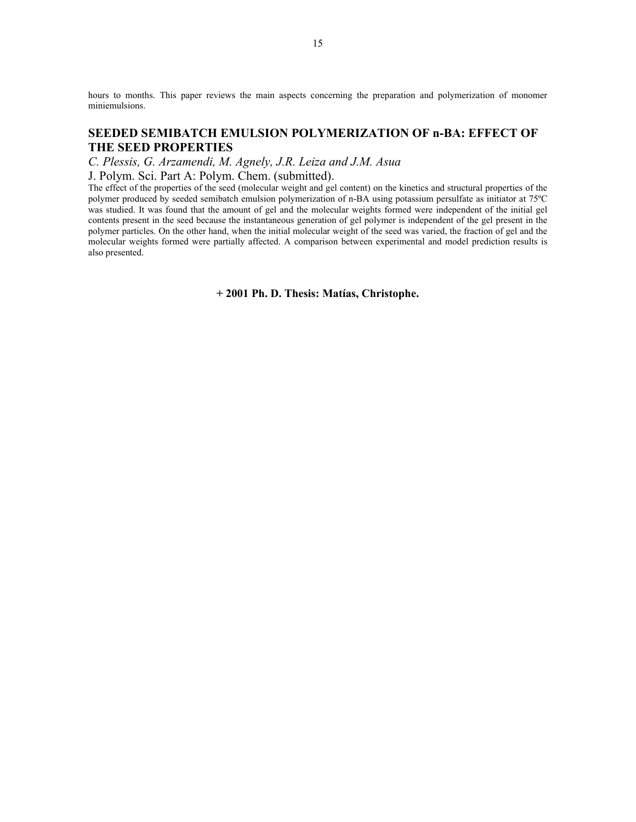hours to months. This paper reviews the main aspects concerning the preparation and polymerization of monomer miniemulsions.

# **SEEDED SEMIBATCH EMULSION POLYMERIZATION OF n-BA: EFFECT OF THE SEED PROPERTIES**

*C. Plessis, G. Arzamendi, M. Agnely, J.R. Leiza and J.M. Asua* 

J. Polym. Sci. Part A: Polym. Chem. (submitted).

The effect of the properties of the seed (molecular weight and gel content) on the kinetics and structural properties of the polymer produced by seeded semibatch emulsion polymerization of n-BA using potassium persulfate as initiator at 75ºC was studied. It was found that the amount of gel and the molecular weights formed were independent of the initial gel contents present in the seed because the instantaneous generation of gel polymer is independent of the gel present in the polymer particles. On the other hand, when the initial molecular weight of the seed was varied, the fraction of gel and the molecular weights formed were partially affected. A comparison between experimental and model prediction results is also presented.

**+ 2001 Ph. D. Thesis: Matías, Christophe.**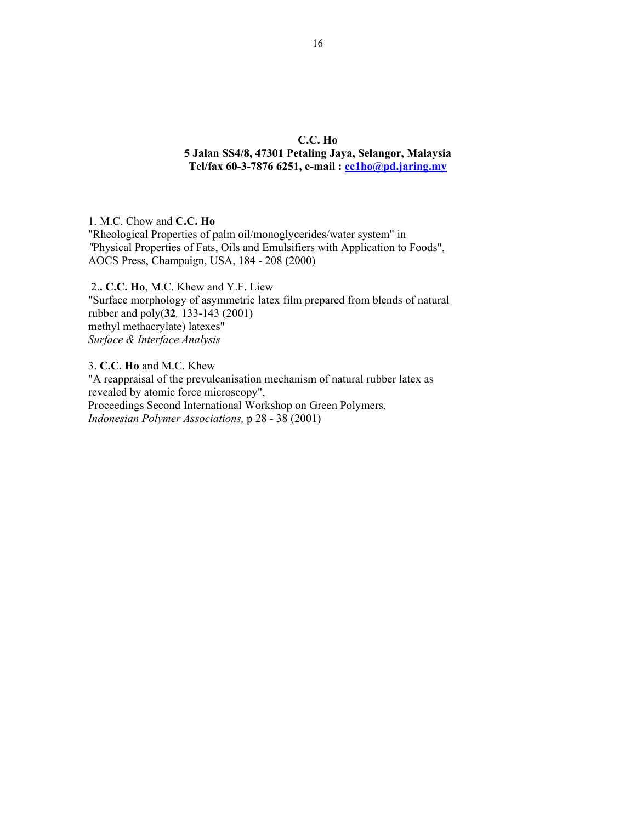# **C.C. Ho**

# **5 Jalan SS4/8, 47301 Petaling Jaya, Selangor, Malaysia Tel/fax 60-3-7876 6251, e-mail : cc1ho@pd.jaring.my**

1. M.C. Chow and **C.C. Ho** "Rheological Properties of palm oil/monoglycerides/water system" in *"*Physical Properties of Fats, Oils and Emulsifiers with Application to Foods", AOCS Press, Champaign, USA, 184 - 208 (2000)

2.**. C.C. Ho**, M.C. Khew and Y.F. Liew "Surface morphology of asymmetric latex film prepared from blends of natural rubber and poly(**32***,* 133-143 (2001) methyl methacrylate) latexes" *Surface & Interface Analysis* 

3. **C.C. Ho** and M.C. Khew "A reappraisal of the prevulcanisation mechanism of natural rubber latex as revealed by atomic force microscopy", Proceedings Second International Workshop on Green Polymers, *Indonesian Polymer Associations,* p 28 - 38 (2001)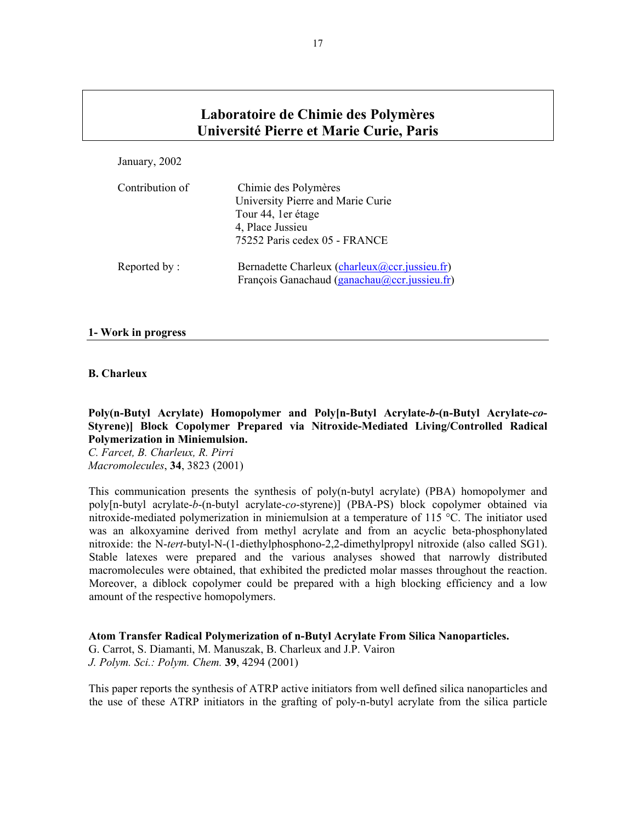# **Laboratoire de Chimie des Polymères Université Pierre et Marie Curie, Paris**

January, 2002

| Contribution of | Chimie des Polymères<br>University Pierre and Marie Curie<br>Tour 44, 1er étage<br>4, Place Jussieu<br>75252 Paris cedex 05 - FRANCE |
|-----------------|--------------------------------------------------------------------------------------------------------------------------------------|
| Reported by:    | Bernadette Charleux (charleux @ccr.jussieu.fr)<br>François Ganachaud (ganachau@ccr.jussieu.fr)                                       |

#### **1- Work in progress**

#### **B. Charleux**

**Poly(n-Butyl Acrylate) Homopolymer and Poly[n-Butyl Acrylate-***b***-(n-Butyl Acrylate-***co***-Styrene)] Block Copolymer Prepared via Nitroxide-Mediated Living/Controlled Radical Polymerization in Miniemulsion.** 

*C. Farcet, B. Charleux, R. Pirri Macromolecules*, **34**, 3823 (2001)

This communication presents the synthesis of poly(n-butyl acrylate) (PBA) homopolymer and poly[n-butyl acrylate-*b*-(n-butyl acrylate-*co*-styrene)] (PBA-PS) block copolymer obtained via nitroxide-mediated polymerization in miniemulsion at a temperature of 115 °C. The initiator used was an alkoxyamine derived from methyl acrylate and from an acyclic beta-phosphonylated nitroxide: the N-*tert*-butyl-N-(1-diethylphosphono-2,2-dimethylpropyl nitroxide (also called SG1). Stable latexes were prepared and the various analyses showed that narrowly distributed macromolecules were obtained, that exhibited the predicted molar masses throughout the reaction. Moreover, a diblock copolymer could be prepared with a high blocking efficiency and a low amount of the respective homopolymers.

**Atom Transfer Radical Polymerization of n-Butyl Acrylate From Silica Nanoparticles.**  G. Carrot, S. Diamanti, M. Manuszak, B. Charleux and J.P. Vairon *J. Polym. Sci.: Polym. Chem.* **39**, 4294 (2001)

This paper reports the synthesis of ATRP active initiators from well defined silica nanoparticles and the use of these ATRP initiators in the grafting of poly-n-butyl acrylate from the silica particle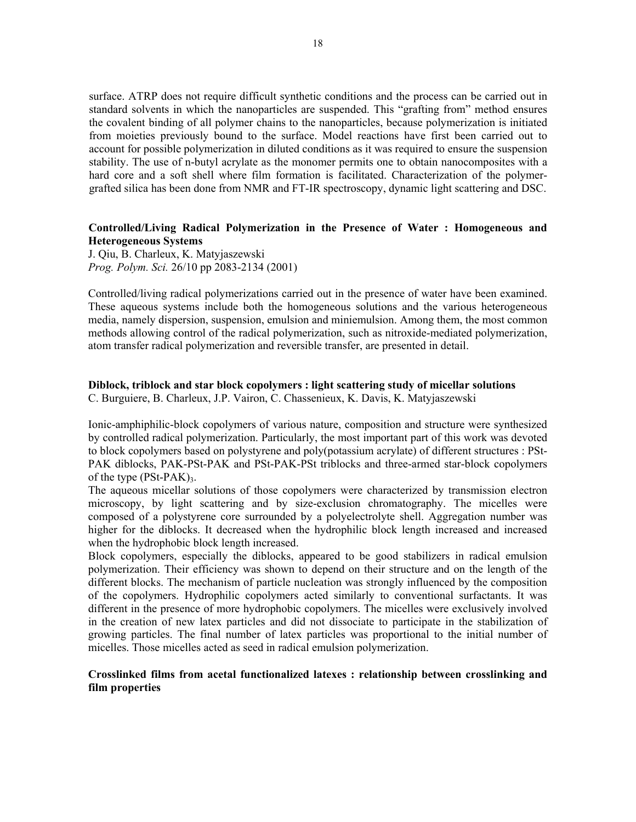surface. ATRP does not require difficult synthetic conditions and the process can be carried out in standard solvents in which the nanoparticles are suspended. This "grafting from" method ensures the covalent binding of all polymer chains to the nanoparticles, because polymerization is initiated from moieties previously bound to the surface. Model reactions have first been carried out to account for possible polymerization in diluted conditions as it was required to ensure the suspension stability. The use of n-butyl acrylate as the monomer permits one to obtain nanocomposites with a hard core and a soft shell where film formation is facilitated. Characterization of the polymergrafted silica has been done from NMR and FT-IR spectroscopy, dynamic light scattering and DSC.

# **Controlled/Living Radical Polymerization in the Presence of Water : Homogeneous and Heterogeneous Systems**

J. Qiu, B. Charleux, K. Matyjaszewski *Prog. Polym. Sci.* 26/10 pp 2083-2134 (2001)

Controlled/living radical polymerizations carried out in the presence of water have been examined. These aqueous systems include both the homogeneous solutions and the various heterogeneous media, namely dispersion, suspension, emulsion and miniemulsion. Among them, the most common methods allowing control of the radical polymerization, such as nitroxide-mediated polymerization, atom transfer radical polymerization and reversible transfer, are presented in detail.

# **Diblock, triblock and star block copolymers : light scattering study of micellar solutions**

C. Burguiere, B. Charleux, J.P. Vairon, C. Chassenieux, K. Davis, K. Matyjaszewski

Ionic-amphiphilic-block copolymers of various nature, composition and structure were synthesized by controlled radical polymerization. Particularly, the most important part of this work was devoted to block copolymers based on polystyrene and poly(potassium acrylate) of different structures : PSt-PAK diblocks, PAK-PSt-PAK and PSt-PAK-PSt triblocks and three-armed star-block copolymers of the type  $(PSt-PAK)_{3.}$ 

The aqueous micellar solutions of those copolymers were characterized by transmission electron microscopy, by light scattering and by size-exclusion chromatography. The micelles were composed of a polystyrene core surrounded by a polyelectrolyte shell. Aggregation number was higher for the diblocks. It decreased when the hydrophilic block length increased and increased when the hydrophobic block length increased.

Block copolymers, especially the diblocks, appeared to be good stabilizers in radical emulsion polymerization. Their efficiency was shown to depend on their structure and on the length of the different blocks. The mechanism of particle nucleation was strongly influenced by the composition of the copolymers. Hydrophilic copolymers acted similarly to conventional surfactants. It was different in the presence of more hydrophobic copolymers. The micelles were exclusively involved in the creation of new latex particles and did not dissociate to participate in the stabilization of growing particles. The final number of latex particles was proportional to the initial number of micelles. Those micelles acted as seed in radical emulsion polymerization.

# **Crosslinked films from acetal functionalized latexes : relationship between crosslinking and film properties**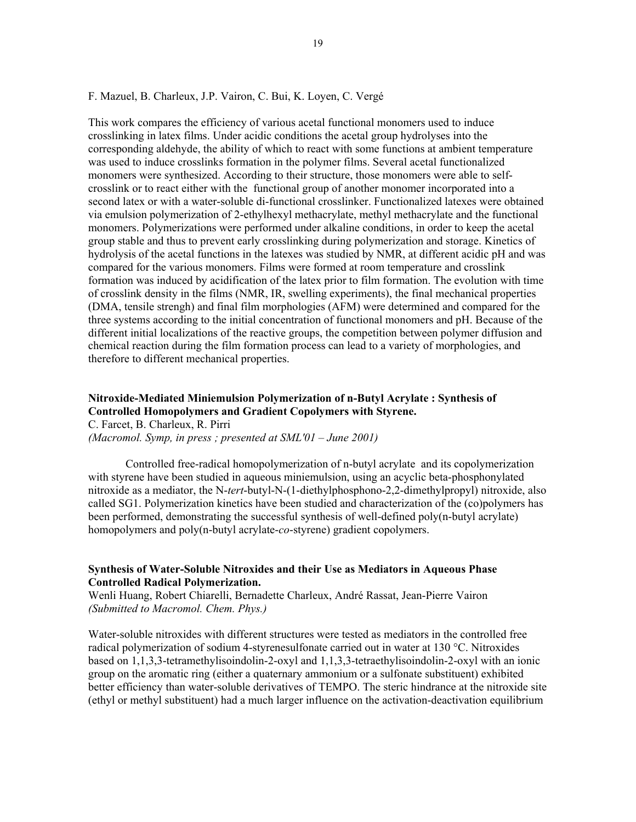# F. Mazuel, B. Charleux, J.P. Vairon, C. Bui, K. Loyen, C. Vergé

This work compares the efficiency of various acetal functional monomers used to induce crosslinking in latex films. Under acidic conditions the acetal group hydrolyses into the corresponding aldehyde, the ability of which to react with some functions at ambient temperature was used to induce crosslinks formation in the polymer films. Several acetal functionalized monomers were synthesized. According to their structure, those monomers were able to selfcrosslink or to react either with the functional group of another monomer incorporated into a second latex or with a water-soluble di-functional crosslinker. Functionalized latexes were obtained via emulsion polymerization of 2-ethylhexyl methacrylate, methyl methacrylate and the functional monomers. Polymerizations were performed under alkaline conditions, in order to keep the acetal group stable and thus to prevent early crosslinking during polymerization and storage. Kinetics of hydrolysis of the acetal functions in the latexes was studied by NMR, at different acidic pH and was compared for the various monomers. Films were formed at room temperature and crosslink formation was induced by acidification of the latex prior to film formation. The evolution with time of crosslink density in the films (NMR, IR, swelling experiments), the final mechanical properties (DMA, tensile strengh) and final film morphologies (AFM) were determined and compared for the three systems according to the initial concentration of functional monomers and pH. Because of the different initial localizations of the reactive groups, the competition between polymer diffusion and chemical reaction during the film formation process can lead to a variety of morphologies, and therefore to different mechanical properties.

#### **Nitroxide-Mediated Miniemulsion Polymerization of n-Butyl Acrylate : Synthesis of Controlled Homopolymers and Gradient Copolymers with Styrene.**  C. Farcet, B. Charleux, R. Pirri

*(Macromol. Symp, in press ; presented at SML'01 – June 2001)* 

 Controlled free-radical homopolymerization of n-butyl acrylate and its copolymerization with styrene have been studied in aqueous miniemulsion, using an acyclic beta-phosphonylated nitroxide as a mediator, the N-*tert*-butyl-N-(1-diethylphosphono-2,2-dimethylpropyl) nitroxide, also called SG1. Polymerization kinetics have been studied and characterization of the (co)polymers has been performed, demonstrating the successful synthesis of well-defined poly(n-butyl acrylate) homopolymers and poly(n-butyl acrylate-*co*-styrene) gradient copolymers.

# **Synthesis of Water-Soluble Nitroxides and their Use as Mediators in Aqueous Phase Controlled Radical Polymerization.**

Wenli Huang, Robert Chiarelli, Bernadette Charleux, André Rassat, Jean-Pierre Vairon *(Submitted to Macromol. Chem. Phys.)* 

Water-soluble nitroxides with different structures were tested as mediators in the controlled free radical polymerization of sodium 4-styrenesulfonate carried out in water at 130 °C. Nitroxides based on 1,1,3,3-tetramethylisoindolin-2-oxyl and 1,1,3,3-tetraethylisoindolin-2-oxyl with an ionic group on the aromatic ring (either a quaternary ammonium or a sulfonate substituent) exhibited better efficiency than water-soluble derivatives of TEMPO. The steric hindrance at the nitroxide site (ethyl or methyl substituent) had a much larger influence on the activation-deactivation equilibrium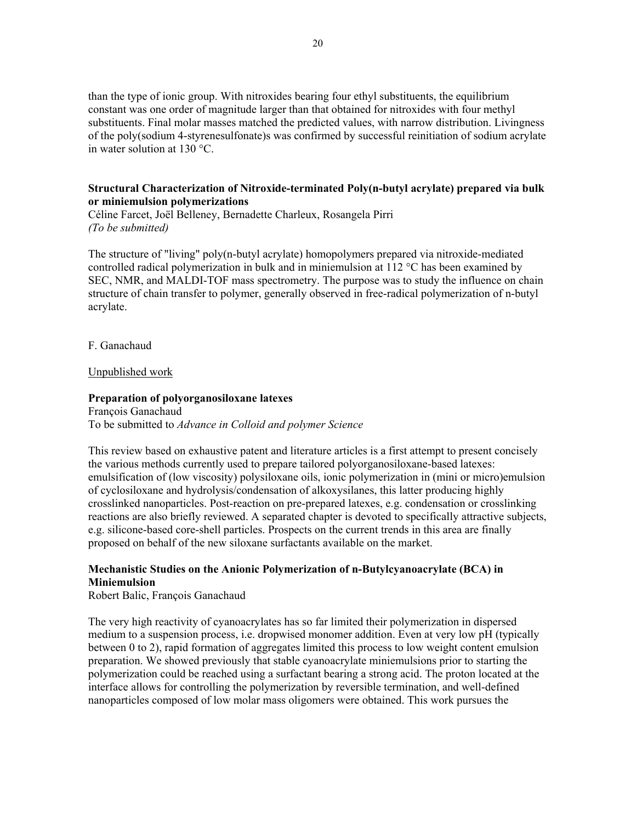than the type of ionic group. With nitroxides bearing four ethyl substituents, the equilibrium constant was one order of magnitude larger than that obtained for nitroxides with four methyl substituents. Final molar masses matched the predicted values, with narrow distribution. Livingness of the poly(sodium 4-styrenesulfonate)s was confirmed by successful reinitiation of sodium acrylate in water solution at 130 °C.

# **Structural Characterization of Nitroxide-terminated Poly(n-butyl acrylate) prepared via bulk or miniemulsion polymerizations**

Céline Farcet, Joël Belleney, Bernadette Charleux, Rosangela Pirri *(To be submitted)* 

The structure of "living" poly(n-butyl acrylate) homopolymers prepared via nitroxide-mediated controlled radical polymerization in bulk and in miniemulsion at 112 °C has been examined by SEC, NMR, and MALDI-TOF mass spectrometry. The purpose was to study the influence on chain structure of chain transfer to polymer, generally observed in free-radical polymerization of n-butyl acrylate.

F. Ganachaud

Unpublished work

# **Preparation of polyorganosiloxane latexes**

François Ganachaud To be submitted to *Advance in Colloid and polymer Science* 

This review based on exhaustive patent and literature articles is a first attempt to present concisely the various methods currently used to prepare tailored polyorganosiloxane-based latexes: emulsification of (low viscosity) polysiloxane oils, ionic polymerization in (mini or micro)emulsion of cyclosiloxane and hydrolysis/condensation of alkoxysilanes, this latter producing highly crosslinked nanoparticles. Post-reaction on pre-prepared latexes, e.g. condensation or crosslinking reactions are also briefly reviewed. A separated chapter is devoted to specifically attractive subjects, e.g. silicone-based core-shell particles. Prospects on the current trends in this area are finally proposed on behalf of the new siloxane surfactants available on the market.

# **Mechanistic Studies on the Anionic Polymerization of n-Butylcyanoacrylate (BCA) in Miniemulsion**

Robert Balic, François Ganachaud

The very high reactivity of cyanoacrylates has so far limited their polymerization in dispersed medium to a suspension process, i.e. dropwised monomer addition. Even at very low pH (typically between 0 to 2), rapid formation of aggregates limited this process to low weight content emulsion preparation. We showed previously that stable cyanoacrylate miniemulsions prior to starting the polymerization could be reached using a surfactant bearing a strong acid. The proton located at the interface allows for controlling the polymerization by reversible termination, and well-defined nanoparticles composed of low molar mass oligomers were obtained. This work pursues the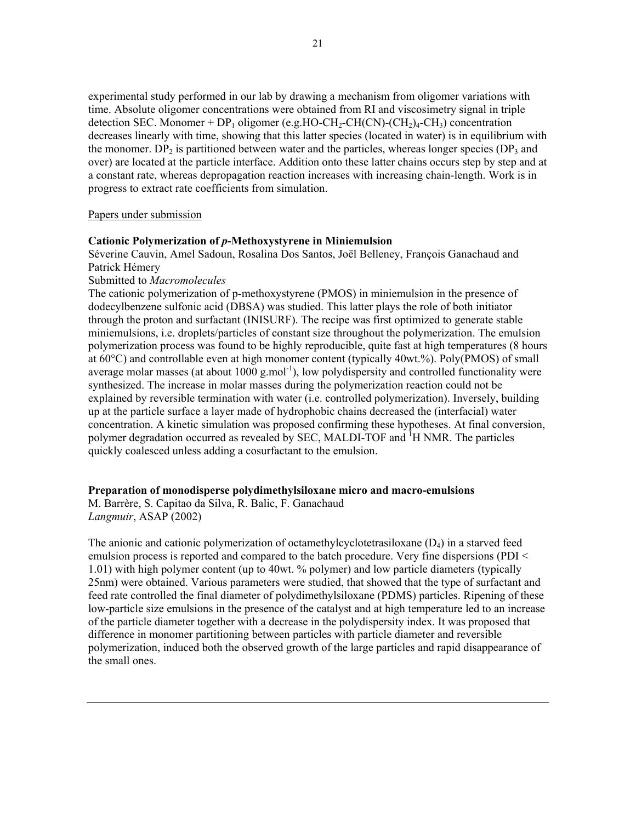experimental study performed in our lab by drawing a mechanism from oligomer variations with time. Absolute oligomer concentrations were obtained from RI and viscosimetry signal in triple detection SEC. Monomer +  $DP_1$  oligomer (e.g.HO-CH<sub>2</sub>-CH(CN)-(CH<sub>2</sub>)<sub>4</sub>-CH<sub>3</sub>) concentration decreases linearly with time, showing that this latter species (located in water) is in equilibrium with the monomer.  $DP_2$  is partitioned between water and the particles, whereas longer species ( $DP_3$  and over) are located at the particle interface. Addition onto these latter chains occurs step by step and at a constant rate, whereas depropagation reaction increases with increasing chain-length. Work is in progress to extract rate coefficients from simulation.

# Papers under submission

# **Cationic Polymerization of** *p***-Methoxystyrene in Miniemulsion**

Séverine Cauvin, Amel Sadoun, Rosalina Dos Santos, Joël Belleney, François Ganachaud and Patrick Hémery

# Submitted to *Macromolecules*

The cationic polymerization of p-methoxystyrene (PMOS) in miniemulsion in the presence of dodecylbenzene sulfonic acid (DBSA) was studied. This latter plays the role of both initiator through the proton and surfactant (INISURF). The recipe was first optimized to generate stable miniemulsions, i.e. droplets/particles of constant size throughout the polymerization. The emulsion polymerization process was found to be highly reproducible, quite fast at high temperatures (8 hours at 60°C) and controllable even at high monomer content (typically 40wt.%). Poly(PMOS) of small average molar masses (at about  $1000 \text{ g.mol}^{-1}$ ), low polydispersity and controlled functionality were synthesized. The increase in molar masses during the polymerization reaction could not be explained by reversible termination with water (i.e. controlled polymerization). Inversely, building up at the particle surface a layer made of hydrophobic chains decreased the (interfacial) water concentration. A kinetic simulation was proposed confirming these hypotheses. At final conversion, polymer degradation occurred as revealed by SEC, MALDI-TOF and <sup>1</sup>H NMR. The particles quickly coalesced unless adding a cosurfactant to the emulsion.

# **Preparation of monodisperse polydimethylsiloxane micro and macro-emulsions**

M. Barrère, S. Capitao da Silva, R. Balic, F. Ganachaud *Langmuir*, ASAP (2002)

The anionic and cationic polymerization of octamethylcyclotetrasiloxane  $(D_4)$  in a starved feed emulsion process is reported and compared to the batch procedure. Very fine dispersions (PDI < 1.01) with high polymer content (up to 40wt. % polymer) and low particle diameters (typically 25nm) were obtained. Various parameters were studied, that showed that the type of surfactant and feed rate controlled the final diameter of polydimethylsiloxane (PDMS) particles. Ripening of these low-particle size emulsions in the presence of the catalyst and at high temperature led to an increase of the particle diameter together with a decrease in the polydispersity index. It was proposed that difference in monomer partitioning between particles with particle diameter and reversible polymerization, induced both the observed growth of the large particles and rapid disappearance of the small ones.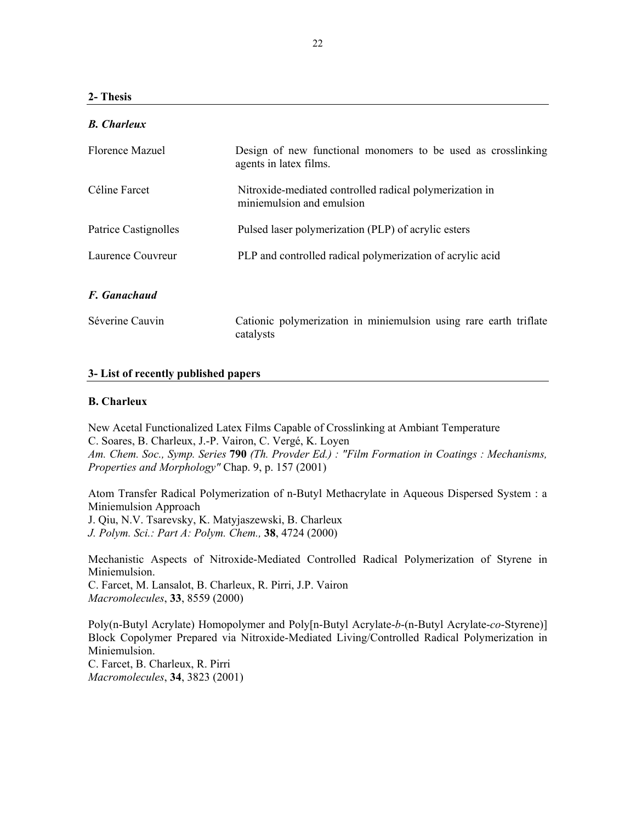**2- Thesis** 

| <b>B.</b> Charleux   |                                                                                        |
|----------------------|----------------------------------------------------------------------------------------|
| Florence Mazuel      | Design of new functional monomers to be used as crosslinking<br>agents in latex films. |
| Céline Farcet        | Nitroxide-mediated controlled radical polymerization in<br>miniemulsion and emulsion   |
| Patrice Castignolles | Pulsed laser polymerization (PLP) of acrylic esters                                    |
| Laurence Couvreur    | PLP and controlled radical polymerization of acrylic acid                              |
| F. Ganachaud         |                                                                                        |
| Séverine Cauvin      | Cationic polymerization in miniemulsion using rare earth triflate<br>catalysts         |

#### **3- List of recently published papers**

# **B. Charleux**

New Acetal Functionalized Latex Films Capable of Crosslinking at Ambiant Temperature C. Soares, B. Charleux, J.-P. Vairon, C. Vergé, K. Loyen *Am. Chem. Soc., Symp. Series* **790** *(Th. Provder Ed.) : "Film Formation in Coatings : Mechanisms, Properties and Morphology"* Chap. 9, p. 157 (2001)

Atom Transfer Radical Polymerization of n-Butyl Methacrylate in Aqueous Dispersed System : a Miniemulsion Approach J. Qiu, N.V. Tsarevsky, K. Matyjaszewski, B. Charleux *J. Polym. Sci.: Part A: Polym. Chem.,* **38**, 4724 (2000)

Mechanistic Aspects of Nitroxide-Mediated Controlled Radical Polymerization of Styrene in Miniemulsion. C. Farcet, M. Lansalot, B. Charleux, R. Pirri, J.P. Vairon *Macromolecules*, **33**, 8559 (2000)

Poly(n-Butyl Acrylate) Homopolymer and Poly[n-Butyl Acrylate-*b*-(n-Butyl Acrylate-*co*-Styrene)] Block Copolymer Prepared via Nitroxide-Mediated Living/Controlled Radical Polymerization in Miniemulsion. C. Farcet, B. Charleux, R. Pirri

*Macromolecules*, **34**, 3823 (2001)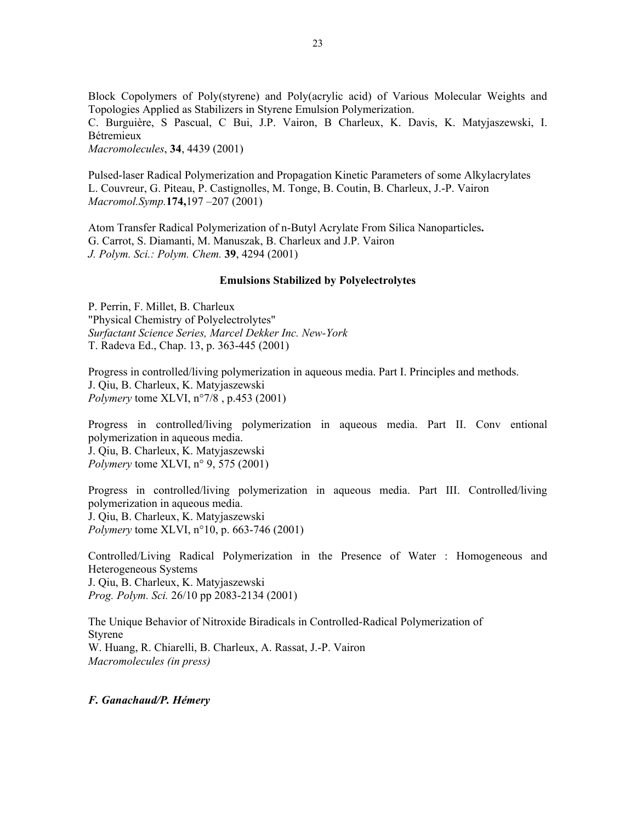Block Copolymers of Poly(styrene) and Poly(acrylic acid) of Various Molecular Weights and Topologies Applied as Stabilizers in Styrene Emulsion Polymerization. C. Burguière, S Pascual, C Bui, J.P. Vairon, B Charleux, K. Davis, K. Matyjaszewski, I. Bétremieux *Macromolecules*, **34**, 4439 (2001)

Pulsed-laser Radical Polymerization and Propagation Kinetic Parameters of some Alkylacrylates L. Couvreur, G. Piteau, P. Castignolles, M. Tonge, B. Coutin, B. Charleux, J.-P. Vairon *Macromol.Symp.***174,**197 –207 (2001)

Atom Transfer Radical Polymerization of n-Butyl Acrylate From Silica Nanoparticles**.**  G. Carrot, S. Diamanti, M. Manuszak, B. Charleux and J.P. Vairon *J. Polym. Sci.: Polym. Chem.* **39**, 4294 (2001)

# **Emulsions Stabilized by Polyelectrolytes**

P. Perrin, F. Millet, B. Charleux "Physical Chemistry of Polyelectrolytes" *Surfactant Science Series, Marcel Dekker Inc. New-York*  T. Radeva Ed., Chap. 13, p. 363-445 (2001)

Progress in controlled/living polymerization in aqueous media. Part I. Principles and methods. J. Qiu, B. Charleux, K. Matyjaszewski *Polymery* tome XLVI, n°7/8 , p.453 (2001)

Progress in controlled/living polymerization in aqueous media. Part II. Conv entional polymerization in aqueous media. J. Qiu, B. Charleux, K. Matyjaszewski *Polymery* tome XLVI, n° 9, 575 (2001)

Progress in controlled/living polymerization in aqueous media. Part III. Controlled/living polymerization in aqueous media. J. Qiu, B. Charleux, K. Matyjaszewski *Polymery* tome XLVI, n°10, p. 663-746 (2001)

Controlled/Living Radical Polymerization in the Presence of Water : Homogeneous and Heterogeneous Systems J. Qiu, B. Charleux, K. Matyjaszewski *Prog. Polym. Sci.* 26/10 pp 2083-2134 (2001)

The Unique Behavior of Nitroxide Biradicals in Controlled-Radical Polymerization of Styrene W. Huang, R. Chiarelli, B. Charleux, A. Rassat, J.-P. Vairon *Macromolecules (in press)* 

#### *F. Ganachaud/P. Hémery*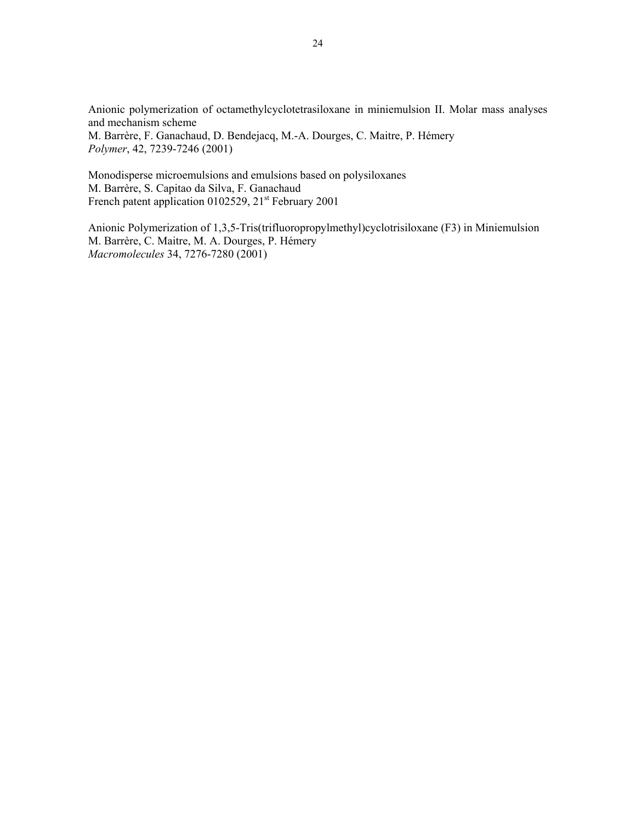Anionic polymerization of octamethylcyclotetrasiloxane in miniemulsion II. Molar mass analyses and mechanism scheme

M. Barrère, F. Ganachaud, D. Bendejacq, M.-A. Dourges, C. Maitre, P. Hémery *Polymer*, 42, 7239-7246 (2001)

Monodisperse microemulsions and emulsions based on polysiloxanes M. Barrère, S. Capitao da Silva, F. Ganachaud French patent application 0102529, 21<sup>st</sup> February 2001

Anionic Polymerization of 1,3,5-Tris(trifluoropropylmethyl)cyclotrisiloxane (F3) in Miniemulsion M. Barrère, C. Maitre, M. A. Dourges, P. Hémery *Macromolecules* 34, 7276-7280 (2001)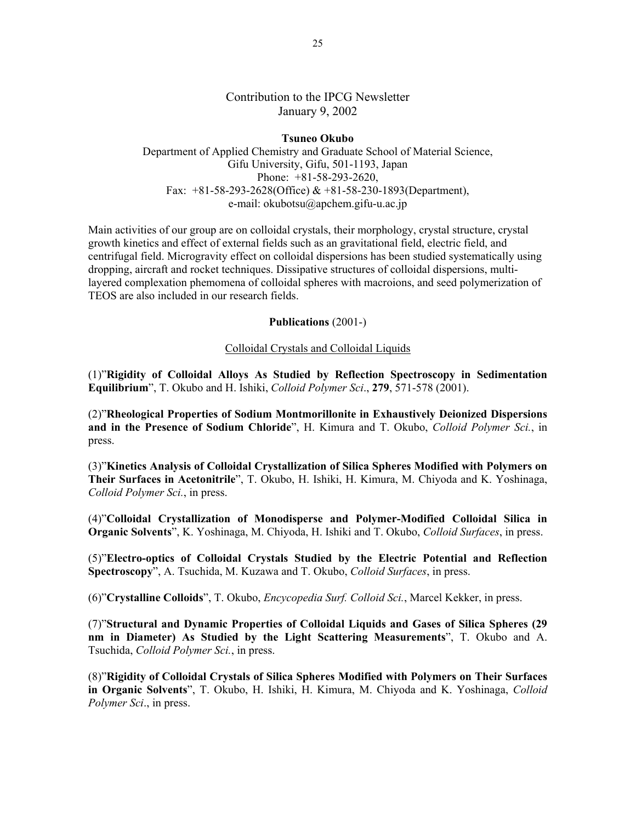# Contribution to the IPCG Newsletter January 9, 2002

#### **Tsuneo Okubo**

Department of Applied Chemistry and Graduate School of Material Science, Gifu University, Gifu, 501-1193, Japan Phone: +81-58-293-2620, Fax: +81-58-293-2628(Office) & +81-58-230-1893(Department), e-mail: okubotsu@apchem.gifu-u.ac.jp

Main activities of our group are on colloidal crystals, their morphology, crystal structure, crystal growth kinetics and effect of external fields such as an gravitational field, electric field, and centrifugal field. Microgravity effect on colloidal dispersions has been studied systematically using dropping, aircraft and rocket techniques. Dissipative structures of colloidal dispersions, multilayered complexation phemomena of colloidal spheres with macroions, and seed polymerization of TEOS are also included in our research fields.

#### **Publications** (2001-)

#### Colloidal Crystals and Colloidal Liquids

(1)"**Rigidity of Colloidal Alloys As Studied by Reflection Spectroscopy in Sedimentation Equilibrium**", T. Okubo and H. Ishiki, *Colloid Polymer Sci*., **279**, 571-578 (2001).

(2)"**Rheological Properties of Sodium Montmorillonite in Exhaustively Deionized Dispersions and in the Presence of Sodium Chloride**", H. Kimura and T. Okubo, *Colloid Polymer Sci.*, in press.

(3)"**Kinetics Analysis of Colloidal Crystallization of Silica Spheres Modified with Polymers on Their Surfaces in Acetonitrile**", T. Okubo, H. Ishiki, H. Kimura, M. Chiyoda and K. Yoshinaga, *Colloid Polymer Sci.*, in press.

(4)"**Colloidal Crystallization of Monodisperse and Polymer-Modified Colloidal Silica in Organic Solvents**", K. Yoshinaga, M. Chiyoda, H. Ishiki and T. Okubo, *Colloid Surfaces*, in press.

(5)"**Electro-optics of Colloidal Crystals Studied by the Electric Potential and Reflection Spectroscopy**", A. Tsuchida, M. Kuzawa and T. Okubo, *Colloid Surfaces*, in press.

(6)"**Crystalline Colloids**", T. Okubo, *Encycopedia Surf. Colloid Sci.*, Marcel Kekker, in press.

(7)"**Structural and Dynamic Properties of Colloidal Liquids and Gases of Silica Spheres (29 nm in Diameter) As Studied by the Light Scattering Measurements**", T. Okubo and A. Tsuchida, *Colloid Polymer Sci.*, in press.

(8)"**Rigidity of Colloidal Crystals of Silica Spheres Modified with Polymers on Their Surfaces in Organic Solvents**", T. Okubo, H. Ishiki, H. Kimura, M. Chiyoda and K. Yoshinaga, *Colloid Polymer Sci*., in press.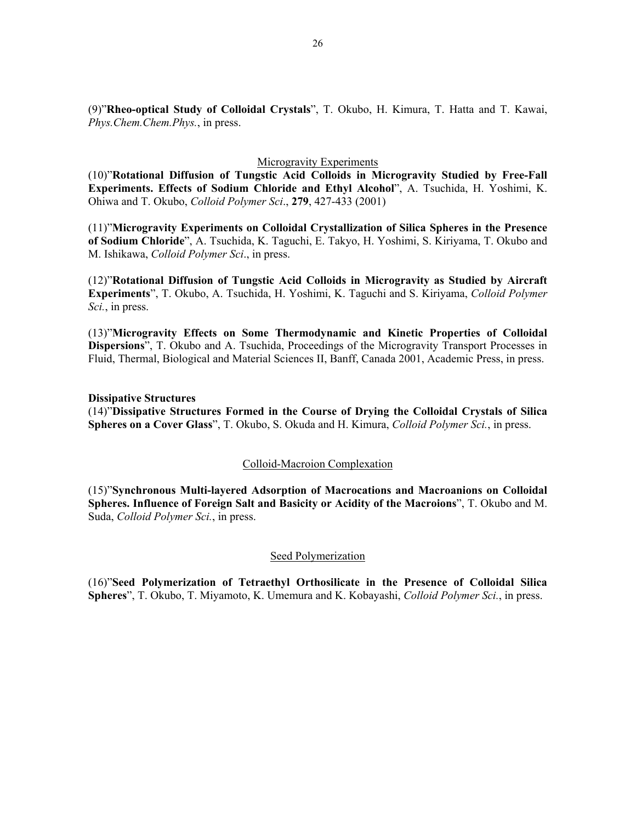(9)"**Rheo-optical Study of Colloidal Crystals**", T. Okubo, H. Kimura, T. Hatta and T. Kawai, *Phys.Chem.Chem.Phys.*, in press.

#### Microgravity Experiments

(10)"**Rotational Diffusion of Tungstic Acid Colloids in Microgravity Studied by Free-Fall Experiments. Effects of Sodium Chloride and Ethyl Alcohol**", A. Tsuchida, H. Yoshimi, K. Ohiwa and T. Okubo, *Colloid Polymer Sci*., **279**, 427-433 (2001)

(11)"**Microgravity Experiments on Colloidal Crystallization of Silica Spheres in the Presence of Sodium Chloride**", A. Tsuchida, K. Taguchi, E. Takyo, H. Yoshimi, S. Kiriyama, T. Okubo and M. Ishikawa, *Colloid Polymer Sci*., in press.

(12)"**Rotational Diffusion of Tungstic Acid Colloids in Microgravity as Studied by Aircraft Experiments**", T. Okubo, A. Tsuchida, H. Yoshimi, K. Taguchi and S. Kiriyama, *Colloid Polymer Sci.*, in press.

(13)"**Microgravity Effects on Some Thermodynamic and Kinetic Properties of Colloidal Dispersions**", T. Okubo and A. Tsuchida, Proceedings of the Microgravity Transport Processes in Fluid, Thermal, Biological and Material Sciences II, Banff, Canada 2001, Academic Press, in press.

# **Dissipative Structures**  (14)"**Dissipative Structures Formed in the Course of Drying the Colloidal Crystals of Silica Spheres on a Cover Glass**", T. Okubo, S. Okuda and H. Kimura, *Colloid Polymer Sci.*, in press.

## Colloid-Macroion Complexation

(15)"**Synchronous Multi-layered Adsorption of Macrocations and Macroanions on Colloidal Spheres. Influence of Foreign Salt and Basicity or Acidity of the Macroions**", T. Okubo and M. Suda, *Colloid Polymer Sci.*, in press.

#### Seed Polymerization

(16)"**Seed Polymerization of Tetraethyl Orthosilicate in the Presence of Colloidal Silica Spheres**", T. Okubo, T. Miyamoto, K. Umemura and K. Kobayashi, *Colloid Polymer Sci.*, in press.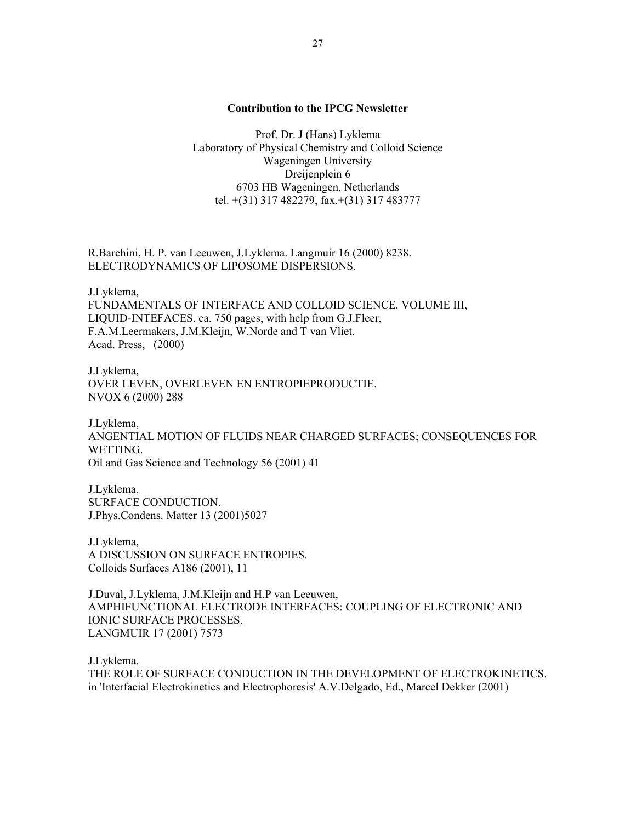# **Contribution to the IPCG Newsletter**

Prof. Dr. J (Hans) Lyklema Laboratory of Physical Chemistry and Colloid Science Wageningen University Dreijenplein 6 6703 HB Wageningen, Netherlands tel. +(31) 317 482279, fax.+(31) 317 483777

R.Barchini, H. P. van Leeuwen, J.Lyklema. Langmuir 16 (2000) 8238. ELECTRODYNAMICS OF LIPOSOME DISPERSIONS.

J.Lyklema,

FUNDAMENTALS OF INTERFACE AND COLLOID SCIENCE. VOLUME III, LIQUID-INTEFACES. ca. 750 pages, with help from G.J.Fleer, F.A.M.Leermakers, J.M.Kleijn, W.Norde and T van Vliet. Acad. Press, (2000)

J.Lyklema, OVER LEVEN, OVERLEVEN EN ENTROPIEPRODUCTIE. NVOX 6 (2000) 288

J.Lyklema, ANGENTIAL MOTION OF FLUIDS NEAR CHARGED SURFACES; CONSEQUENCES FOR WETTING. Oil and Gas Science and Technology 56 (2001) 41

J.Lyklema, SURFACE CONDUCTION. J.Phys.Condens. Matter 13 (2001)5027

J.Lyklema, A DISCUSSION ON SURFACE ENTROPIES. Colloids Surfaces A186 (2001), 11

J.Duval, J.Lyklema, J.M.Kleijn and H.P van Leeuwen, AMPHIFUNCTIONAL ELECTRODE INTERFACES: COUPLING OF ELECTRONIC AND IONIC SURFACE PROCESSES. LANGMUIR 17 (2001) 7573

J.Lyklema.

THE ROLE OF SURFACE CONDUCTION IN THE DEVELOPMENT OF ELECTROKINETICS. in 'Interfacial Electrokinetics and Electrophoresis' A.V.Delgado, Ed., Marcel Dekker (2001)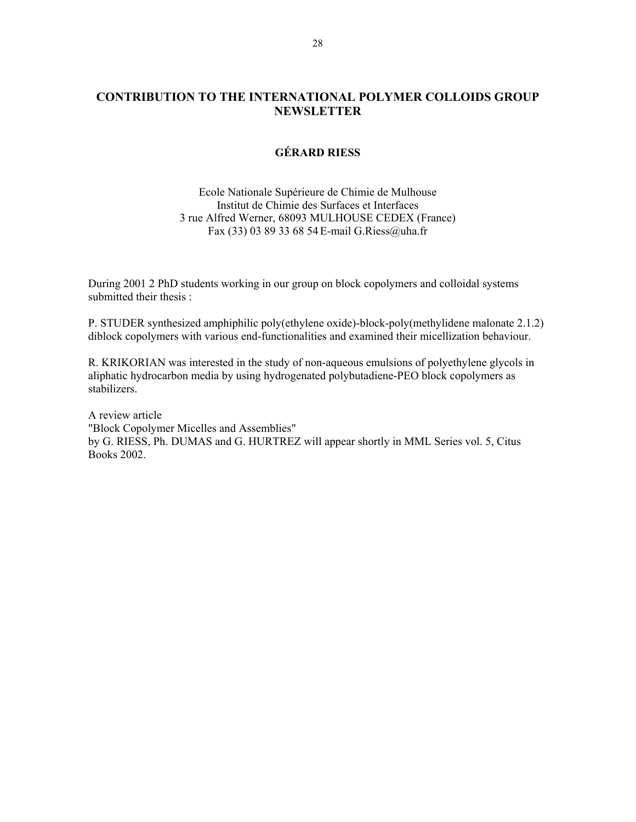# **CONTRIBUTION TO THE INTERNATIONAL POLYMER COLLOIDS GROUP NEWSLETTER**

# **GÉRARD RIESS**

Ecole Nationale Supérieure de Chimie de Mulhouse Institut de Chimie des Surfaces et Interfaces 3 rue Alfred Werner, 68093 MULHOUSE CEDEX (France) Fax (33) 03 89 33 68 54 E-mail G.Riess@uha.fr

During 2001 2 PhD students working in our group on block copolymers and colloidal systems submitted their thesis :

P. STUDER synthesized amphiphilic poly(ethylene oxide)-block-poly(methylidene malonate 2.1.2) diblock copolymers with various end-functionalities and examined their micellization behaviour.

R. KRIKORIAN was interested in the study of non-aqueous emulsions of polyethylene glycols in aliphatic hydrocarbon media by using hydrogenated polybutadiene-PEO block copolymers as stabilizers.

A review article "Block Copolymer Micelles and Assemblies" by G. RIESS, Ph. DUMAS and G. HURTREZ will appear shortly in MML Series vol. 5, Citus Books 2002.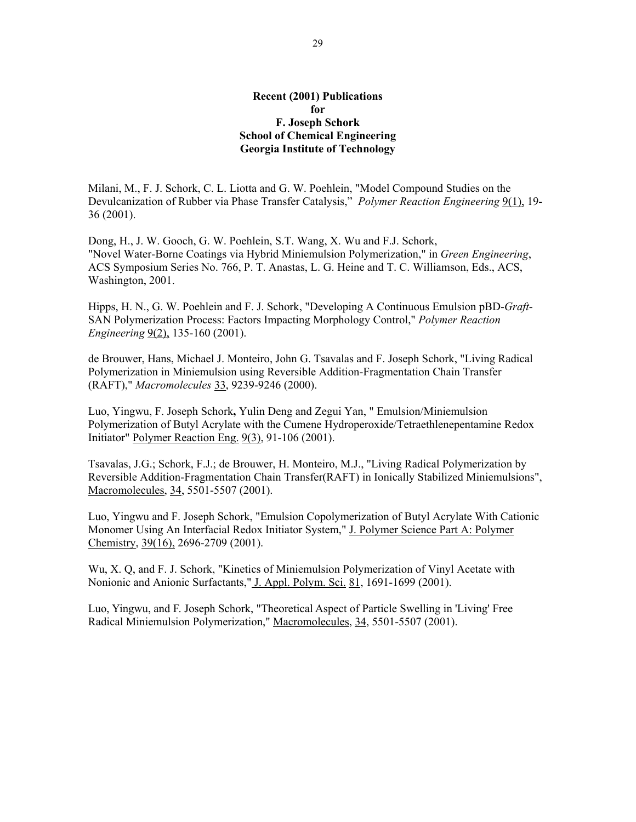# **Recent (2001) Publications for F. Joseph Schork School of Chemical Engineering Georgia Institute of Technology**

Milani, M., F. J. Schork, C. L. Liotta and G. W. Poehlein, "Model Compound Studies on the Devulcanization of Rubber via Phase Transfer Catalysis," *Polymer Reaction Engineering* 9(1), 19- 36 (2001).

Dong, H., J. W. Gooch, G. W. Poehlein, S.T. Wang, X. Wu and F.J. Schork, "Novel Water-Borne Coatings via Hybrid Miniemulsion Polymerization," in *Green Engineering*, ACS Symposium Series No. 766, P. T. Anastas, L. G. Heine and T. C. Williamson, Eds., ACS, Washington, 2001.

Hipps, H. N., G. W. Poehlein and F. J. Schork, "Developing A Continuous Emulsion pBD-*Graft*-SAN Polymerization Process: Factors Impacting Morphology Control," *Polymer Reaction Engineering* 9(2), 135-160 (2001).

de Brouwer, Hans, Michael J. Monteiro, John G. Tsavalas and F. Joseph Schork, "Living Radical Polymerization in Miniemulsion using Reversible Addition-Fragmentation Chain Transfer (RAFT)," *Macromolecules* 33, 9239-9246 (2000).

Luo, Yingwu, F. Joseph Schork**,** Yulin Deng and Zegui Yan, " Emulsion/Miniemulsion Polymerization of Butyl Acrylate with the Cumene Hydroperoxide/Tetraethlenepentamine Redox Initiator" Polymer Reaction Eng. 9(3), 91-106 (2001).

Tsavalas, J.G.; Schork, F.J.; de Brouwer, H. Monteiro, M.J., "Living Radical Polymerization by Reversible Addition-Fragmentation Chain Transfer(RAFT) in Ionically Stabilized Miniemulsions", Macromolecules, 34, 5501-5507 (2001).

Luo, Yingwu and F. Joseph Schork, "Emulsion Copolymerization of Butyl Acrylate With Cationic Monomer Using An Interfacial Redox Initiator System," J. Polymer Science Part A: Polymer Chemistry, 39(16), 2696-2709 (2001).

Wu, X. Q, and F. J. Schork, "Kinetics of Miniemulsion Polymerization of Vinyl Acetate with Nonionic and Anionic Surfactants," J. Appl. Polym. Sci. 81, 1691-1699 (2001).

Luo, Yingwu, and F. Joseph Schork, "Theoretical Aspect of Particle Swelling in 'Living' Free Radical Miniemulsion Polymerization," Macromolecules, 34, 5501-5507 (2001).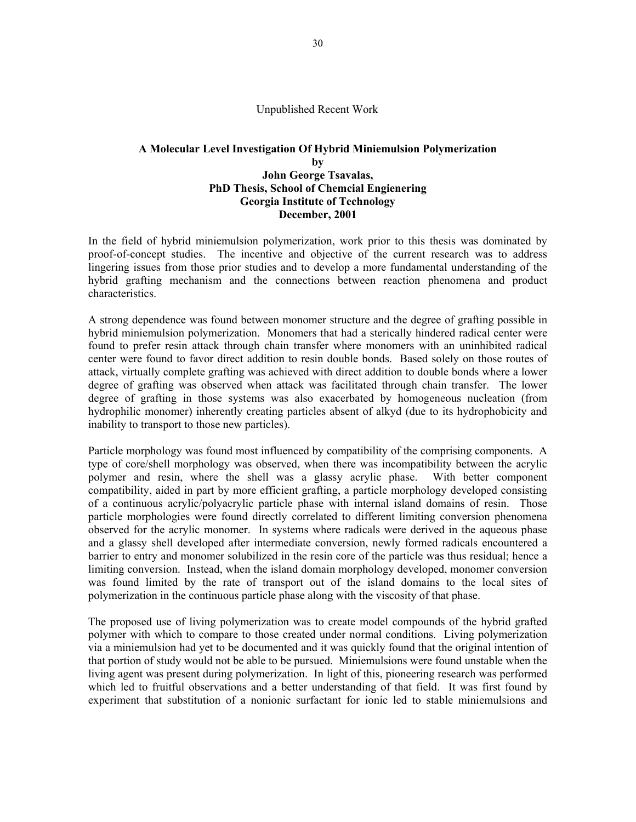#### Unpublished Recent Work

# **A Molecular Level Investigation Of Hybrid Miniemulsion Polymerization by John George Tsavalas, PhD Thesis, School of Chemcial Engienering Georgia Institute of Technology December, 2001**

In the field of hybrid miniemulsion polymerization, work prior to this thesis was dominated by proof-of-concept studies. The incentive and objective of the current research was to address lingering issues from those prior studies and to develop a more fundamental understanding of the hybrid grafting mechanism and the connections between reaction phenomena and product characteristics.

A strong dependence was found between monomer structure and the degree of grafting possible in hybrid miniemulsion polymerization. Monomers that had a sterically hindered radical center were found to prefer resin attack through chain transfer where monomers with an uninhibited radical center were found to favor direct addition to resin double bonds. Based solely on those routes of attack, virtually complete grafting was achieved with direct addition to double bonds where a lower degree of grafting was observed when attack was facilitated through chain transfer. The lower degree of grafting in those systems was also exacerbated by homogeneous nucleation (from hydrophilic monomer) inherently creating particles absent of alkyd (due to its hydrophobicity and inability to transport to those new particles).

Particle morphology was found most influenced by compatibility of the comprising components. A type of core/shell morphology was observed, when there was incompatibility between the acrylic polymer and resin, where the shell was a glassy acrylic phase. With better component compatibility, aided in part by more efficient grafting, a particle morphology developed consisting of a continuous acrylic/polyacrylic particle phase with internal island domains of resin. Those particle morphologies were found directly correlated to different limiting conversion phenomena observed for the acrylic monomer. In systems where radicals were derived in the aqueous phase and a glassy shell developed after intermediate conversion, newly formed radicals encountered a barrier to entry and monomer solubilized in the resin core of the particle was thus residual; hence a limiting conversion. Instead, when the island domain morphology developed, monomer conversion was found limited by the rate of transport out of the island domains to the local sites of polymerization in the continuous particle phase along with the viscosity of that phase.

The proposed use of living polymerization was to create model compounds of the hybrid grafted polymer with which to compare to those created under normal conditions. Living polymerization via a miniemulsion had yet to be documented and it was quickly found that the original intention of that portion of study would not be able to be pursued. Miniemulsions were found unstable when the living agent was present during polymerization. In light of this, pioneering research was performed which led to fruitful observations and a better understanding of that field. It was first found by experiment that substitution of a nonionic surfactant for ionic led to stable miniemulsions and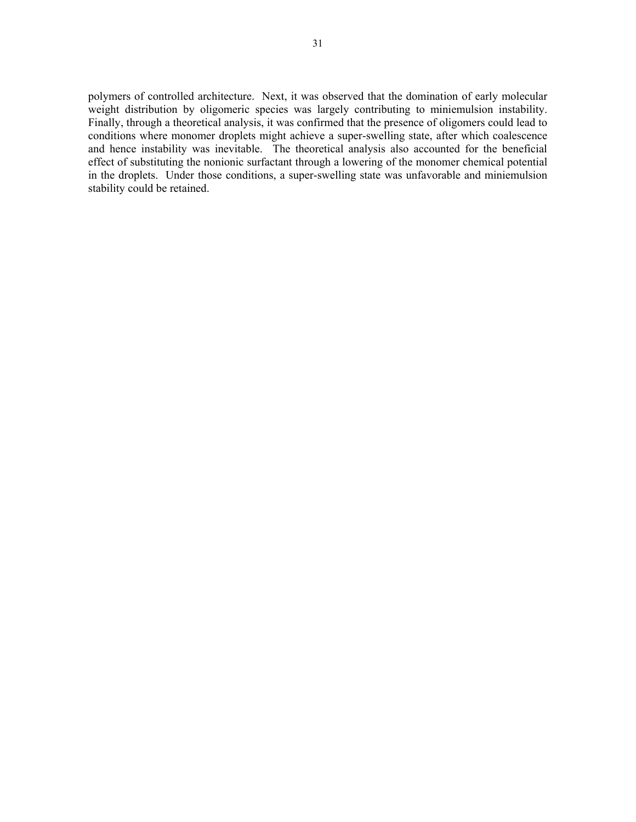polymers of controlled architecture. Next, it was observed that the domination of early molecular weight distribution by oligomeric species was largely contributing to miniemulsion instability. Finally, through a theoretical analysis, it was confirmed that the presence of oligomers could lead to conditions where monomer droplets might achieve a super-swelling state, after which coalescence and hence instability was inevitable. The theoretical analysis also accounted for the beneficial effect of substituting the nonionic surfactant through a lowering of the monomer chemical potential in the droplets. Under those conditions, a super-swelling state was unfavorable and miniemulsion stability could be retained.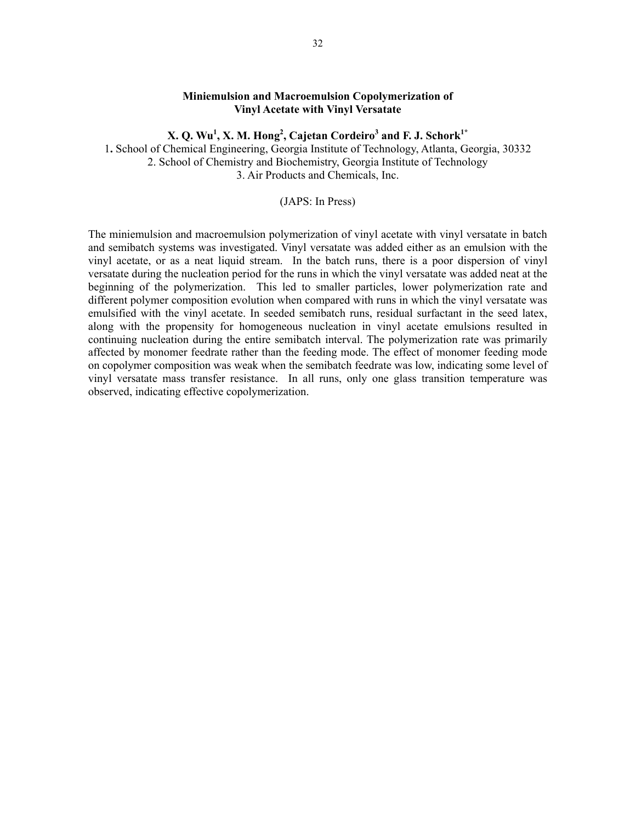# **Miniemulsion and Macroemulsion Copolymerization of Vinyl Acetate with Vinyl Versatate**

**X. Q. Wu1 , X. M. Hong<sup>2</sup> , Cajetan Cordeiro<sup>3</sup> and F. J. Schork1\*** 1**.** School of Chemical Engineering, Georgia Institute of Technology, Atlanta, Georgia, 30332 2. School of Chemistry and Biochemistry, Georgia Institute of Technology 3. Air Products and Chemicals, Inc.

#### (JAPS: In Press)

The miniemulsion and macroemulsion polymerization of vinyl acetate with vinyl versatate in batch and semibatch systems was investigated. Vinyl versatate was added either as an emulsion with the vinyl acetate, or as a neat liquid stream. In the batch runs, there is a poor dispersion of vinyl versatate during the nucleation period for the runs in which the vinyl versatate was added neat at the beginning of the polymerization. This led to smaller particles, lower polymerization rate and different polymer composition evolution when compared with runs in which the vinyl versatate was emulsified with the vinyl acetate. In seeded semibatch runs, residual surfactant in the seed latex, along with the propensity for homogeneous nucleation in vinyl acetate emulsions resulted in continuing nucleation during the entire semibatch interval. The polymerization rate was primarily affected by monomer feedrate rather than the feeding mode. The effect of monomer feeding mode on copolymer composition was weak when the semibatch feedrate was low, indicating some level of vinyl versatate mass transfer resistance. In all runs, only one glass transition temperature was observed, indicating effective copolymerization.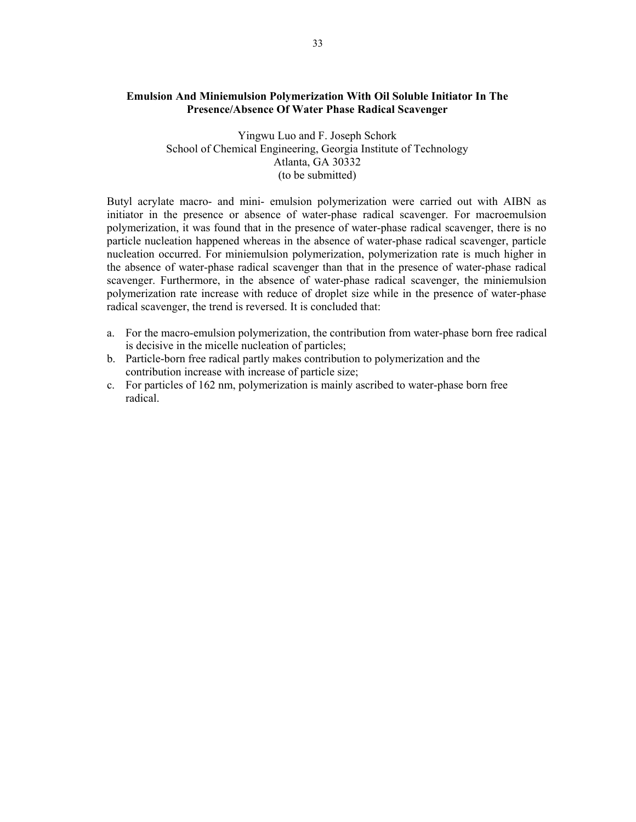# **Emulsion And Miniemulsion Polymerization With Oil Soluble Initiator In The Presence/Absence Of Water Phase Radical Scavenger**

Yingwu Luo and F. Joseph Schork School of Chemical Engineering, Georgia Institute of Technology Atlanta, GA 30332 (to be submitted)

Butyl acrylate macro- and mini- emulsion polymerization were carried out with AIBN as initiator in the presence or absence of water-phase radical scavenger. For macroemulsion polymerization, it was found that in the presence of water-phase radical scavenger, there is no particle nucleation happened whereas in the absence of water-phase radical scavenger, particle nucleation occurred. For miniemulsion polymerization, polymerization rate is much higher in the absence of water-phase radical scavenger than that in the presence of water-phase radical scavenger. Furthermore, in the absence of water-phase radical scavenger, the miniemulsion polymerization rate increase with reduce of droplet size while in the presence of water-phase radical scavenger, the trend is reversed. It is concluded that:

- a. For the macro-emulsion polymerization, the contribution from water-phase born free radical is decisive in the micelle nucleation of particles;
- b. Particle-born free radical partly makes contribution to polymerization and the contribution increase with increase of particle size;
- c. For particles of 162 nm, polymerization is mainly ascribed to water-phase born free radical.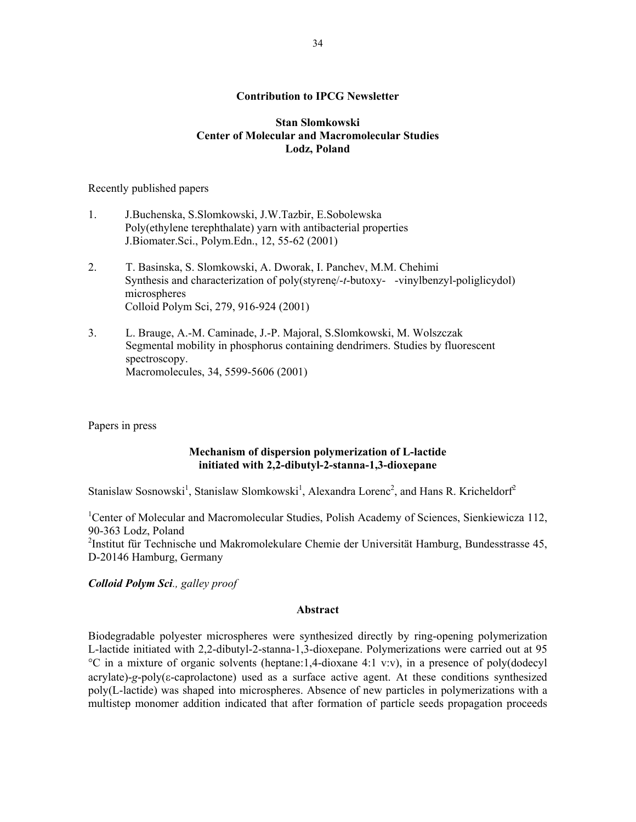# **Contribution to IPCG Newsletter**

# **Stan Slomkowski Center of Molecular and Macromolecular Studies Lodz, Poland**

Recently published papers

- 1. J.Buchenska, S.Slomkowski, J.W.Tazbir, E.Sobolewska Poly(ethylene terephthalate) yarn with antibacterial properties J.Biomater.Sci., Polym.Edn., 12, 55-62 (2001)
- 2. T. Basinska, S. Slomkowski, A. Dworak, I. Panchev, M.M. Chehimi Synthesis and characterization of poly(styrene/-*t*-butoxy--vinylbenzyl-poliglicydol) microspheres Colloid Polym Sci, 279, 916-924 (2001)
- 3. L. Brauge, A.-M. Caminade, J.-P. Majoral, S.Slomkowski, M. Wolszczak Segmental mobility in phosphorus containing dendrimers. Studies by fluorescent spectroscopy. Macromolecules, 34, 5599-5606 (2001)

Papers in press

# **Mechanism of dispersion polymerization of L-lactide initiated with 2,2-dibutyl-2-stanna-1,3-dioxepane**

Stanislaw Sosnowski<sup>1</sup>, Stanislaw Slomkowski<sup>1</sup>, Alexandra Lorenc<sup>2</sup>, and Hans R. Kricheldorf<sup>2</sup>

<sup>1</sup>Center of Molecular and Macromolecular Studies, Polish Academy of Sciences, Sienkiewicza 112, 90-363 Lodz, Poland

<sup>2</sup>Institut für Technische und Makromolekulare Chemie der Universität Hamburg, Bundesstrasse 45, D-20146 Hamburg, Germany

*Colloid Polym Sci., galley proof* 

#### **Abstract**

Biodegradable polyester microspheres were synthesized directly by ring-opening polymerization L-lactide initiated with 2,2-dibutyl-2-stanna-1,3-dioxepane. Polymerizations were carried out at 95 °C in a mixture of organic solvents (heptane:1,4-dioxane 4:1 v:v), in a presence of poly(dodecyl  $\text{acrylate}-g\text{-poly}(\epsilon\text{-caprelated})$  used as a surface active agent. At these conditions synthesized poly(L-lactide) was shaped into microspheres. Absence of new particles in polymerizations with a multistep monomer addition indicated that after formation of particle seeds propagation proceeds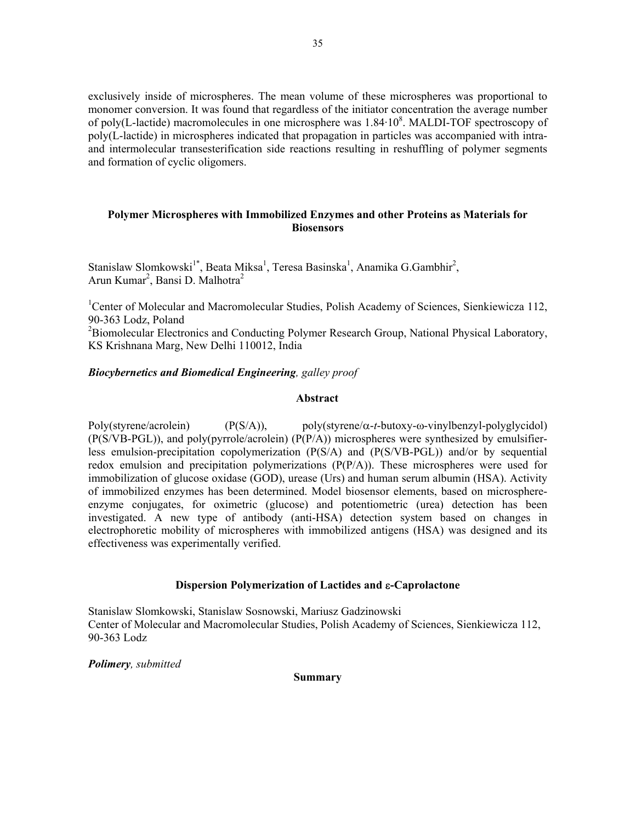exclusively inside of microspheres. The mean volume of these microspheres was proportional to monomer conversion. It was found that regardless of the initiator concentration the average number of poly(L-lactide) macromolecules in one microsphere was 1.84·10<sup>8</sup>. MALDI-TOF spectroscopy of poly(L-lactide) in microspheres indicated that propagation in particles was accompanied with intraand intermolecular transesterification side reactions resulting in reshuffling of polymer segments and formation of cyclic oligomers.

# **Polymer Microspheres with Immobilized Enzymes and other Proteins as Materials for Biosensors**

Stanislaw Slomkowski<sup>1\*</sup>, Beata Miksa<sup>1</sup>, Teresa Basinska<sup>1</sup>, Anamika G.Gambhir<sup>2</sup>, Arun Kumar<sup>2</sup>, Bansi D. Malhotra<sup>2</sup>

<sup>1</sup>Center of Molecular and Macromolecular Studies, Polish Academy of Sciences, Sienkiewicza 112, 90-363 Lodz, Poland

<sup>2</sup> Biomolecular Electronics and Conducting Polymer Research Group, National Physical Laboratory, KS Krishnana Marg, New Delhi 110012, India

# *Biocybernetics and Biomedical Engineering, galley proof*

#### **Abstract**

Poly(styrene/acrolein) (P(S/A)), poly(styrene/α-*t*-butoxy-ω-vinylbenzyl-polyglycidol)  $(P(S/VB-PGL))$ , and poly(pyrrole/acrolein)  $(P(A))$  microspheres were synthesized by emulsifierless emulsion-precipitation copolymerization (P(S/A) and (P(S/VB-PGL)) and/or by sequential redox emulsion and precipitation polymerizations  $(P(P/A))$ . These microspheres were used for immobilization of glucose oxidase (GOD), urease (Urs) and human serum albumin (HSA). Activity of immobilized enzymes has been determined. Model biosensor elements, based on microsphereenzyme conjugates, for oximetric (glucose) and potentiometric (urea) detection has been investigated. A new type of antibody (anti-HSA) detection system based on changes in electrophoretic mobility of microspheres with immobilized antigens (HSA) was designed and its effectiveness was experimentally verified.

#### **Dispersion Polymerization of Lactides and** ε**-Caprolactone**

Stanislaw Slomkowski, Stanislaw Sosnowski, Mariusz Gadzinowski Center of Molecular and Macromolecular Studies, Polish Academy of Sciences, Sienkiewicza 112, 90-363 Lodz

*Polimery, submitted* 

**Summary**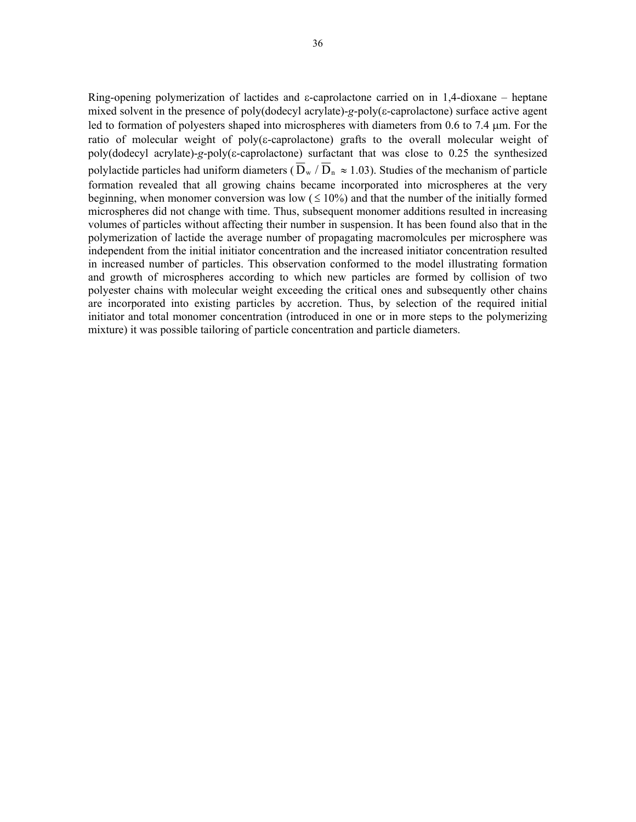Ring-opening polymerization of lactides and ε-caprolactone carried on in 1,4-dioxane – heptane mixed solvent in the presence of poly(dodecyl acrylate)-*g*-poly(ε-caprolactone) surface active agent led to formation of polyesters shaped into microspheres with diameters from 0.6 to 7.4  $\mu$ m. For the ratio of molecular weight of poly(ε-caprolactone) grafts to the overall molecular weight of poly(dodecyl acrylate)-*g*-poly(ε-caprolactone) surfactant that was close to 0.25 the synthesized polylactide particles had uniform diameters ( $\overline{D}_w / \overline{D}_n \approx 1.03$ ). Studies of the mechanism of particle formation revealed that all growing chains became incorporated into microspheres at the very beginning, when monomer conversion was low  $( \leq 10\%)$  and that the number of the initially formed microspheres did not change with time. Thus, subsequent monomer additions resulted in increasing volumes of particles without affecting their number in suspension. It has been found also that in the polymerization of lactide the average number of propagating macromolcules per microsphere was independent from the initial initiator concentration and the increased initiator concentration resulted in increased number of particles. This observation conformed to the model illustrating formation and growth of microspheres according to which new particles are formed by collision of two polyester chains with molecular weight exceeding the critical ones and subsequently other chains are incorporated into existing particles by accretion. Thus, by selection of the required initial initiator and total monomer concentration (introduced in one or in more steps to the polymerizing mixture) it was possible tailoring of particle concentration and particle diameters.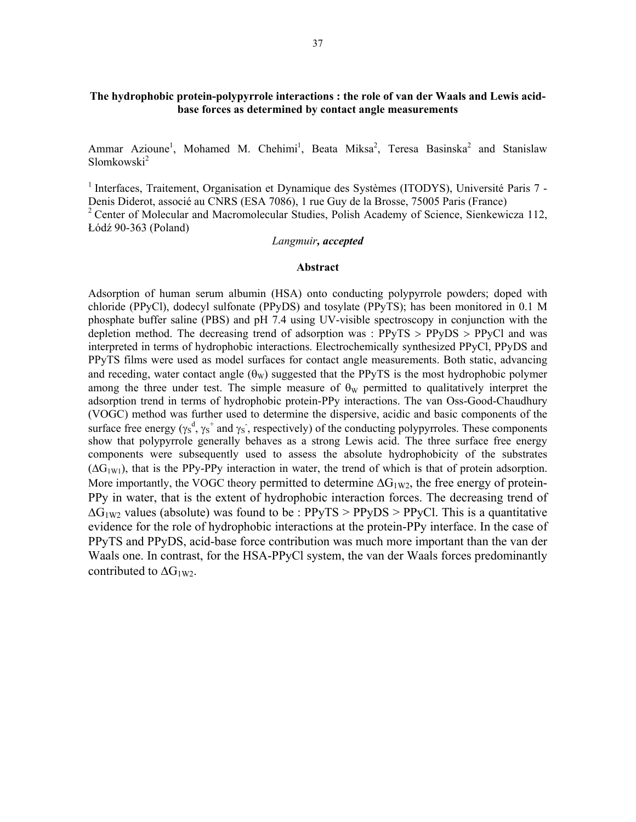## **The hydrophobic protein-polypyrrole interactions : the role of van der Waals and Lewis acidbase forces as determined by contact angle measurements**

Ammar Azioune<sup>1</sup>, Mohamed M. Chehimi<sup>1</sup>, Beata Miksa<sup>2</sup>, Teresa Basinska<sup>2</sup> and Stanislaw Slomkowski2

<sup>1</sup> Interfaces, Traitement, Organisation et Dynamique des Systèmes (ITODYS), Université Paris 7 -Denis Diderot, associé au CNRS (ESA 7086), 1 rue Guy de la Brosse, 75005 Paris (France) <sup>2</sup> Center of Molecular and Macromolecular Studies, Polish Academy of Science, Sienkewicza 112, Łódź 90-363 (Poland)

### *Langmuir, accepted*

### **Abstract**

Adsorption of human serum albumin (HSA) onto conducting polypyrrole powders; doped with chloride (PPyCl), dodecyl sulfonate (PPyDS) and tosylate (PPyTS); has been monitored in 0.1 M phosphate buffer saline (PBS) and pH 7.4 using UV-visible spectroscopy in conjunction with the depletion method. The decreasing trend of adsorption was : PPyTS > PPyDS > PPyCl and was interpreted in terms of hydrophobic interactions. Electrochemically synthesized PPyCl, PPyDS and PPyTS films were used as model surfaces for contact angle measurements. Both static, advancing and receding, water contact angle  $(\theta_W)$  suggested that the PPyTS is the most hydrophobic polymer among the three under test. The simple measure of  $\theta_W$  permitted to qualitatively interpret the adsorption trend in terms of hydrophobic protein-PPy interactions. The van Oss-Good-Chaudhury (VOGC) method was further used to determine the dispersive, acidic and basic components of the surface free energy ( $\gamma_s^d$ ,  $\gamma_s^+$  and  $\gamma_s^-$ , respectively) of the conducting polypyrroles. These components show that polypyrrole generally behaves as a strong Lewis acid. The three surface free energy components were subsequently used to assess the absolute hydrophobicity of the substrates  $(\Delta G_{1W1})$ , that is the PPy-PPy interaction in water, the trend of which is that of protein adsorption. More importantly, the VOGC theory permitted to determine  $\Delta G_{1W2}$ , the free energy of protein-PPy in water, that is the extent of hydrophobic interaction forces. The decreasing trend of  $\Delta G_{1W2}$  values (absolute) was found to be : PPyTS > PPyDS > PPyCl. This is a quantitative evidence for the role of hydrophobic interactions at the protein-PPy interface. In the case of PPyTS and PPyDS, acid-base force contribution was much more important than the van der Waals one. In contrast, for the HSA-PPyCl system, the van der Waals forces predominantly contributed to  $\Delta G_{1W2}$ .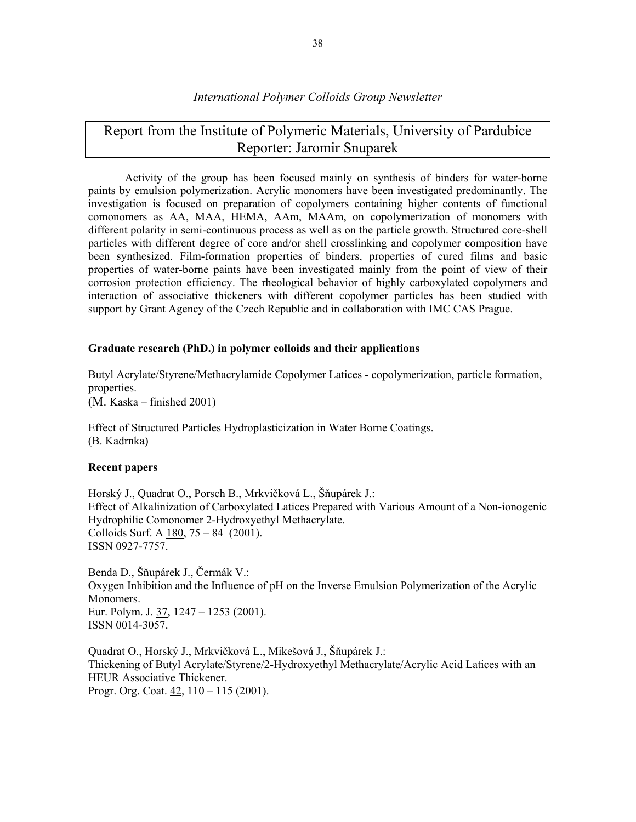## *International Polymer Colloids Group Newsletter*

# Report from the Institute of Polymeric Materials, University of Pardubice Reporter: Jaromir Snuparek

Activity of the group has been focused mainly on synthesis of binders for water-borne paints by emulsion polymerization. Acrylic monomers have been investigated predominantly. The investigation is focused on preparation of copolymers containing higher contents of functional comonomers as AA, MAA, HEMA, AAm, MAAm, on copolymerization of monomers with different polarity in semi-continuous process as well as on the particle growth. Structured core-shell particles with different degree of core and/or shell crosslinking and copolymer composition have been synthesized. Film-formation properties of binders, properties of cured films and basic properties of water-borne paints have been investigated mainly from the point of view of their corrosion protection efficiency. The rheological behavior of highly carboxylated copolymers and interaction of associative thickeners with different copolymer particles has been studied with support by Grant Agency of the Czech Republic and in collaboration with IMC CAS Prague.

### **Graduate research (PhD.) in polymer colloids and their applications**

Butyl Acrylate/Styrene/Methacrylamide Copolymer Latices - copolymerization, particle formation, properties. (M. Kaska – finished 2001)

Effect of Structured Particles Hydroplasticization in Water Borne Coatings. (B. Kadrnka)

### **Recent papers**

Horský J., Quadrat O., Porsch B., Mrkvičková L., Šňupárek J.: Effect of Alkalinization of Carboxylated Latices Prepared with Various Amount of a Non-ionogenic Hydrophilic Comonomer 2-Hydroxyethyl Methacrylate. Colloids Surf. A 180, 75 – 84 (2001). ISSN 0927-7757.

Benda D., Šňupárek J., Čermák V.: Oxygen Inhibition and the Influence of pH on the Inverse Emulsion Polymerization of the Acrylic Monomers. Eur. Polym. J. 37, 1247 – 1253 (2001). ISSN 0014-3057.

Quadrat O., Horský J., Mrkvičková L., Mikešová J., Šňupárek J.: Thickening of Butyl Acrylate/Styrene/2-Hydroxyethyl Methacrylate/Acrylic Acid Latices with an HEUR Associative Thickener. Progr. Org. Coat.  $42$ , 110 – 115 (2001).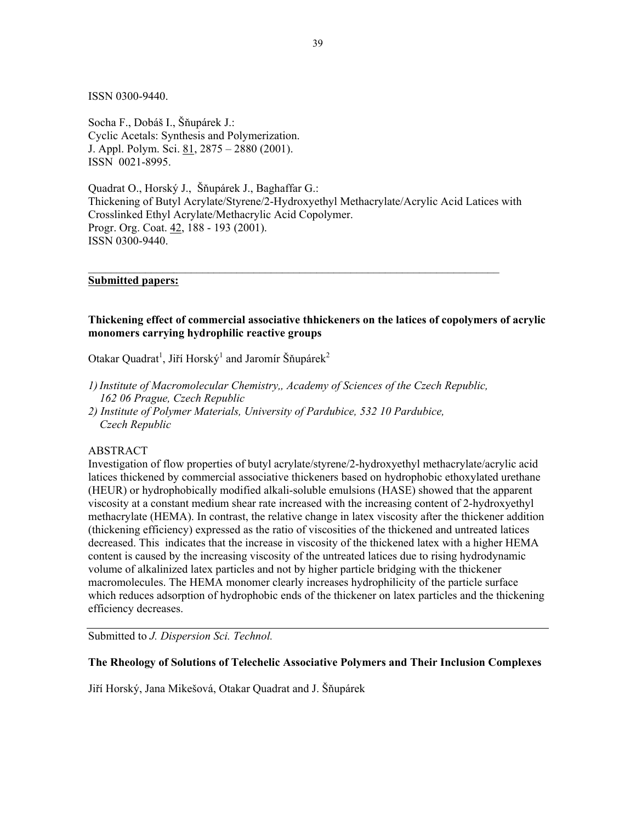ISSN 0300-9440.

Socha F., Dobáš I., Šňupárek J.: Cyclic Acetals: Synthesis and Polymerization. J. Appl. Polym. Sci. 81, 2875 – 2880 (2001). ISSN 0021-8995.

Quadrat O., Horský J., Šňupárek J., Baghaffar G.: Thickening of Butyl Acrylate/Styrene/2-Hydroxyethyl Methacrylate/Acrylic Acid Latices with Crosslinked Ethyl Acrylate/Methacrylic Acid Copolymer. Progr. Org. Coat. 42, 188 - 193 (2001). ISSN 0300-9440.

 $\mathcal{L}_\text{max} = \frac{1}{2} \sum_{i=1}^n \mathcal{L}_\text{max} = \frac{1}{2} \sum_{i=1}^n \mathcal{L}_\text{max} = \frac{1}{2} \sum_{i=1}^n \mathcal{L}_\text{max} = \frac{1}{2} \sum_{i=1}^n \mathcal{L}_\text{max} = \frac{1}{2} \sum_{i=1}^n \mathcal{L}_\text{max} = \frac{1}{2} \sum_{i=1}^n \mathcal{L}_\text{max} = \frac{1}{2} \sum_{i=1}^n \mathcal{L}_\text{max} = \frac{1}{2} \sum_{i=$ 

### **Submitted papers:**

## **Thickening effect of commercial associative thhickeners on the latices of copolymers of acrylic monomers carrying hydrophilic reactive groups**

Otakar Quadrat<sup>1</sup>, Jiří Horský<sup>1</sup> and Jaromír Šňupárek<sup>2</sup>

- *1)Institute of Macromolecular Chemistry,, Academy of Sciences of the Czech Republic, 162 06 Prague, Czech Republic*
- *2) Institute of Polymer Materials, University of Pardubice, 532 10 Pardubice, Czech Republic*

### ABSTRACT

Investigation of flow properties of butyl acrylate/styrene/2-hydroxyethyl methacrylate/acrylic acid latices thickened by commercial associative thickeners based on hydrophobic ethoxylated urethane (HEUR) or hydrophobically modified alkali-soluble emulsions (HASE) showed that the apparent viscosity at a constant medium shear rate increased with the increasing content of 2-hydroxyethyl methacrylate (HEMA). In contrast, the relative change in latex viscosity after the thickener addition (thickening efficiency) expressed as the ratio of viscosities of the thickened and untreated latices decreased. This indicates that the increase in viscosity of the thickened latex with a higher HEMA content is caused by the increasing viscosity of the untreated latices due to rising hydrodynamic volume of alkalinized latex particles and not by higher particle bridging with the thickener macromolecules. The HEMA monomer clearly increases hydrophilicity of the particle surface which reduces adsorption of hydrophobic ends of the thickener on latex particles and the thickening efficiency decreases.

Submitted to *J. Dispersion Sci. Technol.* 

## **The Rheology of Solutions of Telechelic Associative Polymers and Their Inclusion Complexes**

Jiří Horský, Jana Mikešová, Otakar Quadrat and J. Šňupárek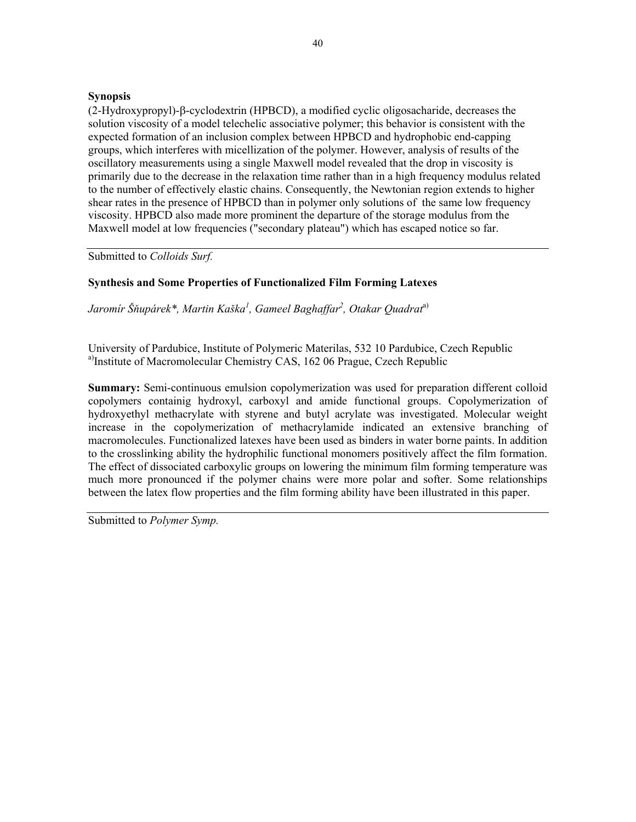## **Synopsis**

(2-Hydroxypropyl)-β-cyclodextrin (HPBCD), a modified cyclic oligosacharide, decreases the solution viscosity of a model telechelic associative polymer; this behavior is consistent with the expected formation of an inclusion complex between HPBCD and hydrophobic end-capping groups, which interferes with micellization of the polymer. However, analysis of results of the oscillatory measurements using a single Maxwell model revealed that the drop in viscosity is primarily due to the decrease in the relaxation time rather than in a high frequency modulus related to the number of effectively elastic chains. Consequently, the Newtonian region extends to higher shear rates in the presence of HPBCD than in polymer only solutions of the same low frequency viscosity. HPBCD also made more prominent the departure of the storage modulus from the Maxwell model at low frequencies ("secondary plateau") which has escaped notice so far.

Submitted to *Colloids Surf.* 

# **Synthesis and Some Properties of Functionalized Film Forming Latexes**

*Jaromír Šňupárek\*, Martin Kaška<sup>1</sup> , Gameel Baghaffar2 , Otakar Quadrat*a)

University of Pardubice, Institute of Polymeric Materilas, 532 10 Pardubice, Czech Republic a)Institute of Macromolecular Chemistry CAS, 162 06 Prague, Czech Republic

**Summary:** Semi-continuous emulsion copolymerization was used for preparation different colloid copolymers containig hydroxyl, carboxyl and amide functional groups. Copolymerization of hydroxyethyl methacrylate with styrene and butyl acrylate was investigated. Molecular weight increase in the copolymerization of methacrylamide indicated an extensive branching of macromolecules. Functionalized latexes have been used as binders in water borne paints. In addition to the crosslinking ability the hydrophilic functional monomers positively affect the film formation. The effect of dissociated carboxylic groups on lowering the minimum film forming temperature was much more pronounced if the polymer chains were more polar and softer. Some relationships between the latex flow properties and the film forming ability have been illustrated in this paper.

Submitted to *Polymer Symp.*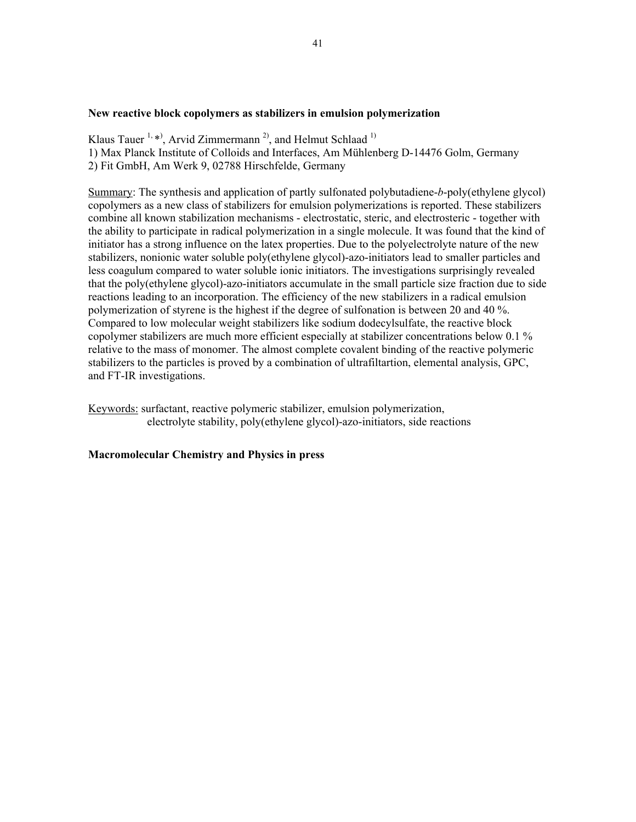### **New reactive block copolymers as stabilizers in emulsion polymerization**

Klaus Tauer<sup>1, \*</sup>, Arvid Zimmermann<sup>2</sup>, and Helmut Schlaad<sup>1)</sup> 1) Max Planck Institute of Colloids and Interfaces, Am Mühlenberg D-14476 Golm, Germany 2) Fit GmbH, Am Werk 9, 02788 Hirschfelde, Germany

Summary: The synthesis and application of partly sulfonated polybutadiene-*b*-poly(ethylene glycol) copolymers as a new class of stabilizers for emulsion polymerizations is reported. These stabilizers combine all known stabilization mechanisms - electrostatic, steric, and electrosteric - together with the ability to participate in radical polymerization in a single molecule. It was found that the kind of initiator has a strong influence on the latex properties. Due to the polyelectrolyte nature of the new stabilizers, nonionic water soluble poly(ethylene glycol)-azo-initiators lead to smaller particles and less coagulum compared to water soluble ionic initiators. The investigations surprisingly revealed that the poly(ethylene glycol)-azo-initiators accumulate in the small particle size fraction due to side reactions leading to an incorporation. The efficiency of the new stabilizers in a radical emulsion polymerization of styrene is the highest if the degree of sulfonation is between 20 and 40 %. Compared to low molecular weight stabilizers like sodium dodecylsulfate, the reactive block copolymer stabilizers are much more efficient especially at stabilizer concentrations below 0.1 % relative to the mass of monomer. The almost complete covalent binding of the reactive polymeric stabilizers to the particles is proved by a combination of ultrafiltartion, elemental analysis, GPC, and FT-IR investigations.

Keywords: surfactant, reactive polymeric stabilizer, emulsion polymerization, electrolyte stability, poly(ethylene glycol)-azo-initiators, side reactions

**Macromolecular Chemistry and Physics in press**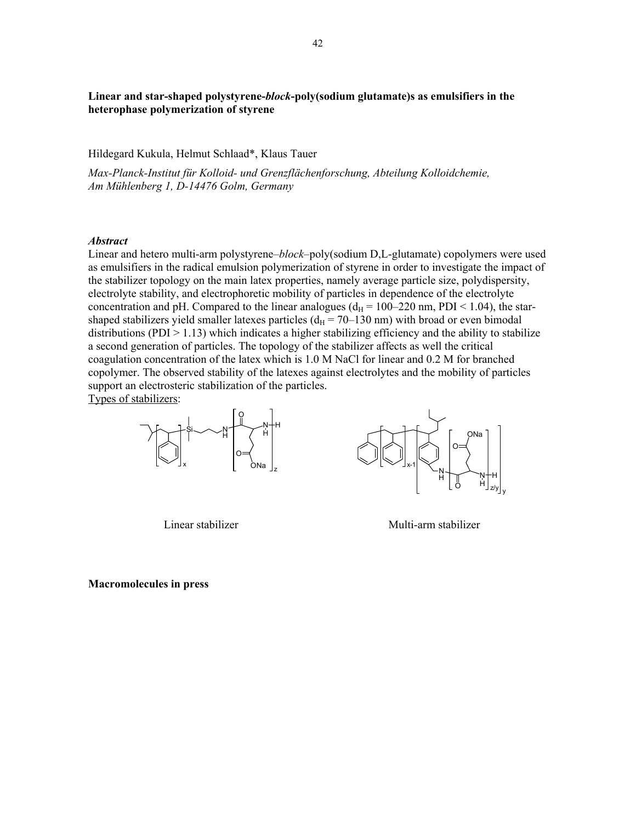# **Linear and star-shaped polystyrene-***block***-poly(sodium glutamate)s as emulsifiers in the heterophase polymerization of styrene**

Hildegard Kukula, Helmut Schlaad\*, Klaus Tauer

*Max-Planck-Institut für Kolloid- und Grenzflächenforschung, Abteilung Kolloidchemie, Am Mühlenberg 1, D-14476 Golm, Germany* 

### *Abstract*

Linear and hetero multi-arm polystyrene–*block*–poly(sodium D,L-glutamate) copolymers were used as emulsifiers in the radical emulsion polymerization of styrene in order to investigate the impact of the stabilizer topology on the main latex properties, namely average particle size, polydispersity, electrolyte stability, and electrophoretic mobility of particles in dependence of the electrolyte concentration and pH. Compared to the linear analogues ( $d_H = 100-220$  nm, PDI < 1.04), the starshaped stabilizers yield smaller latexes particles ( $d_H$  = 70–130 nm) with broad or even bimodal distributions (PDI  $> 1.13$ ) which indicates a higher stabilizing efficiency and the ability to stabilize a second generation of particles. The topology of the stabilizer affects as well the critical coagulation concentration of the latex which is 1.0 M NaCl for linear and 0.2 M for branched copolymer. The observed stability of the latexes against electrolytes and the mobility of particles support an electrosteric stabilization of the particles.

Types of stabilizers:





Linear stabilizer Multi-arm stabilizer

**Macromolecules in press**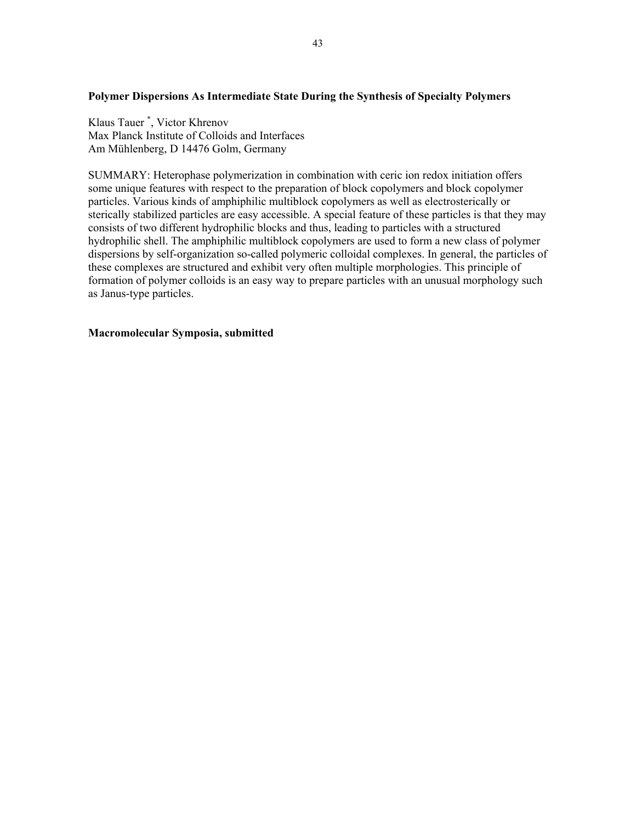## **Polymer Dispersions As Intermediate State During the Synthesis of Specialty Polymers**

Klaus Tauer \* , Victor Khrenov Max Planck Institute of Colloids and Interfaces Am Mühlenberg, D 14476 Golm, Germany

SUMMARY: Heterophase polymerization in combination with ceric ion redox initiation offers some unique features with respect to the preparation of block copolymers and block copolymer particles. Various kinds of amphiphilic multiblock copolymers as well as electrosterically or sterically stabilized particles are easy accessible. A special feature of these particles is that they may consists of two different hydrophilic blocks and thus, leading to particles with a structured hydrophilic shell. The amphiphilic multiblock copolymers are used to form a new class of polymer dispersions by self-organization so-called polymeric colloidal complexes. In general, the particles of these complexes are structured and exhibit very often multiple morphologies. This principle of formation of polymer colloids is an easy way to prepare particles with an unusual morphology such as Janus-type particles.

## **Macromolecular Symposia, submitted**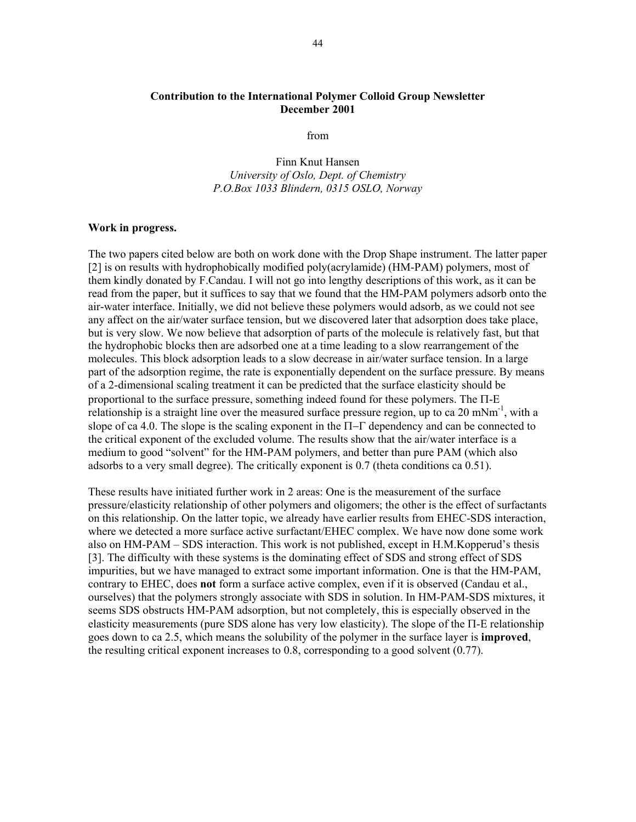## **Contribution to the International Polymer Colloid Group Newsletter December 2001**

from

Finn Knut Hansen *University of Oslo, Dept. of Chemistry P.O.Box 1033 Blindern, 0315 OSLO, Norway* 

### **Work in progress.**

The two papers cited below are both on work done with the Drop Shape instrument. The latter paper [2] is on results with hydrophobically modified poly(acrylamide) (HM-PAM) polymers, most of them kindly donated by F.Candau. I will not go into lengthy descriptions of this work, as it can be read from the paper, but it suffices to say that we found that the HM-PAM polymers adsorb onto the air-water interface. Initially, we did not believe these polymers would adsorb, as we could not see any affect on the air/water surface tension, but we discovered later that adsorption does take place, but is very slow. We now believe that adsorption of parts of the molecule is relatively fast, but that the hydrophobic blocks then are adsorbed one at a time leading to a slow rearrangement of the molecules. This block adsorption leads to a slow decrease in air/water surface tension. In a large part of the adsorption regime, the rate is exponentially dependent on the surface pressure. By means of a 2-dimensional scaling treatment it can be predicted that the surface elasticity should be proportional to the surface pressure, something indeed found for these polymers. The Π-E relationship is a straight line over the measured surface pressure region, up to ca 20 mNm<sup>-1</sup>, with a slope of ca 4.0. The slope is the scaling exponent in the Π−Γ dependency and can be connected to the critical exponent of the excluded volume. The results show that the air/water interface is a medium to good "solvent" for the HM-PAM polymers, and better than pure PAM (which also adsorbs to a very small degree). The critically exponent is 0.7 (theta conditions ca 0.51).

These results have initiated further work in 2 areas: One is the measurement of the surface pressure/elasticity relationship of other polymers and oligomers; the other is the effect of surfactants on this relationship. On the latter topic, we already have earlier results from EHEC-SDS interaction, where we detected a more surface active surfactant/EHEC complex. We have now done some work also on HM-PAM – SDS interaction. This work is not published, except in H.M.Kopperud's thesis [3]. The difficulty with these systems is the dominating effect of SDS and strong effect of SDS impurities, but we have managed to extract some important information. One is that the HM-PAM, contrary to EHEC, does **not** form a surface active complex, even if it is observed (Candau et al., ourselves) that the polymers strongly associate with SDS in solution. In HM-PAM-SDS mixtures, it seems SDS obstructs HM-PAM adsorption, but not completely, this is especially observed in the elasticity measurements (pure SDS alone has very low elasticity). The slope of the Π-E relationship goes down to ca 2.5, which means the solubility of the polymer in the surface layer is **improved**, the resulting critical exponent increases to 0.8, corresponding to a good solvent (0.77).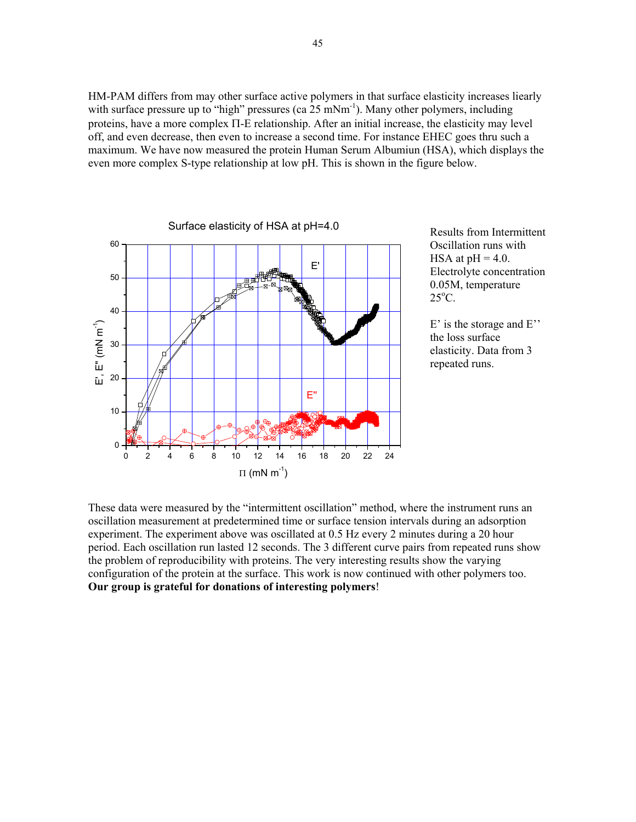HM-PAM differs from may other surface active polymers in that surface elasticity increases liearly with surface pressure up to "high" pressures (ca 25 mNm<sup>-1</sup>). Many other polymers, including proteins, have a more complex Π-E relationship. After an initial increase, the elasticity may level off, and even decrease, then even to increase a second time. For instance EHEC goes thru such a maximum. We have now measured the protein Human Serum Albumiun (HSA), which displays the even more complex S-type relationship at low pH. This is shown in the figure below.



Results from Intermittent Oscillation runs with HSA at  $pH = 4.0$ . Electrolyte concentration 0.05M, temperature  $25^{\circ}$ C.

E' is the storage and E'' the loss surface elasticity. Data from 3 repeated runs.

These data were measured by the "intermittent oscillation" method, where the instrument runs an oscillation measurement at predetermined time or surface tension intervals during an adsorption experiment. The experiment above was oscillated at 0.5 Hz every 2 minutes during a 20 hour period. Each oscillation run lasted 12 seconds. The 3 different curve pairs from repeated runs show the problem of reproducibility with proteins. The very interesting results show the varying configuration of the protein at the surface. This work is now continued with other polymers too. **Our group is grateful for donations of interesting polymers**!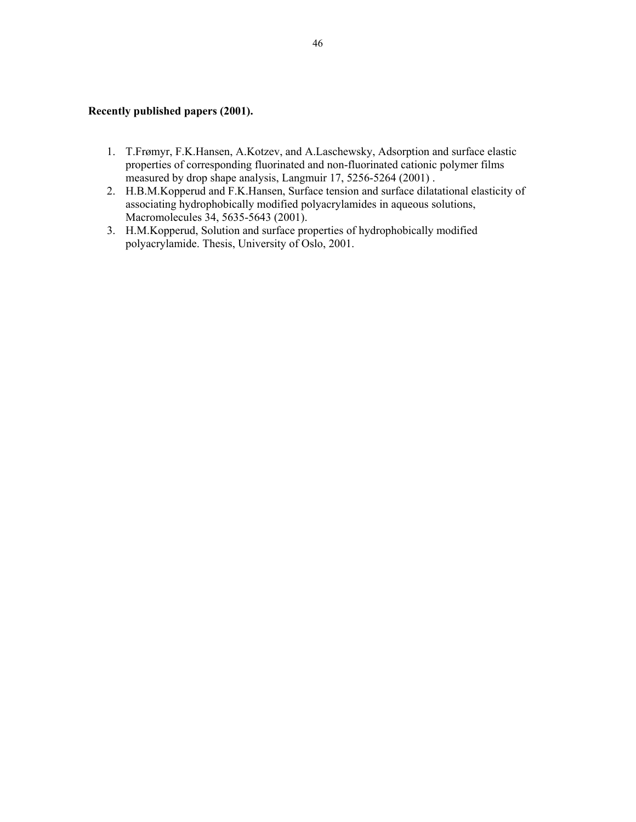## **Recently published papers (2001).**

- 1. T.Frømyr, F.K.Hansen, A.Kotzev, and A.Laschewsky, Adsorption and surface elastic properties of corresponding fluorinated and non-fluorinated cationic polymer films measured by drop shape analysis, Langmuir 17, 5256-5264 (2001) .
- 2. H.B.M.Kopperud and F.K.Hansen, Surface tension and surface dilatational elasticity of associating hydrophobically modified polyacrylamides in aqueous solutions, Macromolecules 34, 5635-5643 (2001).
- 3. H.M.Kopperud, Solution and surface properties of hydrophobically modified polyacrylamide. Thesis, University of Oslo, 2001.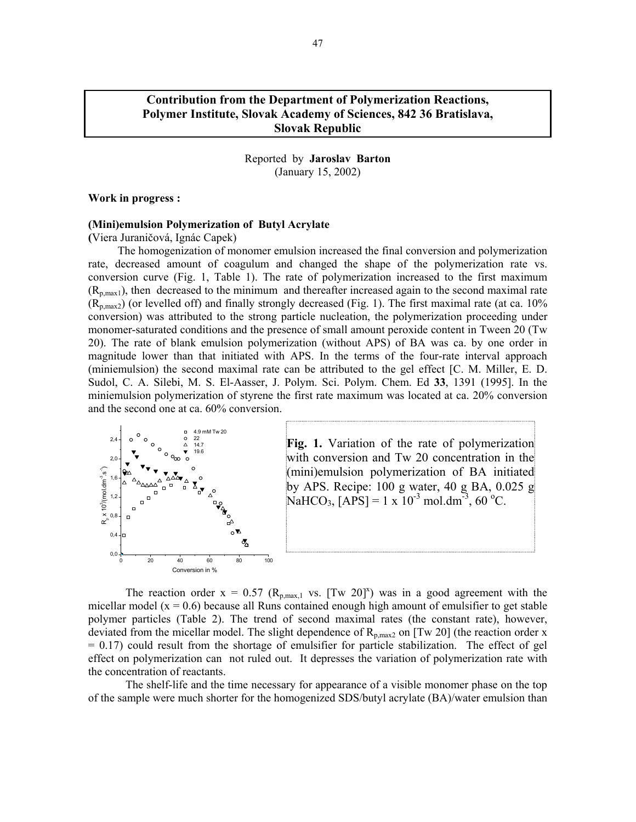# **Contribution from the Department of Polymerization Reactions, Polymer Institute, Slovak Academy of Sciences, 842 36 Bratislava, Slovak Republic**

Reported by **Jaroslav Barton**  (January 15, 2002)

### **Work in progress :**

#### **(Mini)emulsion Polymerization of Butyl Acrylate**

**(**Viera Juraničová, Ignác Capek)

 The homogenization of monomer emulsion increased the final conversion and polymerization rate, decreased amount of coagulum and changed the shape of the polymerization rate vs. conversion curve (Fig. 1, Table 1). The rate of polymerization increased to the first maximum  $(R_{p,max1})$ , then decreased to the minimum and thereafter increased again to the second maximal rate  $(R_{p,max2})$  (or levelled off) and finally strongly decreased (Fig. 1). The first maximal rate (at ca. 10%) conversion) was attributed to the strong particle nucleation, the polymerization proceeding under monomer-saturated conditions and the presence of small amount peroxide content in Tween 20 (Tw 20). The rate of blank emulsion polymerization (without APS) of BA was ca. by one order in magnitude lower than that initiated with APS. In the terms of the four-rate interval approach (miniemulsion) the second maximal rate can be attributed to the gel effect [C. M. Miller, E. D. Sudol, C. A. Silebi, M. S. El-Aasser, J. Polym. Sci. Polym. Chem. Ed **33**, 1391 (1995]. In the miniemulsion polymerization of styrene the first rate maximum was located at ca. 20% conversion and the second one at ca. 60% conversion.



**Fig. 1.** Variation of the rate of polymerization with conversion and Tw 20 concentration in the (mini)emulsion polymerization of BA initiated by APS. Recipe: 100 g water, 40 g BA, 0.025 g NaHCO<sub>3</sub>, [APS] = 1 x 10<sup>-3</sup> mol.dm<sup>-3</sup>, 60 <sup>o</sup>C.

The reaction order  $x = 0.57$  ( $R_{p, max, 1}$  vs. [Tw 20]<sup>x</sup>) was in a good agreement with the micellar model ( $x = 0.6$ ) because all Runs contained enough high amount of emulsifier to get stable polymer particles (Table 2). The trend of second maximal rates (the constant rate), however, deviated from the micellar model. The slight dependence of  $R_{p,max2}$  on [Tw 20] (the reaction order x  $= 0.17$ ) could result from the shortage of emulsifier for particle stabilization. The effect of gel effect on polymerization can not ruled out. It depresses the variation of polymerization rate with the concentration of reactants.

The shelf-life and the time necessary for appearance of a visible monomer phase on the top of the sample were much shorter for the homogenized SDS/butyl acrylate (BA)/water emulsion than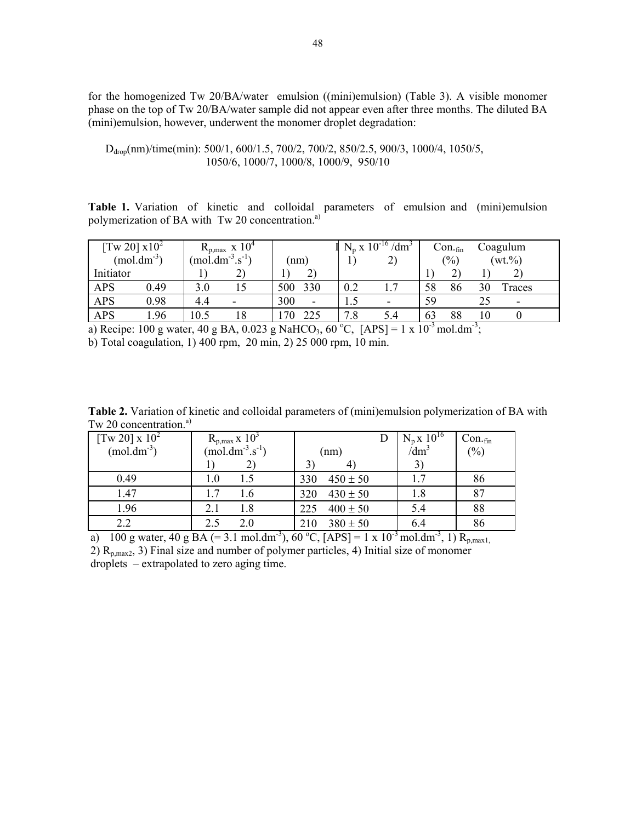for the homogenized Tw 20/BA/water emulsion ((mini)emulsion) (Table 3). A visible monomer phase on the top of Tw 20/BA/water sample did not appear even after three months. The diluted BA (mini)emulsion, however, underwent the monomer droplet degradation:

D<sub>drop</sub>(nm)/time(min): 500/1, 600/1.5, 700/2, 700/2, 850/2.5, 900/3, 1000/4, 1050/5, 1050/6, 1000/7, 1000/8, 1000/9, 950/10

**Table 1.** Variation of kinetic and colloidal parameters of emulsion and (mini)emulsion polymerization of BA with  $Tw 20$  concentration.<sup>a)</sup>

| [Tw 20] $x10^2$  |      | $R_{p,max}$ x $10^4$ |    |      |     | $N_p$ x 10 <sup>-16</sup> /dm <sup>3</sup> |     | $Con.$ fin |                | Coagulum |             |
|------------------|------|----------------------|----|------|-----|--------------------------------------------|-----|------------|----------------|----------|-------------|
| $(mod.dim^{-3})$ |      | $(mol.dm-3.s-1)$     |    | (nm) |     |                                            | 2)  |            | (0/0)          |          | $(wt. \% )$ |
| Initiator        |      |                      |    |      | ∠   |                                            |     |            | $\overline{ }$ |          | ∠           |
| <b>APS</b>       | 0.49 | 3.0                  | 15 | 500  | 330 | 0.2                                        | 1.7 | 58         | 86             |          | Traces      |
| <b>APS</b>       | 0.98 | 4.4                  | -  | 300  | ۰.  | ن. 1                                       | ۰   | 59         |                |          | ۰           |
| <b>APS</b>       | .96  | 10.5                 | 18 | 70   | 225 | 7.8                                        | 5.4 | 63         | 88             | 10       |             |

a) Recipe: 100 g water, 40 g BA, 0.023 g NaHCO<sub>3</sub>, 60 °C, [APS] = 1 x 10<sup>-3</sup> mol.dm<sup>-3</sup>; b) Total coagulation, 1) 400 rpm, 20 min, 2) 25 000 rpm, 10 min.

**Table 2.** Variation of kinetic and colloidal parameters of (mini)emulsion polymerization of BA with Tw 20 concentration. $a^{(a)}$ 

| [Tw 20] x $10^2$ |                                                                | D                   | $N_{p}x$ 10 <sup>16</sup> | Con. <sub>fin</sub> |
|------------------|----------------------------------------------------------------|---------------------|---------------------------|---------------------|
| $(mol.dim^{-3})$ | $R_{p,max} x 10^3$<br>(mol.dm <sup>-3</sup> .s <sup>-1</sup> ) | (nm)                | $\dim^3$                  | $(\%)$              |
|                  | 2                                                              | $\mathfrak{Z}$      | 3)                        |                     |
| 0.49             | 1.5<br>1.0                                                     | $450 \pm 50$<br>330 | 1.7                       | 86                  |
| 1.47             | 17<br>1.6                                                      | $430 \pm 50$<br>320 | 1.8                       | 87                  |
| 1.96             | 1.8                                                            | $400 \pm 50$<br>225 | 5.4                       | 88                  |
| 2.2              | 2.0<br>2.5                                                     | $380 \pm 50$<br>210 | 6.4                       | 86                  |

a) 100 g water, 40 g BA (= 3.1 mol.dm<sup>-3</sup>), 60 °C, [APS] = 1 x 10<sup>-3</sup> mol.dm<sup>-3</sup>, 1) R<sub>p,max1</sub>

 $2)$  R<sub>p,max2</sub>, 3) Final size and number of polymer particles, 4) Initial size of monomer droplets – extrapolated to zero aging time.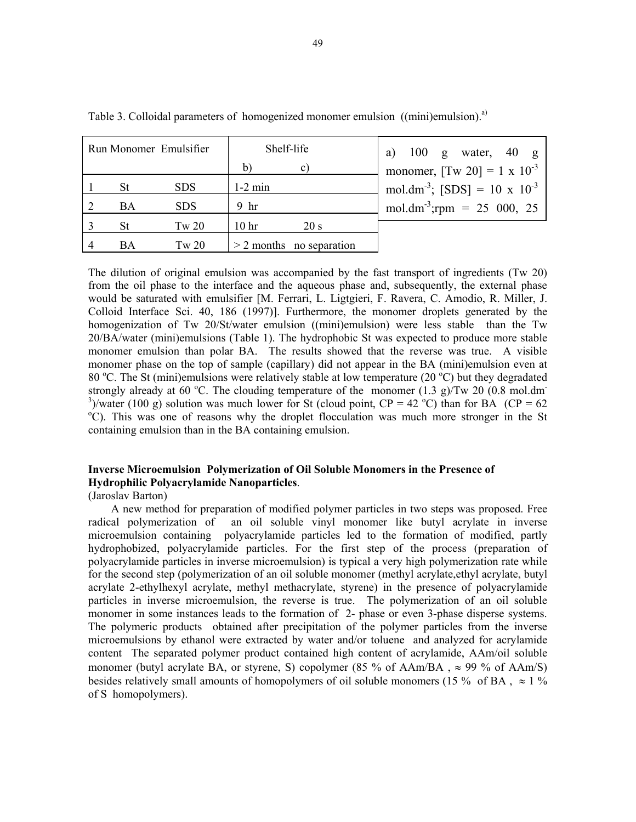| Run Monomer Emulsifier |           |            | Shelf-life                 | g water, 40 g<br>100<br>a)                           |
|------------------------|-----------|------------|----------------------------|------------------------------------------------------|
|                        |           |            | $\mathbf{b}$<br>C)         | monomer, [Tw 20] = 1 x 10 <sup>-3</sup>              |
|                        | St        | <b>SDS</b> | $1-2$ min                  | mol.dm <sup>-3</sup> ; [SDS] = 10 x 10 <sup>-3</sup> |
|                        | ВA        | <b>SDS</b> | 9 <sub>hr</sub>            | mol.dm <sup>-3</sup> ;rpm = 25 000, 25               |
|                        | <b>St</b> | Tw 20      | 10 <sub>hr</sub><br>20 s   |                                                      |
|                        |           | Tw 20      | $>$ 2 months no separation |                                                      |

Table 3. Colloidal parameters of homogenized monomer emulsion  $((\text{mini})$ emulsion).<sup>a)</sup>

The dilution of original emulsion was accompanied by the fast transport of ingredients (Tw 20) from the oil phase to the interface and the aqueous phase and, subsequently, the external phase would be saturated with emulsifier [M. Ferrari, L. Ligtgieri, F. Ravera, C. Amodio, R. Miller, J. Colloid Interface Sci. 40, 186 (1997)]. Furthermore, the monomer droplets generated by the homogenization of Tw 20/St/water emulsion ((mini)emulsion) were less stable than the Tw 20/BA/water (mini)emulsions (Table 1). The hydrophobic St was expected to produce more stable monomer emulsion than polar BA. The results showed that the reverse was true. A visible monomer phase on the top of sample (capillary) did not appear in the BA (mini)emulsion even at 80 °C. The St (mini)emulsions were relatively stable at low temperature (20 °C) but they degradated strongly already at 60 °C. The clouding temperature of the monomer  $(1.3 \text{ g})$ /Tw 20  $(0.8 \text{ mol.dm}^{-1})$ <sup>3</sup>)/water (100 g) solution was much lower for St (cloud point,  $CP = 42^{\circ}$ C) than for BA ( $CP = 62^{\circ}$ C). This was one of reasons why the dreplet flocoulation was much more stronger in the St <sup>o</sup>C). This was one of reasons why the droplet flocculation was much more stronger in the St containing emulsion than in the BA containing emulsion.

## **Inverse Microemulsion Polymerization of Oil Soluble Monomers in the Presence of Hydrophilic Polyacrylamide Nanoparticles**.

(Jaroslav Barton)

A new method for preparation of modified polymer particles in two steps was proposed. Free radical polymerization of an oil soluble vinyl monomer like butyl acrylate in inverse microemulsion containing polyacrylamide particles led to the formation of modified, partly hydrophobized, polyacrylamide particles. For the first step of the process (preparation of polyacrylamide particles in inverse microemulsion) is typical a very high polymerization rate while for the second step (polymerization of an oil soluble monomer (methyl acrylate, ethyl acrylate, butyl acrylate 2-ethylhexyl acrylate, methyl methacrylate, styrene) in the presence of polyacrylamide particles in inverse microemulsion, the reverse is true. The polymerization of an oil soluble monomer in some instances leads to the formation of 2- phase or even 3-phase disperse systems. The polymeric products obtained after precipitation of the polymer particles from the inverse microemulsions by ethanol were extracted by water and/or toluene and analyzed for acrylamide content The separated polymer product contained high content of acrylamide, AAm/oil soluble monomer (butyl acrylate BA, or styrene, S) copolymer (85 % of AAm/BA,  $\approx$  99 % of AAm/S) besides relatively small amounts of homopolymers of oil soluble monomers (15 % of BA,  $\approx$  1 % of S homopolymers).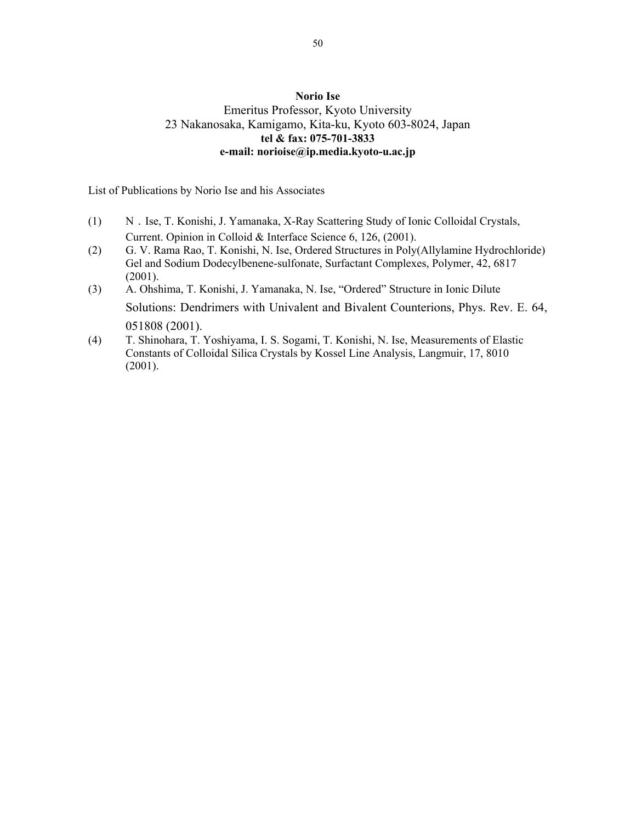# **Norio Ise**  Emeritus Professor, Kyoto University 23 Nakanosaka, Kamigamo, Kita-ku, Kyoto 603-8024, Japan **tel & fax: 075-701-3833 e-mail: norioise@ip.media.kyoto-u.ac.jp**

List of Publications by Norio Ise and his Associates

- (1) N.Ise, T. Konishi, J. Yamanaka, X-Ray Scattering Study of Ionic Colloidal Crystals, Current. Opinion in Colloid & Interface Science 6, 126, (2001).
- (2) G. V. Rama Rao, T. Konishi, N. Ise, Ordered Structures in Poly(Allylamine Hydrochloride) Gel and Sodium Dodecylbenene-sulfonate, Surfactant Complexes, Polymer, 42, 6817 (2001).
- (3) A. Ohshima, T. Konishi, J. Yamanaka, N. Ise, "Ordered" Structure in Ionic Dilute Solutions: Dendrimers with Univalent and Bivalent Counterions, Phys. Rev. E. 64, 051808 (2001).
- (4) T. Shinohara, T. Yoshiyama, I. S. Sogami, T. Konishi, N. Ise, Measurements of Elastic Constants of Colloidal Silica Crystals by Kossel Line Analysis, Langmuir, 17, 8010 (2001).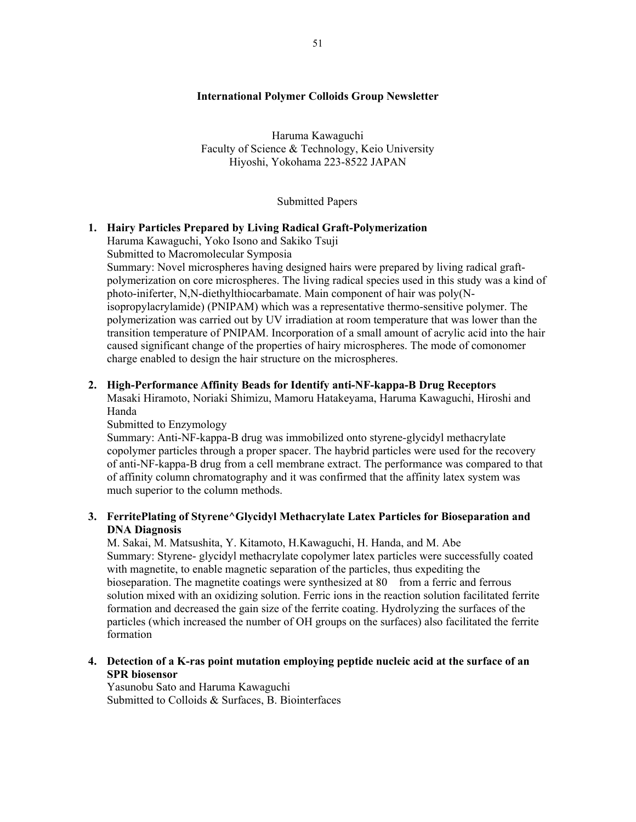# **International Polymer Colloids Group Newsletter**

Haruma Kawaguchi Faculty of Science & Technology, Keio University Hiyoshi, Yokohama 223-8522 JAPAN

Submitted Papers

## **1. Hairy Particles Prepared by Living Radical Graft-Polymerization**

Haruma Kawaguchi, Yoko Isono and Sakiko Tsuji Submitted to Macromolecular Symposia

Summary: Novel microspheres having designed hairs were prepared by living radical graftpolymerization on core microspheres. The living radical species used in this study was a kind of photo-iniferter, N,N-diethylthiocarbamate. Main component of hair was poly(Nisopropylacrylamide) (PNIPAM) which was a representative thermo-sensitive polymer. The polymerization was carried out by UV irradiation at room temperature that was lower than the transition temperature of PNIPAM. Incorporation of a small amount of acrylic acid into the hair caused significant change of the properties of hairy microspheres. The mode of comonomer charge enabled to design the hair structure on the microspheres.

## **2. High-Performance Affinity Beads for Identify anti-NF-kappa-B Drug Receptors**

Masaki Hiramoto, Noriaki Shimizu, Mamoru Hatakeyama, Haruma Kawaguchi, Hiroshi and Handa

Submitted to Enzymology

Summary: Anti-NF-kappa-B drug was immobilized onto styrene-glycidyl methacrylate copolymer particles through a proper spacer. The haybrid particles were used for the recovery of anti-NF-kappa-B drug from a cell membrane extract. The performance was compared to that of affinity column chromatography and it was confirmed that the affinity latex system was much superior to the column methods.

# **3. FerritePlating of Styrene^Glycidyl Methacrylate Latex Particles for Bioseparation and DNA Diagnosis**

M. Sakai, M. Matsushita, Y. Kitamoto, H.Kawaguchi, H. Handa, and M. Abe Summary: Styrene- glycidyl methacrylate copolymer latex particles were successfully coated with magnetite, to enable magnetic separation of the particles, thus expediting the bioseparation. The magnetite coatings were synthesized at 80 from a ferric and ferrous solution mixed with an oxidizing solution. Ferric ions in the reaction solution facilitated ferrite formation and decreased the gain size of the ferrite coating. Hydrolyzing the surfaces of the particles (which increased the number of OH groups on the surfaces) also facilitated the ferrite formation

# **4. Detection of a K-ras point mutation employing peptide nucleic acid at the surface of an SPR biosensor**

Yasunobu Sato and Haruma Kawaguchi Submitted to Colloids & Surfaces, B. Biointerfaces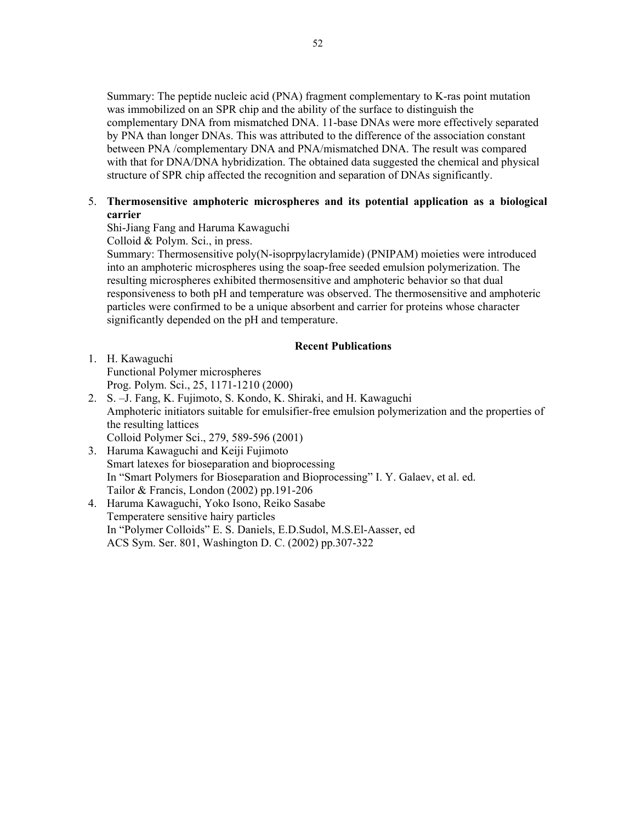Summary: The peptide nucleic acid (PNA) fragment complementary to K-ras point mutation was immobilized on an SPR chip and the ability of the surface to distinguish the complementary DNA from mismatched DNA. 11-base DNAs were more effectively separated by PNA than longer DNAs. This was attributed to the difference of the association constant between PNA /complementary DNA and PNA/mismatched DNA. The result was compared with that for DNA/DNA hybridization. The obtained data suggested the chemical and physical structure of SPR chip affected the recognition and separation of DNAs significantly.

# 5. **Thermosensitive amphoteric microspheres and its potential application as a biological carrier**

Shi-Jiang Fang and Haruma Kawaguchi

Colloid & Polym. Sci., in press.

Summary: Thermosensitive poly(N-isoprpylacrylamide) (PNIPAM) moieties were introduced into an amphoteric microspheres using the soap-free seeded emulsion polymerization. The resulting microspheres exhibited thermosensitive and amphoteric behavior so that dual responsiveness to both pH and temperature was observed. The thermosensitive and amphoteric particles were confirmed to be a unique absorbent and carrier for proteins whose character significantly depended on the pH and temperature.

# **Recent Publications**

- 1. H. Kawaguchi Functional Polymer microspheres Prog. Polym. Sci., 25, 1171-1210 (2000)
- 2. S. –J. Fang, K. Fujimoto, S. Kondo, K. Shiraki, and H. Kawaguchi Amphoteric initiators suitable for emulsifier-free emulsion polymerization and the properties of the resulting lattices Colloid Polymer Sci., 279, 589-596 (2001)
- 3. Haruma Kawaguchi and Keiji Fujimoto Smart latexes for bioseparation and bioprocessing In "Smart Polymers for Bioseparation and Bioprocessing" I. Y. Galaev, et al. ed. Tailor & Francis, London (2002) pp.191-206
- 4. Haruma Kawaguchi, Yoko Isono, Reiko Sasabe Temperatere sensitive hairy particles In "Polymer Colloids" E. S. Daniels, E.D.Sudol, M.S.El-Aasser, ed ACS Sym. Ser. 801, Washington D. C. (2002) pp.307-322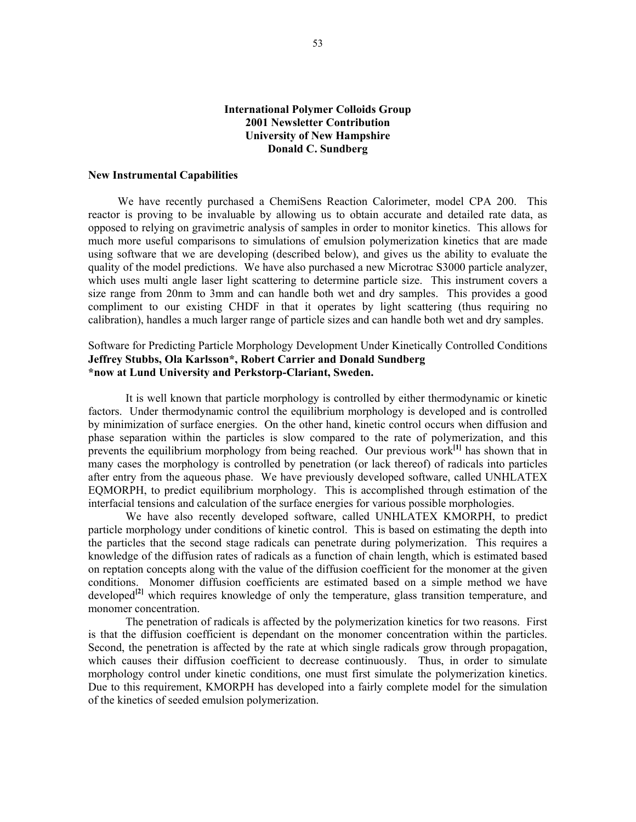## **International Polymer Colloids Group 2001 Newsletter Contribution University of New Hampshire Donald C. Sundberg**

### **New Instrumental Capabilities**

 We have recently purchased a ChemiSens Reaction Calorimeter, model CPA 200. This reactor is proving to be invaluable by allowing us to obtain accurate and detailed rate data, as opposed to relying on gravimetric analysis of samples in order to monitor kinetics. This allows for much more useful comparisons to simulations of emulsion polymerization kinetics that are made using software that we are developing (described below), and gives us the ability to evaluate the quality of the model predictions. We have also purchased a new Microtrac S3000 particle analyzer, which uses multi angle laser light scattering to determine particle size. This instrument covers a size range from 20nm to 3mm and can handle both wet and dry samples. This provides a good compliment to our existing CHDF in that it operates by light scattering (thus requiring no calibration), handles a much larger range of particle sizes and can handle both wet and dry samples.

### Software for Predicting Particle Morphology Development Under Kinetically Controlled Conditions **Jeffrey Stubbs, Ola Karlsson\*, Robert Carrier and Donald Sundberg \*now at Lund University and Perkstorp-Clariant, Sweden.**

 It is well known that particle morphology is controlled by either thermodynamic or kinetic factors. Under thermodynamic control the equilibrium morphology is developed and is controlled by minimization of surface energies. On the other hand, kinetic control occurs when diffusion and phase separation within the particles is slow compared to the rate of polymerization, and this prevents the equilibrium morphology from being reached. Our previous work**[1]** has shown that in many cases the morphology is controlled by penetration (or lack thereof) of radicals into particles after entry from the aqueous phase. We have previously developed software, called UNHLATEX EQMORPH, to predict equilibrium morphology. This is accomplished through estimation of the interfacial tensions and calculation of the surface energies for various possible morphologies.

 We have also recently developed software, called UNHLATEX KMORPH, to predict particle morphology under conditions of kinetic control. This is based on estimating the depth into the particles that the second stage radicals can penetrate during polymerization. This requires a knowledge of the diffusion rates of radicals as a function of chain length, which is estimated based on reptation concepts along with the value of the diffusion coefficient for the monomer at the given conditions. Monomer diffusion coefficients are estimated based on a simple method we have developed<sup>[2]</sup> which requires knowledge of only the temperature, glass transition temperature, and monomer concentration.

 The penetration of radicals is affected by the polymerization kinetics for two reasons. First is that the diffusion coefficient is dependant on the monomer concentration within the particles. Second, the penetration is affected by the rate at which single radicals grow through propagation, which causes their diffusion coefficient to decrease continuously. Thus, in order to simulate morphology control under kinetic conditions, one must first simulate the polymerization kinetics. Due to this requirement, KMORPH has developed into a fairly complete model for the simulation of the kinetics of seeded emulsion polymerization.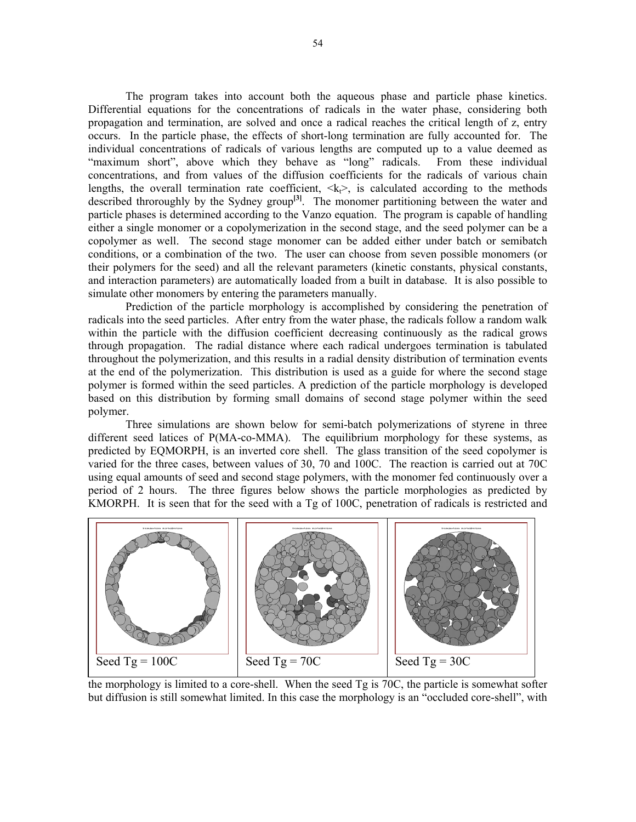The program takes into account both the aqueous phase and particle phase kinetics. Differential equations for the concentrations of radicals in the water phase, considering both propagation and termination, are solved and once a radical reaches the critical length of z, entry occurs. In the particle phase, the effects of short-long termination are fully accounted for. The individual concentrations of radicals of various lengths are computed up to a value deemed as "maximum short", above which they behave as "long" radicals. From these individual concentrations, and from values of the diffusion coefficients for the radicals of various chain lengths, the overall termination rate coefficient,  $\langle k \rangle$ , is calculated according to the methods described throroughly by the Sydney group**[3]**. The monomer partitioning between the water and particle phases is determined according to the Vanzo equation. The program is capable of handling either a single monomer or a copolymerization in the second stage, and the seed polymer can be a copolymer as well. The second stage monomer can be added either under batch or semibatch conditions, or a combination of the two. The user can choose from seven possible monomers (or their polymers for the seed) and all the relevant parameters (kinetic constants, physical constants, and interaction parameters) are automatically loaded from a built in database. It is also possible to simulate other monomers by entering the parameters manually.

 Prediction of the particle morphology is accomplished by considering the penetration of radicals into the seed particles. After entry from the water phase, the radicals follow a random walk within the particle with the diffusion coefficient decreasing continuously as the radical grows through propagation. The radial distance where each radical undergoes termination is tabulated throughout the polymerization, and this results in a radial density distribution of termination events at the end of the polymerization. This distribution is used as a guide for where the second stage polymer is formed within the seed particles. A prediction of the particle morphology is developed based on this distribution by forming small domains of second stage polymer within the seed polymer.

 Three simulations are shown below for semi-batch polymerizations of styrene in three different seed latices of P(MA-co-MMA). The equilibrium morphology for these systems, as predicted by EQMORPH, is an inverted core shell. The glass transition of the seed copolymer is varied for the three cases, between values of 30, 70 and 100C. The reaction is carried out at 70C using equal amounts of seed and second stage polymers, with the monomer fed continuously over a period of 2 hours. The three figures below shows the particle morphologies as predicted by KMORPH. It is seen that for the seed with a Tg of 100C, penetration of radicals is restricted and



the morphology is limited to a core-shell. When the seed Tg is 70C, the particle is somewhat softer but diffusion is still somewhat limited. In this case the morphology is an "occluded core-shell", with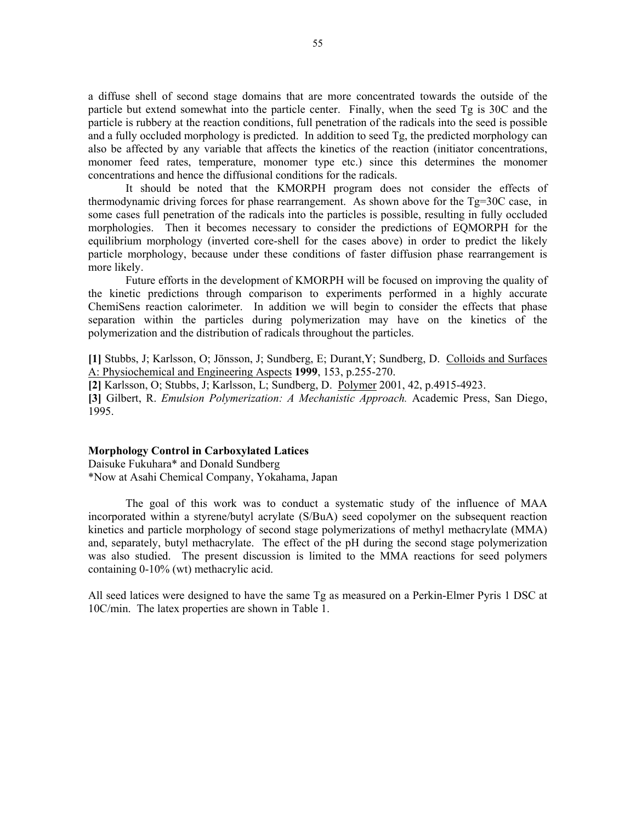a diffuse shell of second stage domains that are more concentrated towards the outside of the particle but extend somewhat into the particle center. Finally, when the seed Tg is 30C and the particle is rubbery at the reaction conditions, full penetration of the radicals into the seed is possible and a fully occluded morphology is predicted. In addition to seed Tg, the predicted morphology can also be affected by any variable that affects the kinetics of the reaction (initiator concentrations, monomer feed rates, temperature, monomer type etc.) since this determines the monomer concentrations and hence the diffusional conditions for the radicals.

 It should be noted that the KMORPH program does not consider the effects of thermodynamic driving forces for phase rearrangement. As shown above for the Tg=30C case, in some cases full penetration of the radicals into the particles is possible, resulting in fully occluded morphologies. Then it becomes necessary to consider the predictions of EQMORPH for the equilibrium morphology (inverted core-shell for the cases above) in order to predict the likely particle morphology, because under these conditions of faster diffusion phase rearrangement is more likely.

 Future efforts in the development of KMORPH will be focused on improving the quality of the kinetic predictions through comparison to experiments performed in a highly accurate ChemiSens reaction calorimeter. In addition we will begin to consider the effects that phase separation within the particles during polymerization may have on the kinetics of the polymerization and the distribution of radicals throughout the particles.

**[1]** Stubbs, J; Karlsson, O; Jönsson, J; Sundberg, E; Durant,Y; Sundberg, D. Colloids and Surfaces A: Physiochemical and Engineering Aspects **1999**, 153, p.255-270.

**[2]** Karlsson, O; Stubbs, J; Karlsson, L; Sundberg, D. Polymer 2001, 42, p.4915-4923.

**[3]** Gilbert, R. *Emulsion Polymerization: A Mechanistic Approach.* Academic Press, San Diego, 1995.

# **Morphology Control in Carboxylated Latices**

Daisuke Fukuhara\* and Donald Sundberg \*Now at Asahi Chemical Company, Yokahama, Japan

 The goal of this work was to conduct a systematic study of the influence of MAA incorporated within a styrene/butyl acrylate (S/BuA) seed copolymer on the subsequent reaction kinetics and particle morphology of second stage polymerizations of methyl methacrylate (MMA) and, separately, butyl methacrylate. The effect of the pH during the second stage polymerization was also studied. The present discussion is limited to the MMA reactions for seed polymers containing 0-10% (wt) methacrylic acid.

All seed latices were designed to have the same Tg as measured on a Perkin-Elmer Pyris 1 DSC at 10C/min. The latex properties are shown in Table 1.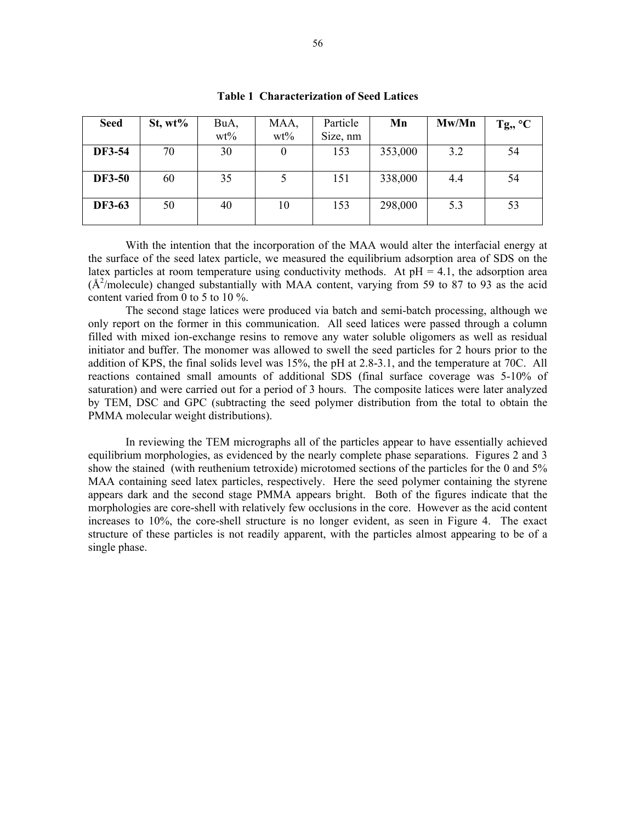| <b>Seed</b>   | $St, wt\%$ | BuA,   | MAA,   | Particle | Mn      | Mw/Mn | $Tg_{,2}$ °C |
|---------------|------------|--------|--------|----------|---------|-------|--------------|
|               |            | $wt\%$ | $wt\%$ | Size, nm |         |       |              |
| <b>DF3-54</b> | 70         | 30     |        | 153      | 353,000 | 3.2   | 54           |
| <b>DF3-50</b> | 60         | 35     |        | 151      | 338,000 | 4.4   | 54           |
| <b>DF3-63</b> | 50         | 40     | 10     | 153      | 298,000 | 5.3   | 53           |

# **Table 1 Characterization of Seed Latices**

 With the intention that the incorporation of the MAA would alter the interfacial energy at the surface of the seed latex particle, we measured the equilibrium adsorption area of SDS on the latex particles at room temperature using conductivity methods. At  $pH = 4.1$ , the adsorption area  $(\AA^2/molecule)$  changed substantially with MAA content, varying from 59 to 87 to 93 as the acid content varied from 0 to 5 to 10 %.

 The second stage latices were produced via batch and semi-batch processing, although we only report on the former in this communication. All seed latices were passed through a column filled with mixed ion-exchange resins to remove any water soluble oligomers as well as residual initiator and buffer. The monomer was allowed to swell the seed particles for 2 hours prior to the addition of KPS, the final solids level was 15%, the pH at 2.8-3.1, and the temperature at 70C. All reactions contained small amounts of additional SDS (final surface coverage was 5-10% of saturation) and were carried out for a period of 3 hours. The composite latices were later analyzed by TEM, DSC and GPC (subtracting the seed polymer distribution from the total to obtain the PMMA molecular weight distributions).

 In reviewing the TEM micrographs all of the particles appear to have essentially achieved equilibrium morphologies, as evidenced by the nearly complete phase separations. Figures 2 and 3 show the stained (with reuthenium tetroxide) microtomed sections of the particles for the 0 and 5% MAA containing seed latex particles, respectively. Here the seed polymer containing the styrene appears dark and the second stage PMMA appears bright. Both of the figures indicate that the morphologies are core-shell with relatively few occlusions in the core. However as the acid content increases to 10%, the core-shell structure is no longer evident, as seen in Figure 4. The exact structure of these particles is not readily apparent, with the particles almost appearing to be of a single phase.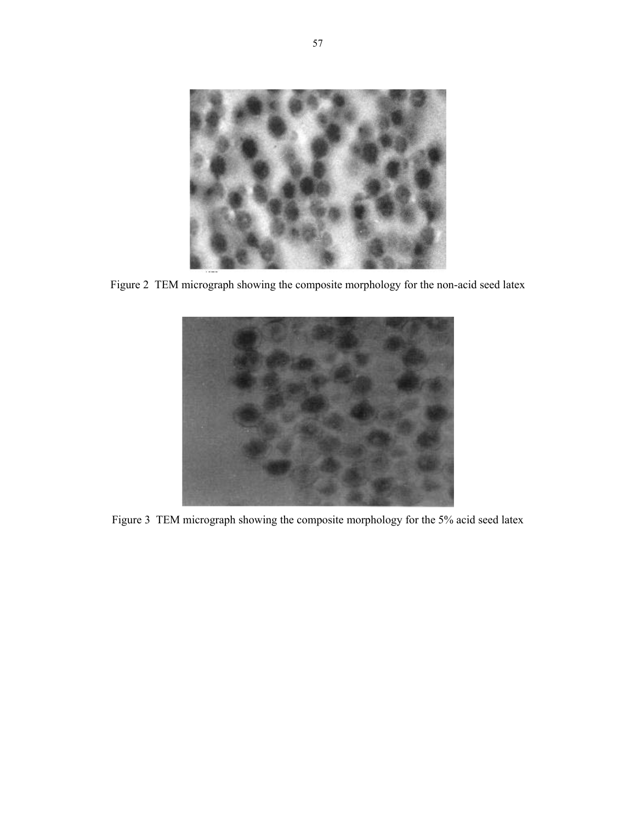

Figure 2 TEM micrograph showing the composite morphology for the non-acid seed latex



Figure 3 TEM micrograph showing the composite morphology for the 5% acid seed latex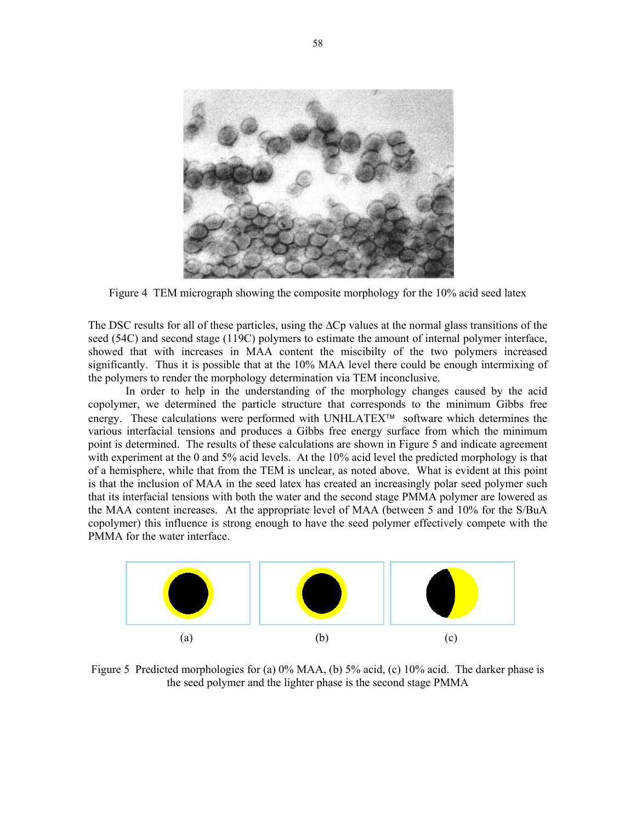

Figure 4 TEM micrograph showing the composite morphology for the 10% acid seed latex

The DSC results for all of these particles, using the ∆Cp values at the normal glass transitions of the seed (54C) and second stage (119C) polymers to estimate the amount of internal polymer interface, showed that with increases in MAA content the miscibilty of the two polymers increased significantly. Thus it is possible that at the 10% MAA level there could be enough intermixing of the polymers to render the morphology determination via TEM inconclusive.

 In order to help in the understanding of the morphology changes caused by the acid copolymer, we determined the particle structure that corresponds to the minimum Gibbs free energy. These calculations were performed with UNHLATEX<sup>TM</sup> software which determines the various interfacial tensions and produces a Gibbs free energy surface from which the minimum point is determined. The results of these calculations are shown in Figure 5 and indicate agreement with experiment at the 0 and 5% acid levels. At the 10% acid level the predicted morphology is that of a hemisphere, while that from the TEM is unclear, as noted above. What is evident at this point is that the inclusion of MAA in the seed latex has created an increasingly polar seed polymer such that its interfacial tensions with both the water and the second stage PMMA polymer are lowered as the MAA content increases. At the appropriate level of MAA (between 5 and 10% for the S/BuA copolymer) this influence is strong enough to have the seed polymer effectively compete with the PMMA for the water interface.



Figure 5 Predicted morphologies for (a) 0% MAA, (b) 5% acid, (c) 10% acid. The darker phase is the seed polymer and the lighter phase is the second stage PMMA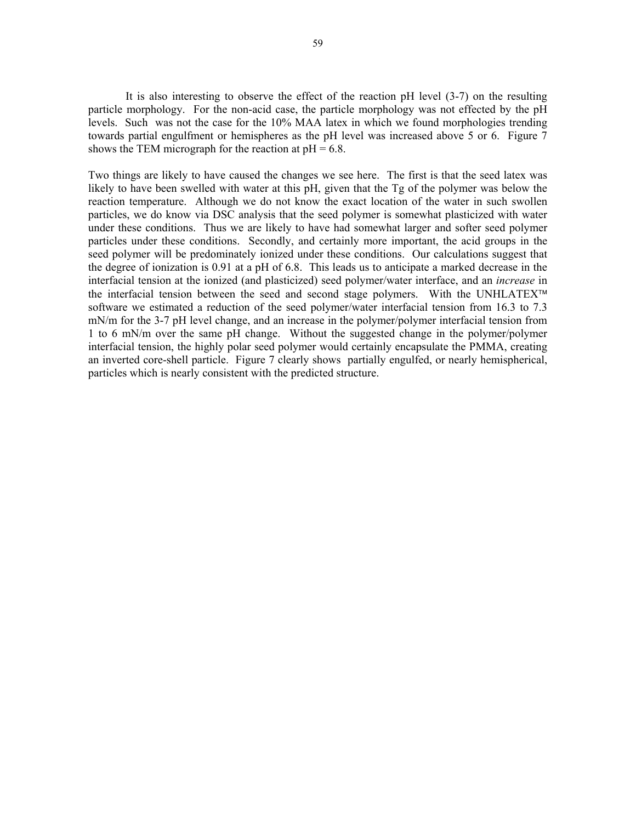It is also interesting to observe the effect of the reaction pH level (3-7) on the resulting particle morphology. For the non-acid case, the particle morphology was not effected by the pH levels. Such was not the case for the 10% MAA latex in which we found morphologies trending towards partial engulfment or hemispheres as the pH level was increased above 5 or 6. Figure 7 shows the TEM micrograph for the reaction at  $pH = 6.8$ .

Two things are likely to have caused the changes we see here. The first is that the seed latex was likely to have been swelled with water at this pH, given that the Tg of the polymer was below the reaction temperature. Although we do not know the exact location of the water in such swollen particles, we do know via DSC analysis that the seed polymer is somewhat plasticized with water under these conditions. Thus we are likely to have had somewhat larger and softer seed polymer particles under these conditions. Secondly, and certainly more important, the acid groups in the seed polymer will be predominately ionized under these conditions. Our calculations suggest that the degree of ionization is 0.91 at a pH of 6.8. This leads us to anticipate a marked decrease in the interfacial tension at the ionized (and plasticized) seed polymer/water interface, and an *increase* in the interfacial tension between the seed and second stage polymers. With the UNHLATEX<sup>™</sup> software we estimated a reduction of the seed polymer/water interfacial tension from 16.3 to 7.3 mN/m for the 3-7 pH level change, and an increase in the polymer/polymer interfacial tension from 1 to 6 mN/m over the same pH change. Without the suggested change in the polymer/polymer interfacial tension, the highly polar seed polymer would certainly encapsulate the PMMA, creating an inverted core-shell particle. Figure 7 clearly shows partially engulfed, or nearly hemispherical, particles which is nearly consistent with the predicted structure.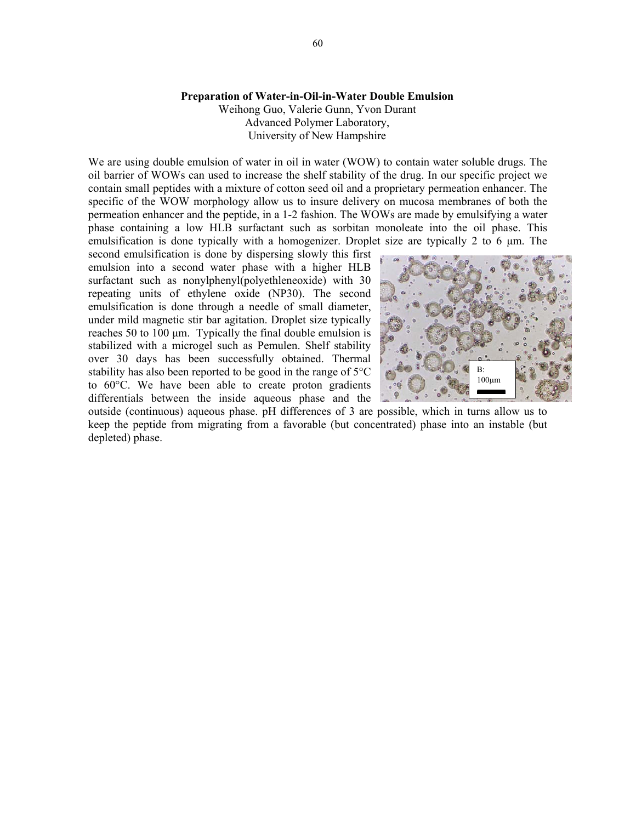## **Preparation of Water-in-Oil-in-Water Double Emulsion**

Weihong Guo, Valerie Gunn, Yvon Durant Advanced Polymer Laboratory, University of New Hampshire

We are using double emulsion of water in oil in water (WOW) to contain water soluble drugs. The oil barrier of WOWs can used to increase the shelf stability of the drug. In our specific project we contain small peptides with a mixture of cotton seed oil and a proprietary permeation enhancer. The specific of the WOW morphology allow us to insure delivery on mucosa membranes of both the permeation enhancer and the peptide, in a 1-2 fashion. The WOWs are made by emulsifying a water phase containing a low HLB surfactant such as sorbitan monoleate into the oil phase. This emulsification is done typically with a homogenizer. Droplet size are typically 2 to 6  $\mu$ m. The

second emulsification is done by dispersing slowly this first emulsion into a second water phase with a higher HLB surfactant such as nonylphenyl(polyethleneoxide) with 30 repeating units of ethylene oxide (NP30). The second emulsification is done through a needle of small diameter, under mild magnetic stir bar agitation. Droplet size typically reaches 50 to 100  $\mu$ m. Typically the final double emulsion is stabilized with a microgel such as Pemulen. Shelf stability over 30 days has been successfully obtained. Thermal stability has also been reported to be good in the range of 5°C to 60°C. We have been able to create proton gradients differentials between the inside aqueous phase and the



outside (continuous) aqueous phase. pH differences of 3 are possible, which in turns allow us to keep the peptide from migrating from a favorable (but concentrated) phase into an instable (but depleted) phase.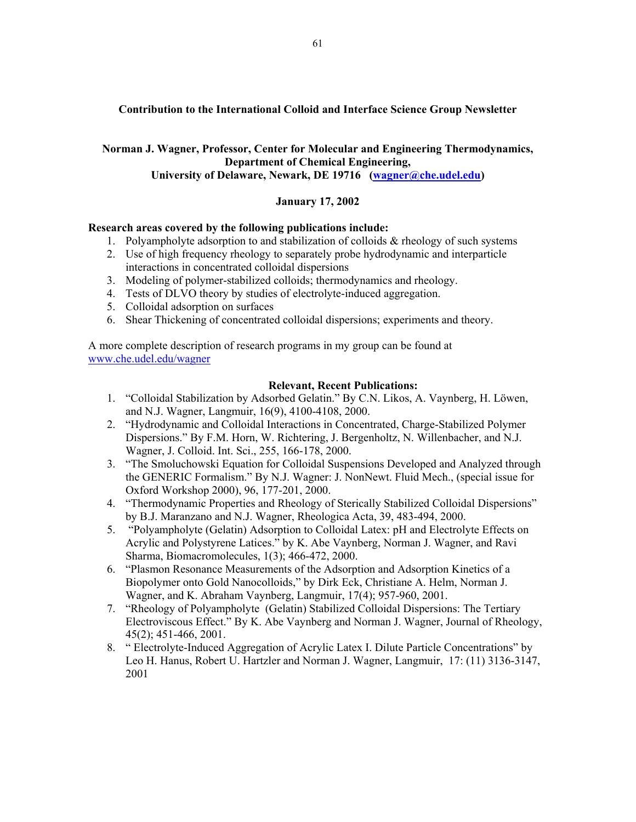# **Contribution to the International Colloid and Interface Science Group Newsletter**

## **Norman J. Wagner, Professor, Center for Molecular and Engineering Thermodynamics, Department of Chemical Engineering, University of Delaware, Newark, DE 19716 (wagner@che.udel.edu)**

# **January 17, 2002**

### **Research areas covered by the following publications include:**

- 1. Polyampholyte adsorption to and stabilization of colloids  $\&$  rheology of such systems
- 2. Use of high frequency rheology to separately probe hydrodynamic and interparticle interactions in concentrated colloidal dispersions
- 3. Modeling of polymer-stabilized colloids; thermodynamics and rheology.
- 4. Tests of DLVO theory by studies of electrolyte-induced aggregation.
- 5. Colloidal adsorption on surfaces
- 6. Shear Thickening of concentrated colloidal dispersions; experiments and theory.

A more complete description of research programs in my group can be found at www.che.udel.edu/wagner

### **Relevant, Recent Publications:**

- 1. "Colloidal Stabilization by Adsorbed Gelatin." By C.N. Likos, A. Vaynberg, H. Löwen, and N.J. Wagner, Langmuir, 16(9), 4100-4108, 2000.
- 2. "Hydrodynamic and Colloidal Interactions in Concentrated, Charge-Stabilized Polymer Dispersions." By F.M. Horn, W. Richtering, J. Bergenholtz, N. Willenbacher, and N.J. Wagner, J. Colloid. Int. Sci., 255, 166-178, 2000.
- 3. "The Smoluchowski Equation for Colloidal Suspensions Developed and Analyzed through the GENERIC Formalism." By N.J. Wagner: J. NonNewt. Fluid Mech., (special issue for Oxford Workshop 2000), 96, 177-201, 2000.
- 4. "Thermodynamic Properties and Rheology of Sterically Stabilized Colloidal Dispersions" by B.J. Maranzano and N.J. Wagner, Rheologica Acta, 39, 483-494, 2000.
- 5. "Polyampholyte (Gelatin) Adsorption to Colloidal Latex: pH and Electrolyte Effects on Acrylic and Polystyrene Latices." by K. Abe Vaynberg, Norman J. Wagner, and Ravi Sharma, Biomacromolecules, 1(3); 466-472, 2000.
- 6. "Plasmon Resonance Measurements of the Adsorption and Adsorption Kinetics of a Biopolymer onto Gold Nanocolloids," by Dirk Eck, Christiane A. Helm, Norman J. Wagner, and K. Abraham Vaynberg, Langmuir, 17(4); 957-960, 2001.
- 7. "Rheology of Polyampholyte (Gelatin) Stabilized Colloidal Dispersions: The Tertiary Electroviscous Effect." By K. Abe Vaynberg and Norman J. Wagner, Journal of Rheology, 45(2); 451-466, 2001.
- 8. " Electrolyte-Induced Aggregation of Acrylic Latex I. Dilute Particle Concentrations" by Leo H. Hanus, Robert U. Hartzler and Norman J. Wagner, Langmuir, 17: (11) 3136-3147, 2001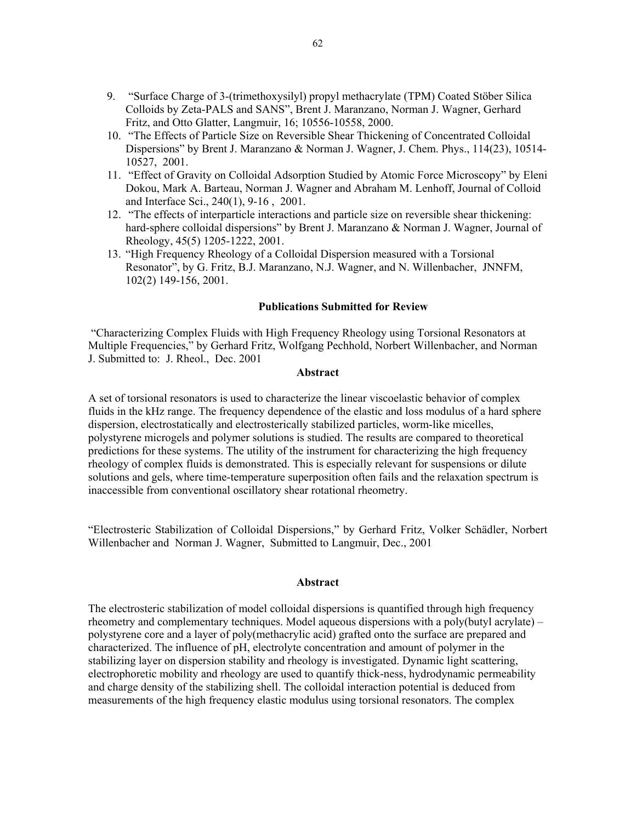- 9. "Surface Charge of 3-(trimethoxysilyl) propyl methacrylate (TPM) Coated Stöber Silica Colloids by Zeta-PALS and SANS", Brent J. Maranzano, Norman J. Wagner, Gerhard Fritz, and Otto Glatter, Langmuir, 16; 10556-10558, 2000.
- 10. "The Effects of Particle Size on Reversible Shear Thickening of Concentrated Colloidal Dispersions" by Brent J. Maranzano & Norman J. Wagner, J. Chem. Phys., 114(23), 10514- 10527, 2001.
- 11. "Effect of Gravity on Colloidal Adsorption Studied by Atomic Force Microscopy" by Eleni Dokou, Mark A. Barteau, Norman J. Wagner and Abraham M. Lenhoff, Journal of Colloid and Interface Sci., 240(1), 9-16 , 2001.
- 12. "The effects of interparticle interactions and particle size on reversible shear thickening: hard-sphere colloidal dispersions" by Brent J. Maranzano & Norman J. Wagner, Journal of Rheology, 45(5) 1205-1222, 2001.
- 13. "High Frequency Rheology of a Colloidal Dispersion measured with a Torsional Resonator", by G. Fritz, B.J. Maranzano, N.J. Wagner, and N. Willenbacher, JNNFM, 102(2) 149-156, 2001.

### **Publications Submitted for Review**

 "Characterizing Complex Fluids with High Frequency Rheology using Torsional Resonators at Multiple Frequencies," by Gerhard Fritz, Wolfgang Pechhold, Norbert Willenbacher, and Norman J. Submitted to: J. Rheol., Dec. 2001

#### **Abstract**

A set of torsional resonators is used to characterize the linear viscoelastic behavior of complex fluids in the kHz range. The frequency dependence of the elastic and loss modulus of a hard sphere dispersion, electrostatically and electrosterically stabilized particles, worm-like micelles, polystyrene microgels and polymer solutions is studied. The results are compared to theoretical predictions for these systems. The utility of the instrument for characterizing the high frequency rheology of complex fluids is demonstrated. This is especially relevant for suspensions or dilute solutions and gels, where time-temperature superposition often fails and the relaxation spectrum is inaccessible from conventional oscillatory shear rotational rheometry.

"Electrosteric Stabilization of Colloidal Dispersions," by Gerhard Fritz, Volker Schädler, Norbert Willenbacher and Norman J. Wagner, Submitted to Langmuir, Dec., 2001

### **Abstract**

The electrosteric stabilization of model colloidal dispersions is quantified through high frequency rheometry and complementary techniques. Model aqueous dispersions with a poly(butyl acrylate) – polystyrene core and a layer of poly(methacrylic acid) grafted onto the surface are prepared and characterized. The influence of pH, electrolyte concentration and amount of polymer in the stabilizing layer on dispersion stability and rheology is investigated. Dynamic light scattering, electrophoretic mobility and rheology are used to quantify thick-ness, hydrodynamic permeability and charge density of the stabilizing shell. The colloidal interaction potential is deduced from measurements of the high frequency elastic modulus using torsional resonators. The complex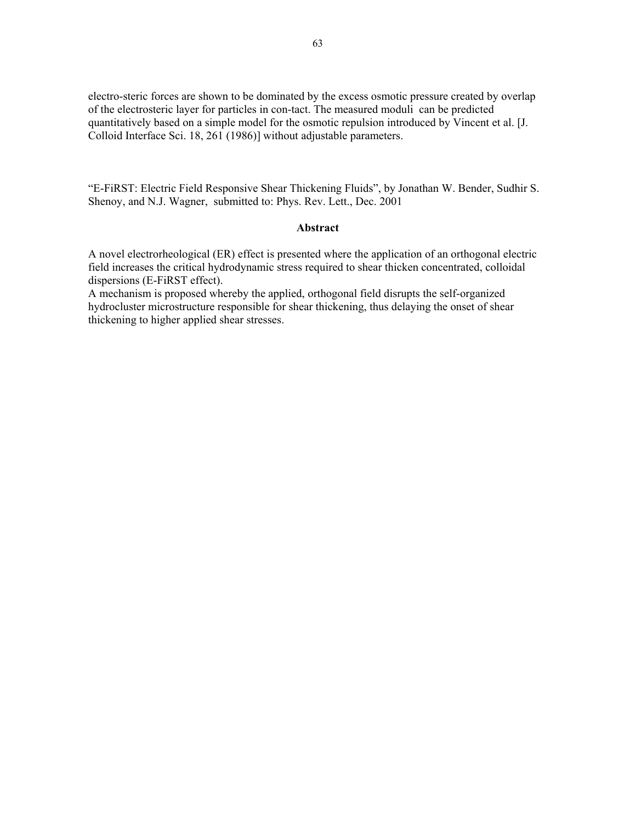electro-steric forces are shown to be dominated by the excess osmotic pressure created by overlap of the electrosteric layer for particles in con-tact. The measured moduli can be predicted quantitatively based on a simple model for the osmotic repulsion introduced by Vincent et al. [J. Colloid Interface Sci. 18, 261 (1986)] without adjustable parameters.

"E-FiRST: Electric Field Responsive Shear Thickening Fluids", by Jonathan W. Bender, Sudhir S. Shenoy, and N.J. Wagner, submitted to: Phys. Rev. Lett., Dec. 2001

### **Abstract**

A novel electrorheological (ER) effect is presented where the application of an orthogonal electric field increases the critical hydrodynamic stress required to shear thicken concentrated, colloidal dispersions (E-FiRST effect).

A mechanism is proposed whereby the applied, orthogonal field disrupts the self-organized hydrocluster microstructure responsible for shear thickening, thus delaying the onset of shear thickening to higher applied shear stresses.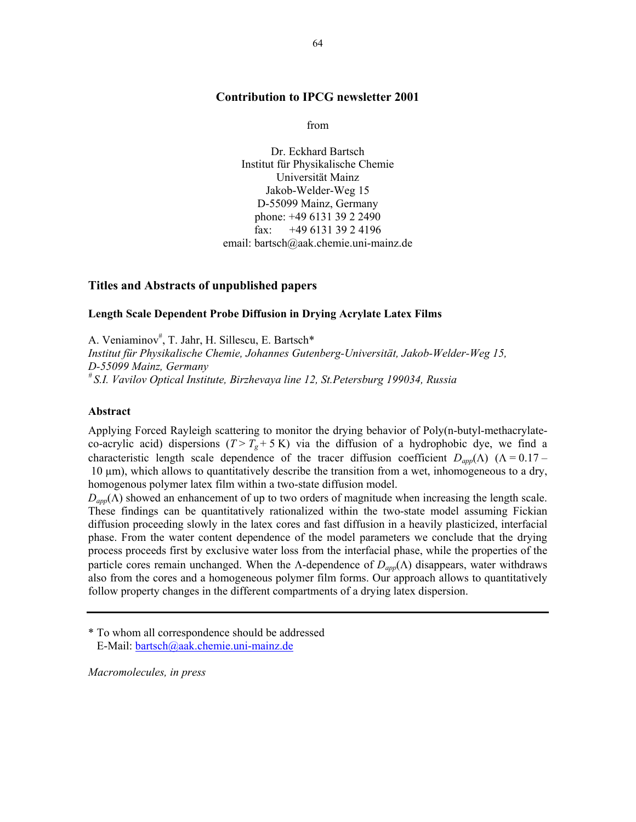# **Contribution to IPCG newsletter 2001**

from

Dr. Eckhard Bartsch Institut für Physikalische Chemie Universität Mainz Jakob-Welder-Weg 15 D-55099 Mainz, Germany phone: +49 6131 39 2 2490 fax: +49 6131 39 2 4196 email: bartsch@aak.chemie.uni-mainz.de

# **Titles and Abstracts of unpublished papers**

## **Length Scale Dependent Probe Diffusion in Drying Acrylate Latex Films**

A. Veniaminov<sup>#</sup>, T. Jahr, H. Sillescu, E. Bartsch\* *Institut für Physikalische Chemie, Johannes Gutenberg-Universität, Jakob-Welder-Weg 15, D-55099 Mainz, Germany # S.I. Vavilov Optical Institute, Birzhevaya line 12, St.Petersburg 199034, Russia* 

### **Abstract**

Applying Forced Rayleigh scattering to monitor the drying behavior of Poly(n-butyl-methacrylateco-acrylic acid) dispersions  $(T > T_g + 5 K)$  via the diffusion of a hydrophobic dye, we find a characteristic length scale dependence of the tracer diffusion coefficient  $D_{app}(\Lambda)$  ( $\Lambda = 0.17 -$  10 µm), which allows to quantitatively describe the transition from a wet, inhomogeneous to a dry, homogenous polymer latex film within a two-state diffusion model.

 $D_{app}(\Lambda)$  showed an enhancement of up to two orders of magnitude when increasing the length scale. These findings can be quantitatively rationalized within the two-state model assuming Fickian diffusion proceeding slowly in the latex cores and fast diffusion in a heavily plasticized, interfacial phase. From the water content dependence of the model parameters we conclude that the drying process proceeds first by exclusive water loss from the interfacial phase, while the properties of the particle cores remain unchanged. When the Λ-dependence of *Dapp*(Λ) disappears, water withdraws also from the cores and a homogeneous polymer film forms. Our approach allows to quantitatively follow property changes in the different compartments of a drying latex dispersion.

*Macromolecules, in press* 

<sup>\*</sup> To whom all correspondence should be addressed E-Mail: bartsch@aak.chemie.uni-mainz.de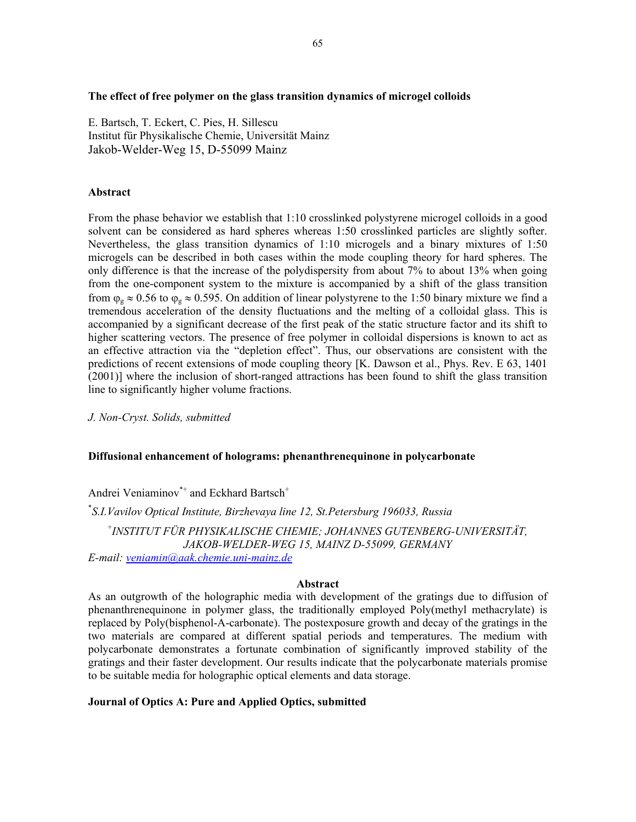## **The effect of free polymer on the glass transition dynamics of microgel colloids**

E. Bartsch, T. Eckert, C. Pies, H. Sillescu Institut für Physikalische Chemie, Universität Mainz Jakob-Welder-Weg 15, D-55099 Mainz

## **Abstract**

From the phase behavior we establish that 1:10 crosslinked polystyrene microgel colloids in a good solvent can be considered as hard spheres whereas 1:50 crosslinked particles are slightly softer. Nevertheless, the glass transition dynamics of 1:10 microgels and a binary mixtures of 1:50 microgels can be described in both cases within the mode coupling theory for hard spheres. The only difference is that the increase of the polydispersity from about 7% to about 13% when going from the one-component system to the mixture is accompanied by a shift of the glass transition from  $\varphi_{\rm o} \approx 0.56$  to  $\varphi_{\rm o} \approx 0.595$ . On addition of linear polystyrene to the 1:50 binary mixture we find a tremendous acceleration of the density fluctuations and the melting of a colloidal glass. This is accompanied by a significant decrease of the first peak of the static structure factor and its shift to higher scattering vectors. The presence of free polymer in colloidal dispersions is known to act as an effective attraction via the "depletion effect". Thus, our observations are consistent with the predictions of recent extensions of mode coupling theory [K. Dawson et al., Phys. Rev. E 63, 1401 (2001)] where the inclusion of short-ranged attractions has been found to shift the glass transition line to significantly higher volume fractions.

*J. Non-Cryst. Solids, submitted* 

# **Diffusional enhancement of holograms: phenanthrenequinone in polycarbonate**

Andrei Veniaminov<sup> $*$ +</sup> and Eckhard Bartsch<sup>+</sup>

\* *S.I.Vavilov Optical Institute, Birzhevaya line 12, St.Petersburg 196033, Russia*  + *INSTITUT FÜR PHYSIKALISCHE CHEMIE; JOHANNES GUTENBERG-UNIVERSITÄT, JAKOB-WELDER-WEG 15, MAINZ D-55099, GERMANY E-mail: veniamin@aak.chemie.uni-mainz.de*

### **Abstract**

As an outgrowth of the holographic media with development of the gratings due to diffusion of phenanthrenequinone in polymer glass, the traditionally employed Poly(methyl methacrylate) is replaced by Poly(bisphenol-A-carbonate). The postexposure growth and decay of the gratings in the two materials are compared at different spatial periods and temperatures. The medium with polycarbonate demonstrates a fortunate combination of significantly improved stability of the gratings and their faster development. Our results indicate that the polycarbonate materials promise to be suitable media for holographic optical elements and data storage.

## **Journal of Optics A: Pure and Applied Optics, submitted**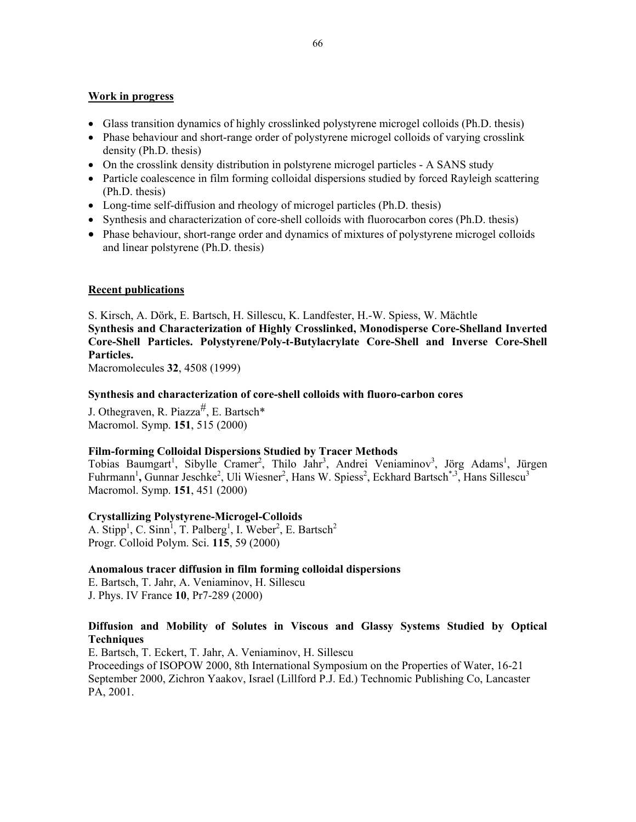## **Work in progress**

- Glass transition dynamics of highly crosslinked polystyrene microgel colloids (Ph.D. thesis)
- Phase behaviour and short-range order of polystyrene microgel colloids of varying crosslink density (Ph.D. thesis)
- On the crosslink density distribution in polstyrene microgel particles A SANS study
- Particle coalescence in film forming colloidal dispersions studied by forced Rayleigh scattering (Ph.D. thesis)
- Long-time self-diffusion and rheology of microgel particles (Ph.D. thesis)
- Synthesis and characterization of core-shell colloids with fluorocarbon cores (Ph.D. thesis)
- Phase behaviour, short-range order and dynamics of mixtures of polystyrene microgel colloids and linear polstyrene (Ph.D. thesis)

## **Recent publications**

S. Kirsch, A. Dörk, E. Bartsch, H. Sillescu, K. Landfester, H.-W. Spiess, W. Mächtle **Synthesis and Characterization of Highly Crosslinked, Monodisperse Core-Shelland Inverted Core-Shell Particles. Polystyrene/Poly-t-Butylacrylate Core-Shell and Inverse Core-Shell Particles.** 

Macromolecules **32**, 4508 (1999)

## **Synthesis and characterization of core-shell colloids with fluoro-carbon cores**

J. Othegraven, R. Piazza<sup>#</sup>, E. Bartsch<sup>\*</sup> Macromol. Symp. **151**, 515 (2000)

### **Film-forming Colloidal Dispersions Studied by Tracer Methods**

Tobias Baumgart<sup>1</sup>, Sibylle Cramer<sup>2</sup>, Thilo Jahr<sup>3</sup>, Andrei Veniaminov<sup>3</sup>, Jörg Adams<sup>1</sup>, Jürgen Fuhrmann<sup>1</sup>, Gunnar Jeschke<sup>2</sup>, Uli Wiesner<sup>2</sup>, Hans W. Spiess<sup>2</sup>, Eckhard Bartsch<sup>\*,3</sup>, Hans Sillescu<sup>3</sup> Macromol. Symp. **151**, 451 (2000)

### **Crystallizing Polystyrene-Microgel-Colloids**

A. Stipp<sup>1</sup>, C. Sinn<sup>1</sup>, T. Palberg<sup>1</sup>, I. Weber<sup>2</sup>, E. Bartsch<sup>2</sup> Progr. Colloid Polym. Sci. **115**, 59 (2000)

### **Anomalous tracer diffusion in film forming colloidal dispersions**

E. Bartsch, T. Jahr, A. Veniaminov, H. Sillescu J. Phys. IV France **10**, Pr7-289 (2000)

## **Diffusion and Mobility of Solutes in Viscous and Glassy Systems Studied by Optical Techniques**

E. Bartsch, T. Eckert, T. Jahr, A. Veniaminov, H. Sillescu Proceedings of ISOPOW 2000, 8th International Symposium on the Properties of Water, 16-21 September 2000, Zichron Yaakov, Israel (Lillford P.J. Ed.) Technomic Publishing Co, Lancaster PA, 2001.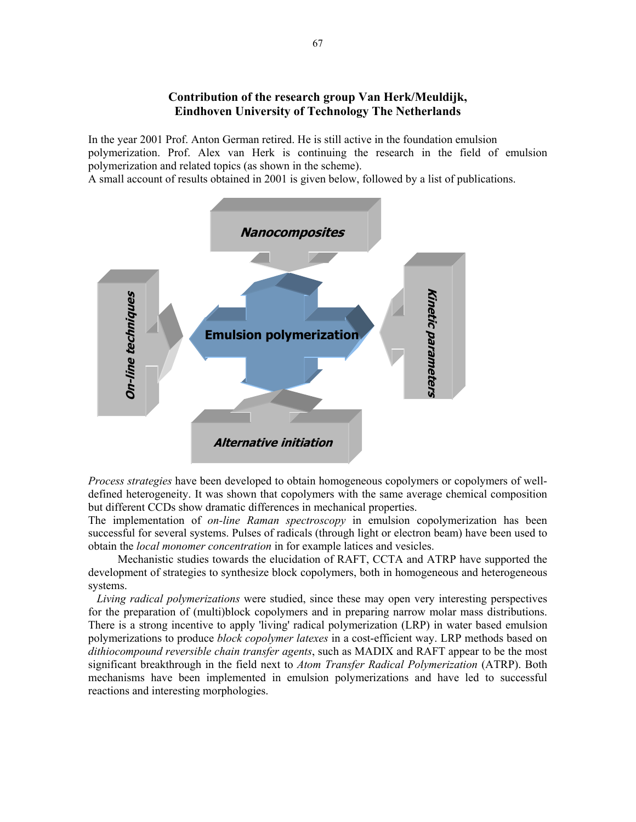## **Contribution of the research group Van Herk/Meuldijk, Eindhoven University of Technology The Netherlands**

In the year 2001 Prof. Anton German retired. He is still active in the foundation emulsion polymerization. Prof. Alex van Herk is continuing the research in the field of emulsion polymerization and related topics (as shown in the scheme).

A small account of results obtained in 2001 is given below, followed by a list of publications.



*Process strategies* have been developed to obtain homogeneous copolymers or copolymers of welldefined heterogeneity. It was shown that copolymers with the same average chemical composition but different CCDs show dramatic differences in mechanical properties.

The implementation of *on-line Raman spectroscopy* in emulsion copolymerization has been successful for several systems. Pulses of radicals (through light or electron beam) have been used to obtain the *local monomer concentration* in for example latices and vesicles.

Mechanistic studies towards the elucidation of RAFT, CCTA and ATRP have supported the development of strategies to synthesize block copolymers, both in homogeneous and heterogeneous systems.

 *Living radical polymerizations* were studied, since these may open very interesting perspectives for the preparation of (multi)block copolymers and in preparing narrow molar mass distributions. There is a strong incentive to apply 'living' radical polymerization (LRP) in water based emulsion polymerizations to produce *block copolymer latexes* in a cost-efficient way. LRP methods based on *dithiocompound reversible chain transfer agents*, such as MADIX and RAFT appear to be the most significant breakthrough in the field next to *Atom Transfer Radical Polymerization* (ATRP). Both mechanisms have been implemented in emulsion polymerizations and have led to successful reactions and interesting morphologies.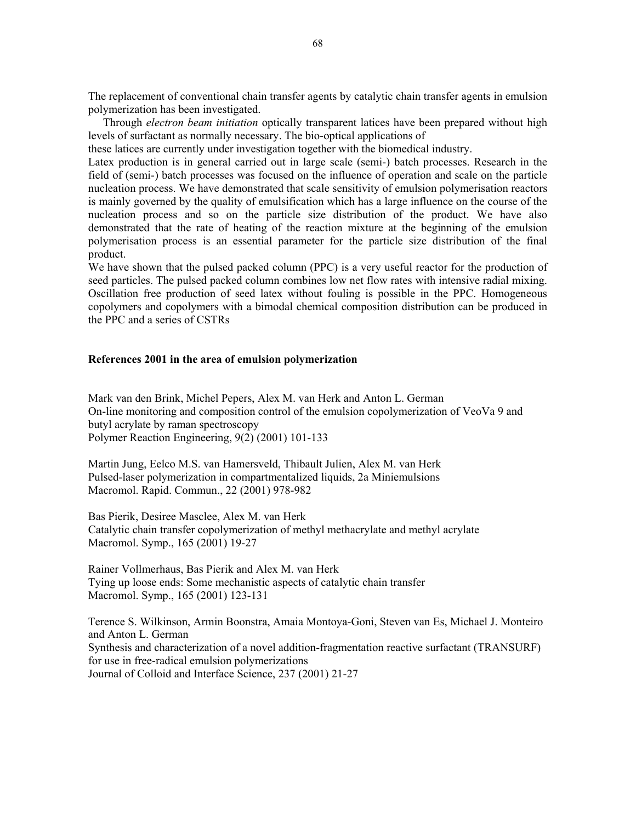The replacement of conventional chain transfer agents by catalytic chain transfer agents in emulsion polymerization has been investigated.

 Through *electron beam initiation* optically transparent latices have been prepared without high levels of surfactant as normally necessary. The bio-optical applications of

these latices are currently under investigation together with the biomedical industry.

Latex production is in general carried out in large scale (semi-) batch processes. Research in the field of (semi-) batch processes was focused on the influence of operation and scale on the particle nucleation process. We have demonstrated that scale sensitivity of emulsion polymerisation reactors is mainly governed by the quality of emulsification which has a large influence on the course of the nucleation process and so on the particle size distribution of the product. We have also demonstrated that the rate of heating of the reaction mixture at the beginning of the emulsion polymerisation process is an essential parameter for the particle size distribution of the final product.

We have shown that the pulsed packed column (PPC) is a very useful reactor for the production of seed particles. The pulsed packed column combines low net flow rates with intensive radial mixing. Oscillation free production of seed latex without fouling is possible in the PPC. Homogeneous copolymers and copolymers with a bimodal chemical composition distribution can be produced in the PPC and a series of CSTRs

### **References 2001 in the area of emulsion polymerization**

Mark van den Brink, Michel Pepers, Alex M. van Herk and Anton L. German On-line monitoring and composition control of the emulsion copolymerization of VeoVa 9 and butyl acrylate by raman spectroscopy Polymer Reaction Engineering, 9(2) (2001) 101-133

Martin Jung, Eelco M.S. van Hamersveld, Thibault Julien, Alex M. van Herk Pulsed-laser polymerization in compartmentalized liquids, 2a Miniemulsions Macromol. Rapid. Commun., 22 (2001) 978-982

Bas Pierik, Desiree Masclee, Alex M. van Herk Catalytic chain transfer copolymerization of methyl methacrylate and methyl acrylate Macromol. Symp., 165 (2001) 19-27

Rainer Vollmerhaus, Bas Pierik and Alex M. van Herk Tying up loose ends: Some mechanistic aspects of catalytic chain transfer Macromol. Symp., 165 (2001) 123-131

Terence S. Wilkinson, Armin Boonstra, Amaia Montoya-Goni, Steven van Es, Michael J. Monteiro and Anton L. German Synthesis and characterization of a novel addition-fragmentation reactive surfactant (TRANSURF) for use in free-radical emulsion polymerizations Journal of Colloid and Interface Science, 237 (2001) 21-27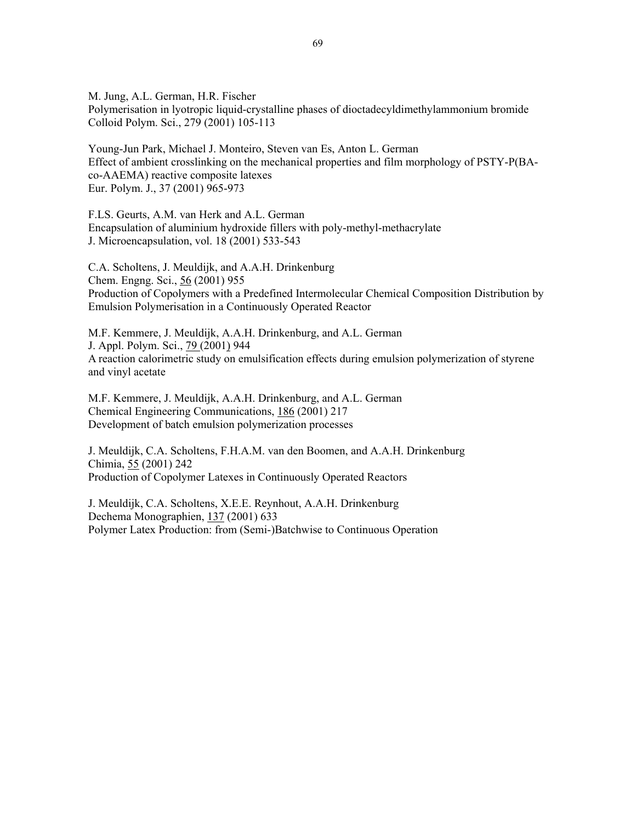M. Jung, A.L. German, H.R. Fischer Polymerisation in lyotropic liquid-crystalline phases of dioctadecyldimethylammonium bromide Colloid Polym. Sci., 279 (2001) 105-113

Young-Jun Park, Michael J. Monteiro, Steven van Es, Anton L. German Effect of ambient crosslinking on the mechanical properties and film morphology of PSTY-P(BAco-AAEMA) reactive composite latexes Eur. Polym. J., 37 (2001) 965-973

F.LS. Geurts, A.M. van Herk and A.L. German Encapsulation of aluminium hydroxide fillers with poly-methyl-methacrylate J. Microencapsulation, vol. 18 (2001) 533-543

C.A. Scholtens, J. Meuldijk, and A.A.H. Drinkenburg Chem. Engng. Sci., 56 (2001) 955 Production of Copolymers with a Predefined Intermolecular Chemical Composition Distribution by Emulsion Polymerisation in a Continuously Operated Reactor

M.F. Kemmere, J. Meuldijk, A.A.H. Drinkenburg, and A.L. German J. Appl. Polym. Sci., 79 (2001) 944 A reaction calorimetric study on emulsification effects during emulsion polymerization of styrene and vinyl acetate

M.F. Kemmere, J. Meuldijk, A.A.H. Drinkenburg, and A.L. German Chemical Engineering Communications, 186 (2001) 217 Development of batch emulsion polymerization processes

J. Meuldijk, C.A. Scholtens, F.H.A.M. van den Boomen, and A.A.H. Drinkenburg Chimia, 55 (2001) 242 Production of Copolymer Latexes in Continuously Operated Reactors

J. Meuldijk, C.A. Scholtens, X.E.E. Reynhout, A.A.H. Drinkenburg Dechema Monographien, 137 (2001) 633 Polymer Latex Production: from (Semi-)Batchwise to Continuous Operation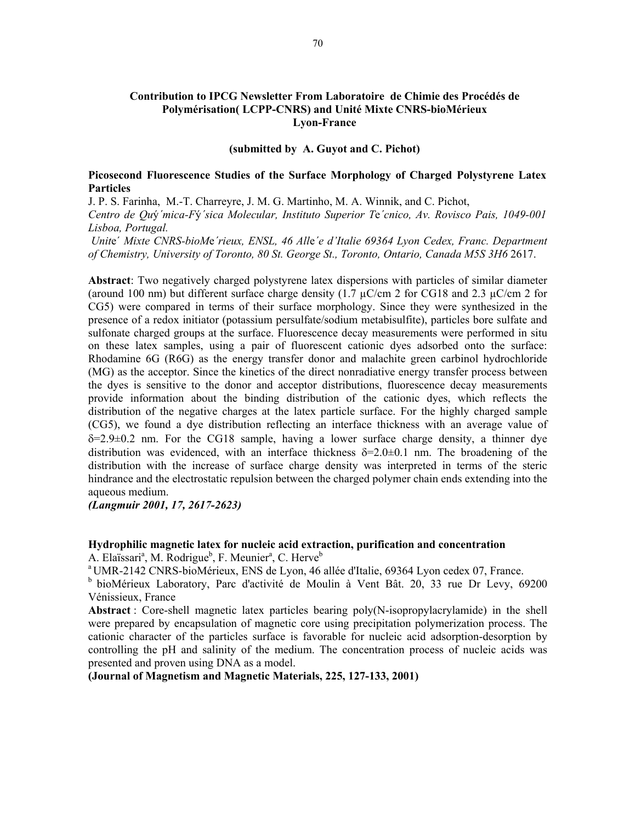## **Contribution to IPCG Newsletter From Laboratoire de Chimie des Procédés de Polymérisation( LCPP-CNRS) and Unité Mixte CNRS-bioMérieux Lyon-France**

### **(submitted by A. Guyot and C. Pichot)**

### **Picosecond Fluorescence Studies of the Surface Morphology of Charged Polystyrene Latex Particles**

J. P. S. Farinha, M.-T. Charreyre, J. M. G. Martinho, M. A. Winnik, and C. Pichot, *Centro de Qu*ý*´mica-F*ý*´sica Molecular, Instituto Superior T*e*´cnico, Av. Rovisco Pais, 1049-001 Lisboa, Portugal.* 

 *Unit*e´ *Mixte CNRS-bioM*e*´rieux, ENSL, 46 All*e*´e d'Italie 69364 Lyon Cedex, Franc. Department of Chemistry, University of Toronto, 80 St. George St., Toronto, Ontario, Canada M5S 3H6* 2617.

**Abstract**: Two negatively charged polystyrene latex dispersions with particles of similar diameter (around 100 nm) but different surface charge density (1.7  $\mu$ C/cm 2 for CG18 and 2.3  $\mu$ C/cm 2 for CG5) were compared in terms of their surface morphology. Since they were synthesized in the presence of a redox initiator (potassium persulfate/sodium metabisulfite), particles bore sulfate and sulfonate charged groups at the surface. Fluorescence decay measurements were performed in situ on these latex samples, using a pair of fluorescent cationic dyes adsorbed onto the surface: Rhodamine 6G (R6G) as the energy transfer donor and malachite green carbinol hydrochloride (MG) as the acceptor. Since the kinetics of the direct nonradiative energy transfer process between the dyes is sensitive to the donor and acceptor distributions, fluorescence decay measurements provide information about the binding distribution of the cationic dyes, which reflects the distribution of the negative charges at the latex particle surface. For the highly charged sample (CG5), we found a dye distribution reflecting an interface thickness with an average value of  $\delta = 2.9 \pm 0.2$  nm. For the CG18 sample, having a lower surface charge density, a thinner dye distribution was evidenced, with an interface thickness  $\delta = 2.0 \pm 0.1$  nm. The broadening of the distribution with the increase of surface charge density was interpreted in terms of the steric hindrance and the electrostatic repulsion between the charged polymer chain ends extending into the aqueous medium.

*(Langmuir 2001, 17, 2617-2623)* 

## **Hydrophilic magnetic latex for nucleic acid extraction, purification and concentration**

A. Elaïssari<sup>a</sup>, M. Rodrigue<sup>b</sup>, F. Meunier<sup>a</sup>, C. Herve<sup>b</sup>

<sup>a</sup> UMR-2142 CNRS-bioMérieux, ENS de Lyon, 46 allée d'Italie, 69364 Lyon cedex 07, France.

b bioMérieux Laboratory, Parc d'activité de Moulin à Vent Bât. 20, 33 rue Dr Levy, 69200 Vénissieux, France

**Abstract** : Core-shell magnetic latex particles bearing poly(N-isopropylacrylamide) in the shell were prepared by encapsulation of magnetic core using precipitation polymerization process. The cationic character of the particles surface is favorable for nucleic acid adsorption-desorption by controlling the pH and salinity of the medium. The concentration process of nucleic acids was presented and proven using DNA as a model.

**(Journal of Magnetism and Magnetic Materials, 225, 127-133, 2001)**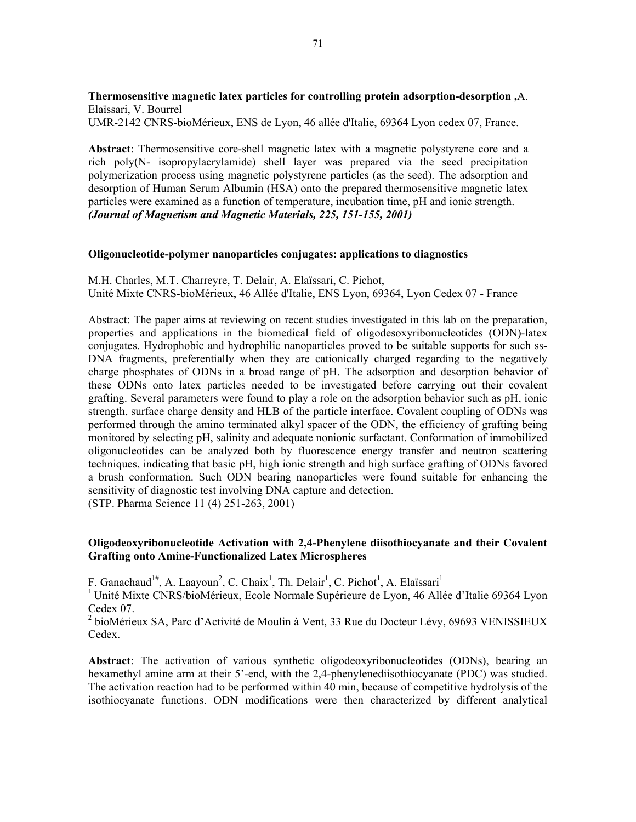# **Thermosensitive magnetic latex particles for controlling protein adsorption-desorption ,**A. Elaïssari, V. Bourrel

UMR-2142 CNRS-bioMérieux, ENS de Lyon, 46 allée d'Italie, 69364 Lyon cedex 07, France.

**Abstract**: Thermosensitive core-shell magnetic latex with a magnetic polystyrene core and a rich poly(N- isopropylacrylamide) shell layer was prepared via the seed precipitation polymerization process using magnetic polystyrene particles (as the seed). The adsorption and desorption of Human Serum Albumin (HSA) onto the prepared thermosensitive magnetic latex particles were examined as a function of temperature, incubation time, pH and ionic strength. *(Journal of Magnetism and Magnetic Materials, 225, 151-155, 2001)* 

## **Oligonucleotide-polymer nanoparticles conjugates: applications to diagnostics**

M.H. Charles, M.T. Charreyre, T. Delair, A. Elaïssari, C. Pichot, Unité Mixte CNRS-bioMérieux, 46 Allée d'Italie, ENS Lyon, 69364, Lyon Cedex 07 - France

Abstract: The paper aims at reviewing on recent studies investigated in this lab on the preparation, properties and applications in the biomedical field of oligodesoxyribonucleotides (ODN)-latex conjugates. Hydrophobic and hydrophilic nanoparticles proved to be suitable supports for such ss-DNA fragments, preferentially when they are cationically charged regarding to the negatively charge phosphates of ODNs in a broad range of pH. The adsorption and desorption behavior of these ODNs onto latex particles needed to be investigated before carrying out their covalent grafting. Several parameters were found to play a role on the adsorption behavior such as pH, ionic strength, surface charge density and HLB of the particle interface. Covalent coupling of ODNs was performed through the amino terminated alkyl spacer of the ODN, the efficiency of grafting being monitored by selecting pH, salinity and adequate nonionic surfactant. Conformation of immobilized oligonucleotides can be analyzed both by fluorescence energy transfer and neutron scattering techniques, indicating that basic pH, high ionic strength and high surface grafting of ODNs favored a brush conformation. Such ODN bearing nanoparticles were found suitable for enhancing the sensitivity of diagnostic test involving DNA capture and detection.

(STP. Pharma Science 11 (4) 251-263, 2001)

## **Oligodeoxyribonucleotide Activation with 2,4-Phenylene diisothiocyanate and their Covalent Grafting onto Amine-Functionalized Latex Microspheres**

F. Ganachaud<sup>1#</sup>, A. Laayoun<sup>2</sup>, C. Chaix<sup>1</sup>, Th. Delair<sup>1</sup>, C. Pichot<sup>1</sup>, A. Elaïssari<sup>1</sup>

<sup>1</sup> Unité Mixte CNRS/bioMérieux, Ecole Normale Supérieure de Lyon, 46 Allée d'Italie 69364 Lyon Cedex 07.

<sup>2</sup> bioMérieux SA, Parc d'Activité de Moulin à Vent, 33 Rue du Docteur Lévy, 69693 VENISSIEUX Cedex.

**Abstract**: The activation of various synthetic oligodeoxyribonucleotides (ODNs), bearing an hexamethyl amine arm at their 5'-end, with the 2,4-phenylenediisothiocyanate (PDC) was studied. The activation reaction had to be performed within 40 min, because of competitive hydrolysis of the isothiocyanate functions. ODN modifications were then characterized by different analytical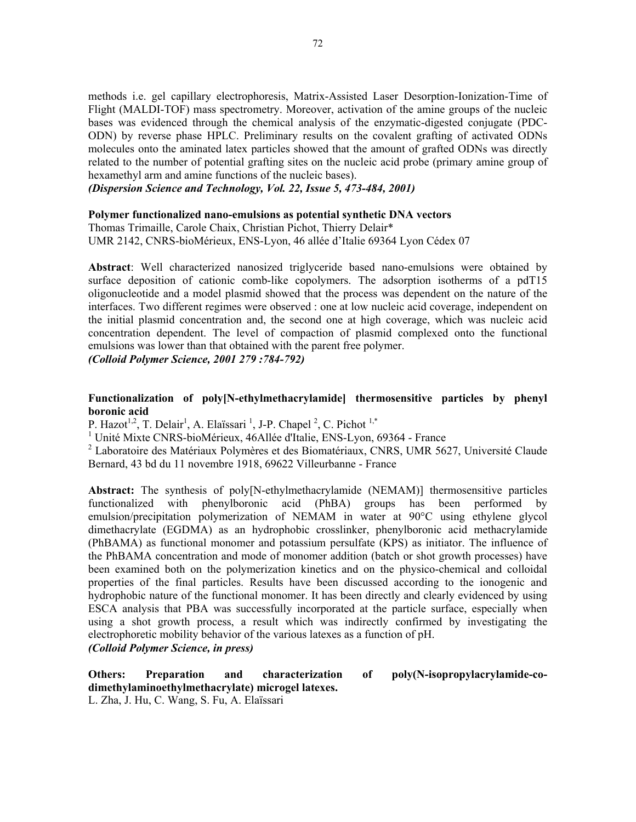methods i.e. gel capillary electrophoresis, Matrix-Assisted Laser Desorption-Ionization-Time of Flight (MALDI-TOF) mass spectrometry. Moreover, activation of the amine groups of the nucleic bases was evidenced through the chemical analysis of the enzymatic-digested conjugate (PDC-ODN) by reverse phase HPLC. Preliminary results on the covalent grafting of activated ODNs molecules onto the aminated latex particles showed that the amount of grafted ODNs was directly related to the number of potential grafting sites on the nucleic acid probe (primary amine group of hexamethyl arm and amine functions of the nucleic bases).

*(Dispersion Science and Technology, Vol. 22, Issue 5, 473-484, 2001)* 

### **Polymer functionalized nano-emulsions as potential synthetic DNA vectors**

Thomas Trimaille, Carole Chaix, Christian Pichot, Thierry Delair\* UMR 2142, CNRS-bioMérieux, ENS-Lyon, 46 allée d'Italie 69364 Lyon Cédex 07

**Abstract**: Well characterized nanosized triglyceride based nano-emulsions were obtained by surface deposition of cationic comb-like copolymers. The adsorption isotherms of a pdT15 oligonucleotide and a model plasmid showed that the process was dependent on the nature of the interfaces. Two different regimes were observed : one at low nucleic acid coverage, independent on the initial plasmid concentration and, the second one at high coverage, which was nucleic acid concentration dependent. The level of compaction of plasmid complexed onto the functional emulsions was lower than that obtained with the parent free polymer.

*(Colloid Polymer Science, 2001 279 :784-792)* 

## **Functionalization of poly[N-ethylmethacrylamide] thermosensitive particles by phenyl boronic acid**

P. Hazot<sup>1,2</sup>, T. Delair<sup>1</sup>, A. Elaïssari<sup>1</sup>, J-P. Chapel<sup>2</sup>, C. Pichot<sup>1,\*</sup>

<sup>1</sup> Unité Mixte CNRS-bioMérieux, 46Allée d'Italie, ENS-Lyon, 69364 - France

<sup>2</sup> Laboratoire des Matériaux Polymères et des Biomatériaux, CNRS, UMR 5627, Université Claude Bernard, 43 bd du 11 novembre 1918, 69622 Villeurbanne - France

**Abstract:** The synthesis of poly[N-ethylmethacrylamide (NEMAM)] thermosensitive particles functionalized with phenylboronic acid (PhBA) groups has been performed by emulsion/precipitation polymerization of NEMAM in water at 90°C using ethylene glycol dimethacrylate (EGDMA) as an hydrophobic crosslinker, phenylboronic acid methacrylamide (PhBAMA) as functional monomer and potassium persulfate (KPS) as initiator. The influence of the PhBAMA concentration and mode of monomer addition (batch or shot growth processes) have been examined both on the polymerization kinetics and on the physico-chemical and colloidal properties of the final particles. Results have been discussed according to the ionogenic and hydrophobic nature of the functional monomer. It has been directly and clearly evidenced by using ESCA analysis that PBA was successfully incorporated at the particle surface, especially when using a shot growth process, a result which was indirectly confirmed by investigating the electrophoretic mobility behavior of the various latexes as a function of pH.

*(Colloid Polymer Science, in press)* 

**Others: Preparation and characterization of poly(N-isopropylacrylamide-codimethylaminoethylmethacrylate) microgel latexes.** 

L. Zha, J. Hu, C. Wang, S. Fu, A. Elaïssari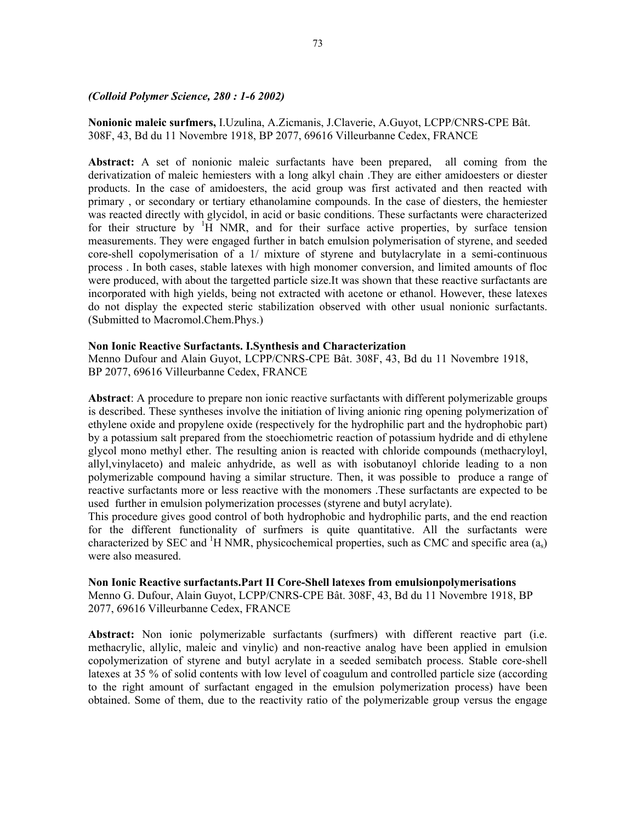## *(Colloid Polymer Science, 280 : 1-6 2002)*

**Nonionic maleic surfmers,** I.Uzulina, A.Zicmanis, J.Claverie, A.Guyot, LCPP/CNRS-CPE Bât. 308F, 43, Bd du 11 Novembre 1918, BP 2077, 69616 Villeurbanne Cedex, FRANCE

**Abstract:** A set of nonionic maleic surfactants have been prepared, all coming from the derivatization of maleic hemiesters with a long alkyl chain .They are either amidoesters or diester products. In the case of amidoesters, the acid group was first activated and then reacted with primary , or secondary or tertiary ethanolamine compounds. In the case of diesters, the hemiester was reacted directly with glycidol, in acid or basic conditions. These surfactants were characterized for their structure by  ${}^{1}$ H NMR, and for their surface active properties, by surface tension measurements. They were engaged further in batch emulsion polymerisation of styrene, and seeded core-shell copolymerisation of a 1/ mixture of styrene and butylacrylate in a semi-continuous process . In both cases, stable latexes with high monomer conversion, and limited amounts of floc were produced, with about the targetted particle size.It was shown that these reactive surfactants are incorporated with high yields, being not extracted with acetone or ethanol. However, these latexes do not display the expected steric stabilization observed with other usual nonionic surfactants. (Submitted to Macromol.Chem.Phys.)

#### **Non Ionic Reactive Surfactants. I.Synthesis and Characterization**

Menno Dufour and Alain Guyot, LCPP/CNRS-CPE Bât. 308F, 43, Bd du 11 Novembre 1918, BP 2077, 69616 Villeurbanne Cedex, FRANCE

**Abstract**: A procedure to prepare non ionic reactive surfactants with different polymerizable groups is described. These syntheses involve the initiation of living anionic ring opening polymerization of ethylene oxide and propylene oxide (respectively for the hydrophilic part and the hydrophobic part) by a potassium salt prepared from the stoechiometric reaction of potassium hydride and di ethylene glycol mono methyl ether. The resulting anion is reacted with chloride compounds (methacryloyl, allyl,vinylaceto) and maleic anhydride, as well as with isobutanoyl chloride leading to a non polymerizable compound having a similar structure. Then, it was possible to produce a range of reactive surfactants more or less reactive with the monomers .These surfactants are expected to be used further in emulsion polymerization processes (styrene and butyl acrylate).

This procedure gives good control of both hydrophobic and hydrophilic parts, and the end reaction for the different functionality of surfmers is quite quantitative. All the surfactants were characterized by SEC and <sup>1</sup>H NMR, physicochemical properties, such as CMC and specific area  $(a_s)$ were also measured.

# **Non Ionic Reactive surfactants.Part II Core-Shell latexes from emulsionpolymerisations**  Menno G. Dufour, Alain Guyot, LCPP/CNRS-CPE Bât. 308F, 43, Bd du 11 Novembre 1918, BP 2077, 69616 Villeurbanne Cedex, FRANCE

**Abstract:** Non ionic polymerizable surfactants (surfmers) with different reactive part (i.e. methacrylic, allylic, maleic and vinylic) and non-reactive analog have been applied in emulsion copolymerization of styrene and butyl acrylate in a seeded semibatch process. Stable core-shell latexes at 35 % of solid contents with low level of coagulum and controlled particle size (according to the right amount of surfactant engaged in the emulsion polymerization process) have been obtained. Some of them, due to the reactivity ratio of the polymerizable group versus the engage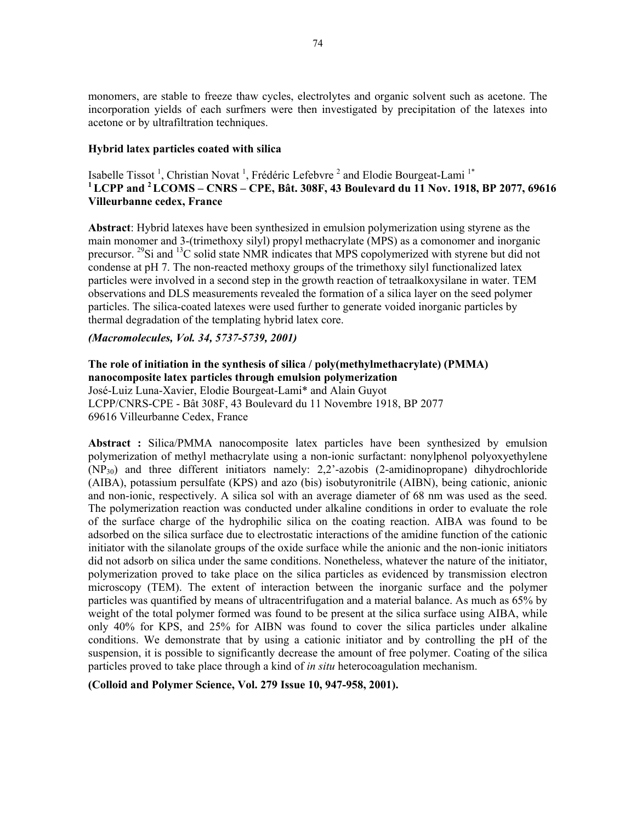monomers, are stable to freeze thaw cycles, electrolytes and organic solvent such as acetone. The incorporation yields of each surfmers were then investigated by precipitation of the latexes into acetone or by ultrafiltration techniques.

# **Hybrid latex particles coated with silica**

Isabelle Tissot<sup>1</sup>, Christian Novat<sup>1</sup>, Frédéric Lefebvre<sup>2</sup> and Elodie Bourgeat-Lami<sup>1\*</sup> **1 LCPP and 2 LCOMS – CNRS – CPE, Bât. 308F, 43 Boulevard du 11 Nov. 1918, BP 2077, 69616 Villeurbanne cedex, France** 

**Abstract**: Hybrid latexes have been synthesized in emulsion polymerization using styrene as the main monomer and 3-(trimethoxy silyl) propyl methacrylate (MPS) as a comonomer and inorganic precursor. 29Si and 13C solid state NMR indicates that MPS copolymerized with styrene but did not condense at pH 7. The non-reacted methoxy groups of the trimethoxy silyl functionalized latex particles were involved in a second step in the growth reaction of tetraalkoxysilane in water. TEM observations and DLS measurements revealed the formation of a silica layer on the seed polymer particles. The silica-coated latexes were used further to generate voided inorganic particles by thermal degradation of the templating hybrid latex core.

# *(Macromolecules, Vol. 34, 5737-5739, 2001)*

**The role of initiation in the synthesis of silica / poly(methylmethacrylate) (PMMA) nanocomposite latex particles through emulsion polymerization**  José-Luiz Luna-Xavier, Elodie Bourgeat-Lami\* and Alain Guyot LCPP/CNRS-CPE - Bât 308F, 43 Boulevard du 11 Novembre 1918, BP 2077 69616 Villeurbanne Cedex, France

**Abstract :** Silica/PMMA nanocomposite latex particles have been synthesized by emulsion polymerization of methyl methacrylate using a non-ionic surfactant: nonylphenol polyoxyethylene (NP30) and three different initiators namely: 2,2'-azobis (2-amidinopropane) dihydrochloride (AIBA), potassium persulfate (KPS) and azo (bis) isobutyronitrile (AIBN), being cationic, anionic and non-ionic, respectively. A silica sol with an average diameter of 68 nm was used as the seed. The polymerization reaction was conducted under alkaline conditions in order to evaluate the role of the surface charge of the hydrophilic silica on the coating reaction. AIBA was found to be adsorbed on the silica surface due to electrostatic interactions of the amidine function of the cationic initiator with the silanolate groups of the oxide surface while the anionic and the non-ionic initiators did not adsorb on silica under the same conditions. Nonetheless, whatever the nature of the initiator, polymerization proved to take place on the silica particles as evidenced by transmission electron microscopy (TEM). The extent of interaction between the inorganic surface and the polymer particles was quantified by means of ultracentrifugation and a material balance. As much as 65% by weight of the total polymer formed was found to be present at the silica surface using AIBA, while only 40% for KPS, and 25% for AIBN was found to cover the silica particles under alkaline conditions. We demonstrate that by using a cationic initiator and by controlling the pH of the suspension, it is possible to significantly decrease the amount of free polymer. Coating of the silica particles proved to take place through a kind of *in situ* heterocoagulation mechanism.

**(Colloid and Polymer Science, Vol. 279 Issue 10, 947-958, 2001).**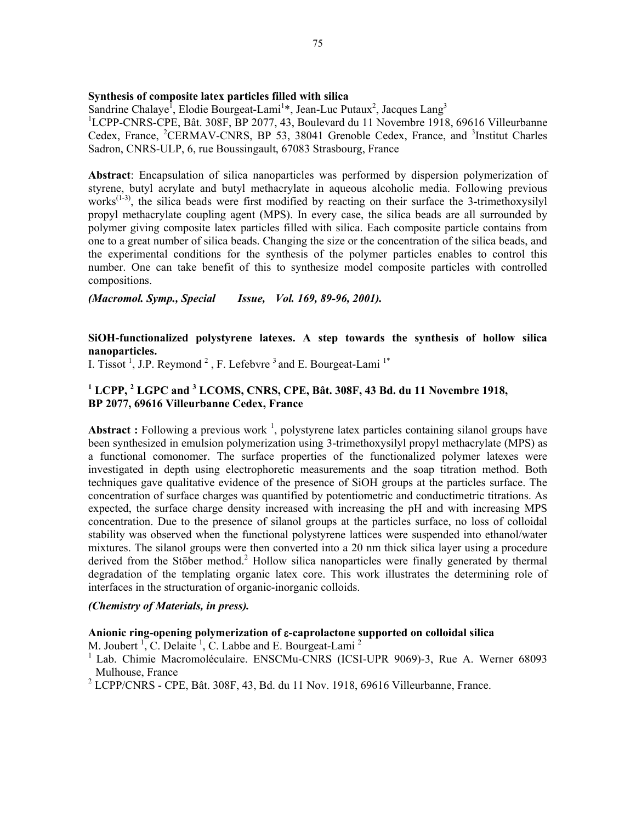## **Synthesis of composite latex particles filled with silica**

Sandrine Chalaye<sup>1</sup>, Elodie Bourgeat-Lami<sup>1\*</sup>, Jean-Luc Putaux<sup>2</sup>, Jacques Lang<sup>3</sup> <sup>1</sup>LCPP-CNRS-CPE, Bât. 308F, BP 2077, 43, Boulevard du 11 Novembre 1918, 69616 Villeurbanne Cedex, France, <sup>2</sup>CERMAV-CNRS, BP 53, 38041 Grenoble Cedex, France, and <sup>3</sup>Institut Charles Sadron, CNRS-ULP, 6, rue Boussingault, 67083 Strasbourg, France

**Abstract**: Encapsulation of silica nanoparticles was performed by dispersion polymerization of styrene, butyl acrylate and butyl methacrylate in aqueous alcoholic media. Following previous works $(1-3)$ , the silica beads were first modified by reacting on their surface the 3-trimethoxysilyl propyl methacrylate coupling agent (MPS). In every case, the silica beads are all surrounded by polymer giving composite latex particles filled with silica. Each composite particle contains from one to a great number of silica beads. Changing the size or the concentration of the silica beads, and the experimental conditions for the synthesis of the polymer particles enables to control this number. One can take benefit of this to synthesize model composite particles with controlled compositions.

*(Macromol. Symp., Special Issue, Vol. 169, 89-96, 2001).* 

# **SiOH-functionalized polystyrene latexes. A step towards the synthesis of hollow silica nanoparticles.**

I. Tissot<sup>1</sup>, J.P. Reymond<sup>2</sup>, F. Lefebvre<sup>3</sup> and E. Bourgeat-Lami<sup>1\*</sup>

# <sup>1</sup> LCPP, <sup>2</sup> LGPC and <sup>3</sup> LCOMS, CNRS, CPE, Bât. 308F, 43 Bd. du 11 Novembre 1918, **BP 2077, 69616 Villeurbanne Cedex, France**

Abstract: Following a previous work<sup>1</sup>, polystyrene latex particles containing silanol groups have been synthesized in emulsion polymerization using 3-trimethoxysilyl propyl methacrylate (MPS) as a functional comonomer. The surface properties of the functionalized polymer latexes were investigated in depth using electrophoretic measurements and the soap titration method. Both techniques gave qualitative evidence of the presence of SiOH groups at the particles surface. The concentration of surface charges was quantified by potentiometric and conductimetric titrations. As expected, the surface charge density increased with increasing the pH and with increasing MPS concentration. Due to the presence of silanol groups at the particles surface, no loss of colloidal stability was observed when the functional polystyrene lattices were suspended into ethanol/water mixtures. The silanol groups were then converted into a 20 nm thick silica layer using a procedure derived from the Stöber method.<sup>2</sup> Hollow silica nanoparticles were finally generated by thermal degradation of the templating organic latex core. This work illustrates the determining role of interfaces in the structuration of organic-inorganic colloids.

# *(Chemistry of Materials, in press).*

# **Anionic ring-opening polymerization of** ε**-caprolactone supported on colloidal silica**

- M. Joubert  $\overline{1}$ , C. Delaite  $\overline{1}$ , C. Labbe and E. Bourgeat-Lami  $\overline{2}$
- <sup>1</sup> Lab. Chimie Macromoléculaire. ENSCMu-CNRS (ICSI-UPR 9069)-3, Rue A. Werner 68093 Mulhouse, France
- <sup>2</sup> LCPP/CNRS CPE, Bât. 308F, 43, Bd. du 11 Nov. 1918, 69616 Villeurbanne, France.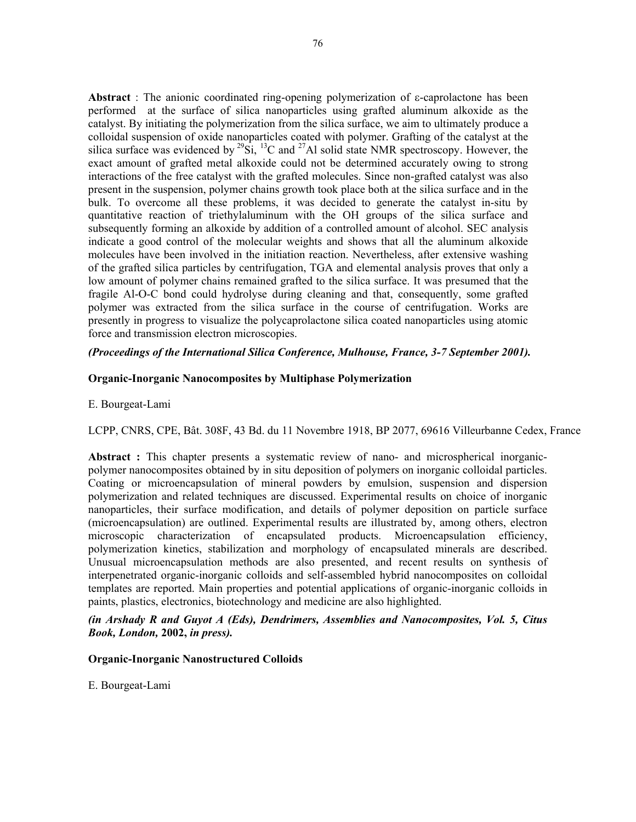**Abstract** : The anionic coordinated ring-opening polymerization of ε-caprolactone has been performed at the surface of silica nanoparticles using grafted aluminum alkoxide as the catalyst. By initiating the polymerization from the silica surface, we aim to ultimately produce a colloidal suspension of oxide nanoparticles coated with polymer. Grafting of the catalyst at the silica surface was evidenced by  $^{29}$ Si,  $^{13}$ C and  $^{27}$ Al solid state NMR spectroscopy. However, the exact amount of grafted metal alkoxide could not be determined accurately owing to strong interactions of the free catalyst with the grafted molecules. Since non-grafted catalyst was also present in the suspension, polymer chains growth took place both at the silica surface and in the bulk. To overcome all these problems, it was decided to generate the catalyst in-situ by quantitative reaction of triethylaluminum with the OH groups of the silica surface and subsequently forming an alkoxide by addition of a controlled amount of alcohol. SEC analysis indicate a good control of the molecular weights and shows that all the aluminum alkoxide molecules have been involved in the initiation reaction. Nevertheless, after extensive washing of the grafted silica particles by centrifugation, TGA and elemental analysis proves that only a low amount of polymer chains remained grafted to the silica surface. It was presumed that the fragile Al-O-C bond could hydrolyse during cleaning and that, consequently, some grafted polymer was extracted from the silica surface in the course of centrifugation. Works are presently in progress to visualize the polycaprolactone silica coated nanoparticles using atomic force and transmission electron microscopies.

# *(Proceedings of the International Silica Conference, Mulhouse, France, 3-7 September 2001).*

### **Organic-Inorganic Nanocomposites by Multiphase Polymerization**

E. Bourgeat-Lami

LCPP, CNRS, CPE, Bât. 308F, 43 Bd. du 11 Novembre 1918, BP 2077, 69616 Villeurbanne Cedex, France

**Abstract :** This chapter presents a systematic review of nano- and microspherical inorganicpolymer nanocomposites obtained by in situ deposition of polymers on inorganic colloidal particles. Coating or microencapsulation of mineral powders by emulsion, suspension and dispersion polymerization and related techniques are discussed. Experimental results on choice of inorganic nanoparticles, their surface modification, and details of polymer deposition on particle surface (microencapsulation) are outlined. Experimental results are illustrated by, among others, electron microscopic characterization of encapsulated products. Microencapsulation efficiency, polymerization kinetics, stabilization and morphology of encapsulated minerals are described. Unusual microencapsulation methods are also presented, and recent results on synthesis of interpenetrated organic-inorganic colloids and self-assembled hybrid nanocomposites on colloidal templates are reported. Main properties and potential applications of organic-inorganic colloids in paints, plastics, electronics, biotechnology and medicine are also highlighted.

*(in Arshady R and Guyot A (Eds), Dendrimers, Assemblies and Nanocomposites, Vol. 5, Citus Book, London,* **2002,** *in press).* 

### **Organic-Inorganic Nanostructured Colloids**

E. Bourgeat-Lami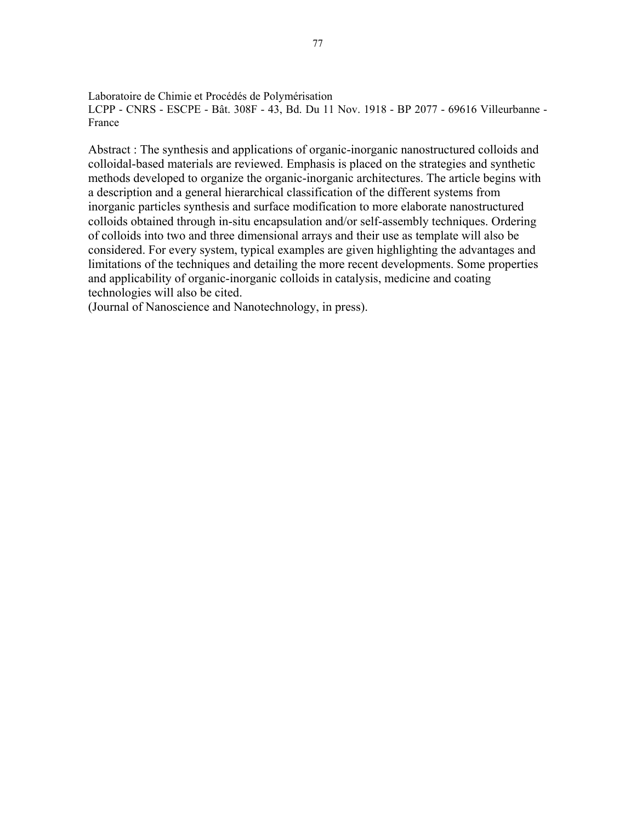Laboratoire de Chimie et Procédés de Polymérisation LCPP - CNRS - ESCPE - Bât. 308F - 43, Bd. Du 11 Nov. 1918 - BP 2077 - 69616 Villeurbanne - France

Abstract : The synthesis and applications of organic-inorganic nanostructured colloids and colloidal-based materials are reviewed. Emphasis is placed on the strategies and synthetic methods developed to organize the organic-inorganic architectures. The article begins with a description and a general hierarchical classification of the different systems from inorganic particles synthesis and surface modification to more elaborate nanostructured colloids obtained through in-situ encapsulation and/or self-assembly techniques. Ordering of colloids into two and three dimensional arrays and their use as template will also be considered. For every system, typical examples are given highlighting the advantages and limitations of the techniques and detailing the more recent developments. Some properties and applicability of organic-inorganic colloids in catalysis, medicine and coating technologies will also be cited.

(Journal of Nanoscience and Nanotechnology, in press).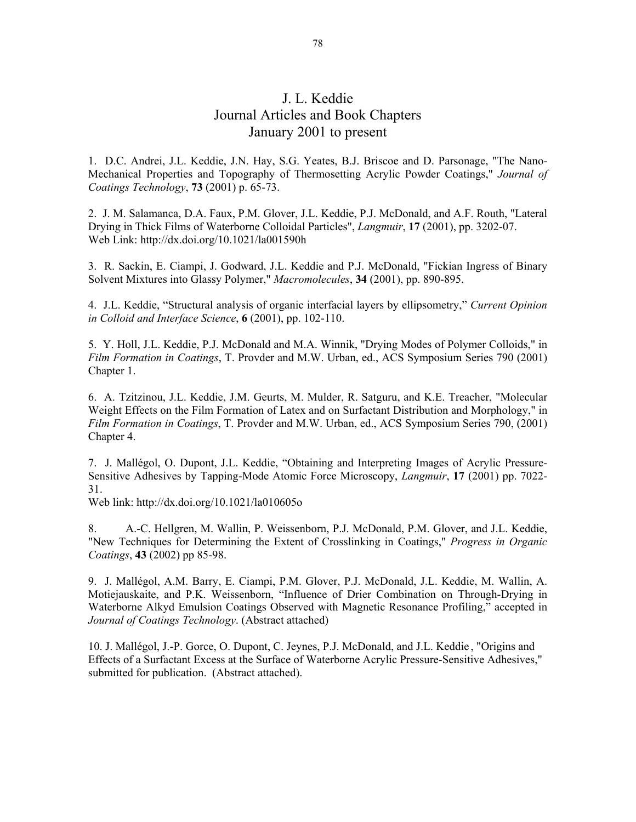# J. L. Keddie Journal Articles and Book Chapters January 2001 to present

1. D.C. Andrei, J.L. Keddie, J.N. Hay, S.G. Yeates, B.J. Briscoe and D. Parsonage, "The Nano-Mechanical Properties and Topography of Thermosetting Acrylic Powder Coatings," *Journal of Coatings Technology*, **73** (2001) p. 65-73.

2. J. M. Salamanca, D.A. Faux, P.M. Glover, J.L. Keddie, P.J. McDonald, and A.F. Routh, "Lateral Drying in Thick Films of Waterborne Colloidal Particles", *Langmuir*, **17** (2001), pp. 3202-07. Web Link: http://dx.doi.org/10.1021/la001590h

3. R. Sackin, E. Ciampi, J. Godward, J.L. Keddie and P.J. McDonald, "Fickian Ingress of Binary Solvent Mixtures into Glassy Polymer," *Macromolecules*, **34** (2001), pp. 890-895.

4. J.L. Keddie, "Structural analysis of organic interfacial layers by ellipsometry," *Current Opinion in Colloid and Interface Science*, **6** (2001), pp. 102-110.

5. Y. Holl, J.L. Keddie, P.J. McDonald and M.A. Winnik, "Drying Modes of Polymer Colloids," in *Film Formation in Coatings*, T. Provder and M.W. Urban, ed., ACS Symposium Series 790 (2001) Chapter 1.

6. A. Tzitzinou, J.L. Keddie, J.M. Geurts, M. Mulder, R. Satguru, and K.E. Treacher, "Molecular Weight Effects on the Film Formation of Latex and on Surfactant Distribution and Morphology," in *Film Formation in Coatings*, T. Provder and M.W. Urban, ed., ACS Symposium Series 790, (2001) Chapter 4.

7. J. Mallégol, O. Dupont, J.L. Keddie, "Obtaining and Interpreting Images of Acrylic Pressure-Sensitive Adhesives by Tapping-Mode Atomic Force Microscopy, *Langmuir*, **17** (2001) pp. 7022- 31.

Web link: http://dx.doi.org/10.1021/la010605o

8. A.-C. Hellgren, M. Wallin, P. Weissenborn, P.J. McDonald, P.M. Glover, and J.L. Keddie, "New Techniques for Determining the Extent of Crosslinking in Coatings," *Progress in Organic Coatings*, **43** (2002) pp 85-98.

9. J. Mallégol, A.M. Barry, E. Ciampi, P.M. Glover, P.J. McDonald, J.L. Keddie, M. Wallin, A. Motiejauskaite, and P.K. Weissenborn, "Influence of Drier Combination on Through-Drying in Waterborne Alkyd Emulsion Coatings Observed with Magnetic Resonance Profiling," accepted in *Journal of Coatings Technology*. (Abstract attached)

10. J. Mallégol, J.-P. Gorce, O. Dupont, C. Jeynes, P.J. McDonald, and J.L. Keddie , "Origins and Effects of a Surfactant Excess at the Surface of Waterborne Acrylic Pressure-Sensitive Adhesives," submitted for publication. (Abstract attached).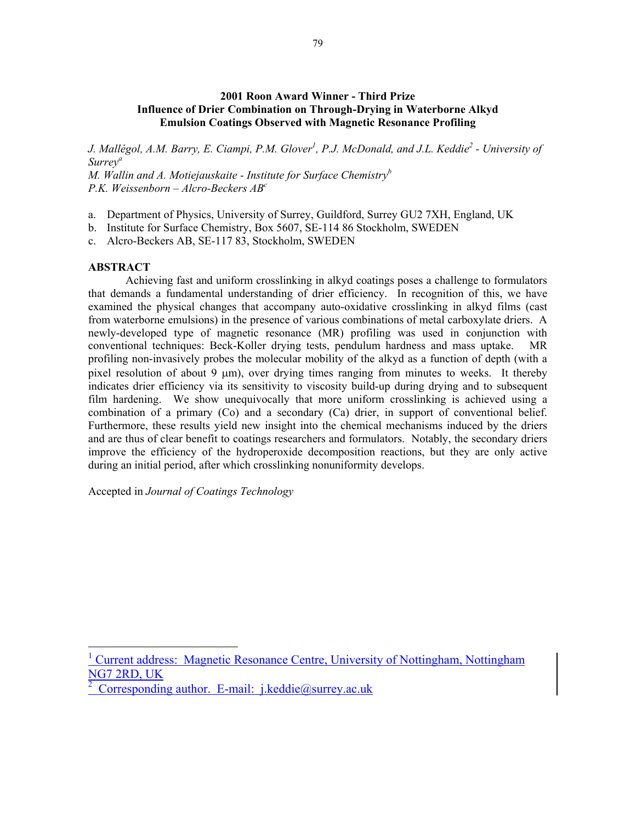# **2001 Roon Award Winner - Third Prize Influence of Drier Combination on Through-Drying in Waterborne Alkyd Emulsion Coatings Observed with Magnetic Resonance Profiling**

J. Mallégol, A.M. Barry, E. Ciampi, P.M. Glover<sup>1</sup>, P.J. McDonald, and J.L. Keddie<sup>2</sup> - University of *Surrey<sup>a</sup> M. Wallin and A. Motiejauskaite - Institute for Surface Chemistryb P.K. Weissenborn – Alcro-Beckers ABc* 

a. Department of Physics, University of Surrey, Guildford, Surrey GU2 7XH, England, UK

b. Institute for Surface Chemistry, Box 5607, SE-114 86 Stockholm, SWEDEN

c. Alcro-Beckers AB, SE-117 83, Stockholm, SWEDEN

#### **ABSTRACT**

1

 Achieving fast and uniform crosslinking in alkyd coatings poses a challenge to formulators that demands a fundamental understanding of drier efficiency. In recognition of this, we have examined the physical changes that accompany auto-oxidative crosslinking in alkyd films (cast from waterborne emulsions) in the presence of various combinations of metal carboxylate driers. A newly-developed type of magnetic resonance (MR) profiling was used in conjunction with conventional techniques: Beck-Koller drying tests, pendulum hardness and mass uptake. MR profiling non-invasively probes the molecular mobility of the alkyd as a function of depth (with a pixel resolution of about 9  $\mu$ m), over drying times ranging from minutes to weeks. It thereby indicates drier efficiency via its sensitivity to viscosity build-up during drying and to subsequent film hardening. We show unequivocally that more uniform crosslinking is achieved using a combination of a primary (Co) and a secondary (Ca) drier, in support of conventional belief. Furthermore, these results yield new insight into the chemical mechanisms induced by the driers and are thus of clear benefit to coatings researchers and formulators. Notably, the secondary driers improve the efficiency of the hydroperoxide decomposition reactions, but they are only active during an initial period, after which crosslinking nonuniformity develops.

Accepted in *Journal of Coatings Technology*

<sup>1</sup> Current address: Magnetic Resonance Centre, University of Nottingham, Nottingham NG7 2RD, UK

<sup>2</sup> Corresponding author. E-mail:  $i$ .keddie@surrey.ac.uk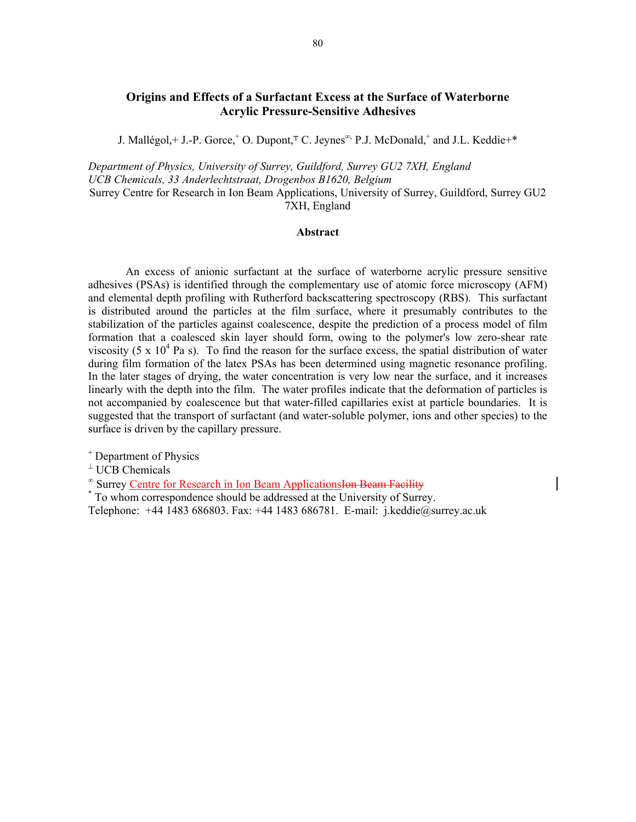# **Origins and Effects of a Surfactant Excess at the Surface of Waterborne Acrylic Pressure-Sensitive Adhesives**

J. Mallégol,+ J.-P. Gorce,<sup>+</sup> O. Dupont,<sup>⊤</sup> C. Jeynes<sup>∞,</sup> P.J. McDonald,<sup>+</sup> and J.L. Keddie+\*

*Department of Physics, University of Surrey, Guildford, Surrey GU2 7XH, England UCB Chemicals, 33 Anderlechtstraat, Drogenbos B1620, Belgium*  Surrey Centre for Research in Ion Beam Applications, University of Surrey, Guildford, Surrey GU2 7XH, England

#### **Abstract**

An excess of anionic surfactant at the surface of waterborne acrylic pressure sensitive adhesives (PSAs) is identified through the complementary use of atomic force microscopy (AFM) and elemental depth profiling with Rutherford backscattering spectroscopy (RBS). This surfactant is distributed around the particles at the film surface, where it presumably contributes to the stabilization of the particles against coalescence, despite the prediction of a process model of film formation that a coalesced skin layer should form, owing to the polymer's low zero-shear rate viscosity (5 x  $10^4$  Pa s). To find the reason for the surface excess, the spatial distribution of water during film formation of the latex PSAs has been determined using magnetic resonance profiling. In the later stages of drying, the water concentration is very low near the surface, and it increases linearly with the depth into the film. The water profiles indicate that the deformation of particles is not accompanied by coalescence but that water-filled capillaries exist at particle boundaries. It is suggested that the transport of surfactant (and water-soluble polymer, ions and other species) to the surface is driven by the capillary pressure.

+ Department of Physics

⊥ UCB Chemicals

∞ Surrey Centre for Research in Ion Beam ApplicationsIon Beam Facility \*

 To whom correspondence should be addressed at the University of Surrey. Telephone: +44 1483 686803. Fax: +44 1483 686781. E-mail: j.keddie@surrey.ac.uk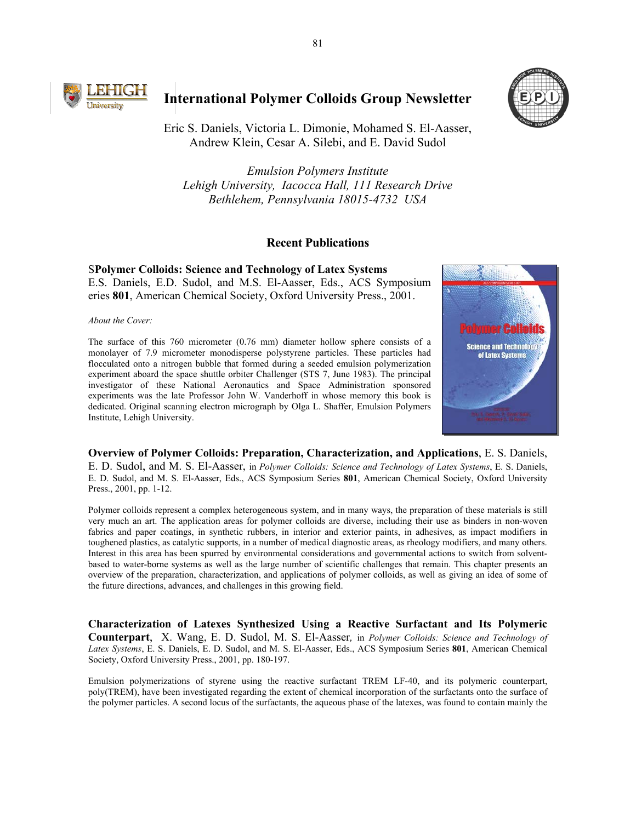

# **International Polymer Colloids Group Newsletter**

81



*Emulsion Polymers Institute Lehigh University, Iacocca Hall, 111 Research Drive Bethlehem, Pennsylvania 18015-4732 USA* 

# **Recent Publications**

# S**Polymer Colloids: Science and Technology of Latex Systems**

E.S. Daniels, E.D. Sudol, and M.S. El-Aasser, Eds., ACS Symposium eries **801**, American Chemical Society, Oxford University Press., 2001.

*About the Cover:* 

The surface of this 760 micrometer (0.76 mm) diameter hollow sphere consists of a monolayer of 7.9 micrometer monodisperse polystyrene particles. These particles had flocculated onto a nitrogen bubble that formed during a seeded emulsion polymerization experiment aboard the space shuttle orbiter Challenger (STS 7, June 1983). The principal investigator of these National Aeronautics and Space Administration sponsored experiments was the late Professor John W. Vanderhoff in whose memory this book is dedicated. Original scanning electron micrograph by Olga L. Shaffer, Emulsion Polymers Institute, Lehigh University.



**Overview of Polymer Colloids: Preparation, Characterization, and Applications**, E. S. Daniels, E. D. Sudol, and M. S. El-Aasser, in *Polymer Colloids: Science and Technology of Latex Systems*, E. S. Daniels, E. D. Sudol, and M. S. El-Aasser, Eds., ACS Symposium Series **801**, American Chemical Society, Oxford University Press., 2001, pp. 1-12.

Polymer colloids represent a complex heterogeneous system, and in many ways, the preparation of these materials is still very much an art. The application areas for polymer colloids are diverse, including their use as binders in non-woven fabrics and paper coatings, in synthetic rubbers, in interior and exterior paints, in adhesives, as impact modifiers in toughened plastics, as catalytic supports, in a number of medical diagnostic areas, as rheology modifiers, and many others. Interest in this area has been spurred by environmental considerations and governmental actions to switch from solventbased to water-borne systems as well as the large number of scientific challenges that remain. This chapter presents an overview of the preparation, characterization, and applications of polymer colloids, as well as giving an idea of some of the future directions, advances, and challenges in this growing field.

**Characterization of Latexes Synthesized Using a Reactive Surfactant and Its Polymeric Counterpart**, X. Wang, E. D. Sudol, M. S. El-Aasser*,* in *Polymer Colloids: Science and Technology of Latex Systems*, E. S. Daniels, E. D. Sudol, and M. S. El-Aasser, Eds., ACS Symposium Series **801**, American Chemical Society, Oxford University Press., 2001, pp. 180-197.

Emulsion polymerizations of styrene using the reactive surfactant TREM LF-40, and its polymeric counterpart, poly(TREM), have been investigated regarding the extent of chemical incorporation of the surfactants onto the surface of the polymer particles. A second locus of the surfactants, the aqueous phase of the latexes, was found to contain mainly the

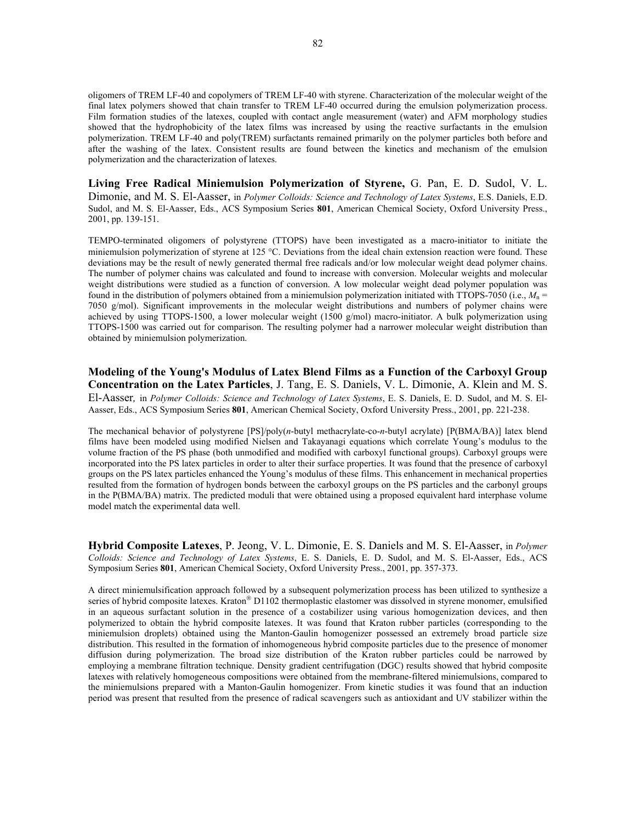oligomers of TREM LF-40 and copolymers of TREM LF-40 with styrene. Characterization of the molecular weight of the final latex polymers showed that chain transfer to TREM LF-40 occurred during the emulsion polymerization process. Film formation studies of the latexes, coupled with contact angle measurement (water) and AFM morphology studies showed that the hydrophobicity of the latex films was increased by using the reactive surfactants in the emulsion polymerization. TREM LF-40 and poly(TREM) surfactants remained primarily on the polymer particles both before and after the washing of the latex. Consistent results are found between the kinetics and mechanism of the emulsion polymerization and the characterization of latexes.

**Living Free Radical Miniemulsion Polymerization of Styrene,** G. Pan, E. D. Sudol, V. L. Dimonie, and M. S. El-Aasser, in *Polymer Colloids: Science and Technology of Latex Systems*, E.S. Daniels, E.D. Sudol, and M. S. El-Aasser, Eds., ACS Symposium Series **801**, American Chemical Society, Oxford University Press., 2001, pp. 139-151.

TEMPO-terminated oligomers of polystyrene (TTOPS) have been investigated as a macro-initiator to initiate the miniemulsion polymerization of styrene at 125 °C. Deviations from the ideal chain extension reaction were found. These deviations may be the result of newly generated thermal free radicals and/or low molecular weight dead polymer chains. The number of polymer chains was calculated and found to increase with conversion. Molecular weights and molecular weight distributions were studied as a function of conversion. A low molecular weight dead polymer population was found in the distribution of polymers obtained from a miniemulsion polymerization initiated with TTOPS-7050 (i.e.,  $M<sub>n</sub>$  = 7050 g/mol). Significant improvements in the molecular weight distributions and numbers of polymer chains were achieved by using TTOPS-1500, a lower molecular weight (1500 g/mol) macro-initiator. A bulk polymerization using TTOPS-1500 was carried out for comparison. The resulting polymer had a narrower molecular weight distribution than obtained by miniemulsion polymerization.

**Modeling of the Young's Modulus of Latex Blend Films as a Function of the Carboxyl Group Concentration on the Latex Particles**, J. Tang, E. S. Daniels, V. L. Dimonie, A. Klein and M. S.

El-Aasser*,* in *Polymer Colloids: Science and Technology of Latex Systems*, E. S. Daniels, E. D. Sudol, and M. S. El-Aasser, Eds., ACS Symposium Series **801**, American Chemical Society, Oxford University Press., 2001, pp. 221-238.

The mechanical behavior of polystyrene [PS]/poly(*n*-butyl methacrylate-co-*n*-butyl acrylate) [P(BMA/BA)] latex blend films have been modeled using modified Nielsen and Takayanagi equations which correlate Young's modulus to the volume fraction of the PS phase (both unmodified and modified with carboxyl functional groups). Carboxyl groups were incorporated into the PS latex particles in order to alter their surface properties. It was found that the presence of carboxyl groups on the PS latex particles enhanced the Young's modulus of these films. This enhancement in mechanical properties resulted from the formation of hydrogen bonds between the carboxyl groups on the PS particles and the carbonyl groups in the P(BMA/BA) matrix. The predicted moduli that were obtained using a proposed equivalent hard interphase volume model match the experimental data well.

**Hybrid Composite Latexes**, P. Jeong, V. L. Dimonie, E. S. Daniels and M. S. El-Aasser, in *Polymer Colloids: Science and Technology of Latex Systems*, E. S. Daniels, E. D. Sudol, and M. S. El-Aasser, Eds., ACS Symposium Series **801**, American Chemical Society, Oxford University Press., 2001, pp. 357-373.

A direct miniemulsification approach followed by a subsequent polymerization process has been utilized to synthesize a series of hybrid composite latexes. Kraton D1102 thermoplastic elastomer was dissolved in styrene monomer, emulsified in an aqueous surfactant solution in the presence of a costabilizer using various homogenization devices, and then polymerized to obtain the hybrid composite latexes. It was found that Kraton rubber particles (corresponding to the miniemulsion droplets) obtained using the Manton-Gaulin homogenizer possessed an extremely broad particle size distribution. This resulted in the formation of inhomogeneous hybrid composite particles due to the presence of monomer diffusion during polymerization. The broad size distribution of the Kraton rubber particles could be narrowed by employing a membrane filtration technique. Density gradient centrifugation (DGC) results showed that hybrid composite latexes with relatively homogeneous compositions were obtained from the membrane-filtered miniemulsions, compared to the miniemulsions prepared with a Manton-Gaulin homogenizer. From kinetic studies it was found that an induction period was present that resulted from the presence of radical scavengers such as antioxidant and UV stabilizer within the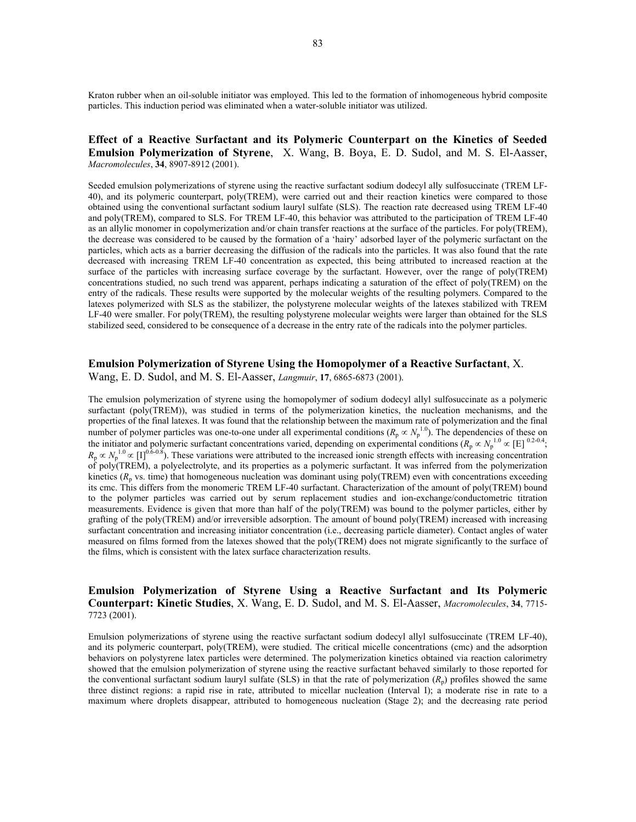Kraton rubber when an oil-soluble initiator was employed. This led to the formation of inhomogeneous hybrid composite particles. This induction period was eliminated when a water-soluble initiator was utilized.

**Effect of a Reactive Surfactant and its Polymeric Counterpart on the Kinetics of Seeded Emulsion Polymerization of Styrene**, X. Wang, B. Boya, E. D. Sudol, and M. S. El-Aasser, *Macromolecules*, **34**, 8907-8912 (2001).

Seeded emulsion polymerizations of styrene using the reactive surfactant sodium dodecyl ally sulfosuccinate (TREM LF-40), and its polymeric counterpart, poly(TREM), were carried out and their reaction kinetics were compared to those obtained using the conventional surfactant sodium lauryl sulfate (SLS). The reaction rate decreased using TREM LF-40 and poly(TREM), compared to SLS. For TREM LF-40, this behavior was attributed to the participation of TREM LF-40 as an allylic monomer in copolymerization and/or chain transfer reactions at the surface of the particles. For poly(TREM), the decrease was considered to be caused by the formation of a 'hairy' adsorbed layer of the polymeric surfactant on the particles, which acts as a barrier decreasing the diffusion of the radicals into the particles. It was also found that the rate decreased with increasing TREM LF-40 concentration as expected, this being attributed to increased reaction at the surface of the particles with increasing surface coverage by the surfactant. However, over the range of poly(TREM) concentrations studied, no such trend was apparent, perhaps indicating a saturation of the effect of poly(TREM) on the entry of the radicals. These results were supported by the molecular weights of the resulting polymers. Compared to the latexes polymerized with SLS as the stabilizer, the polystyrene molecular weights of the latexes stabilized with TREM LF-40 were smaller. For poly(TREM), the resulting polystyrene molecular weights were larger than obtained for the SLS stabilized seed, considered to be consequence of a decrease in the entry rate of the radicals into the polymer particles.

#### **Emulsion Polymerization of Styrene Using the Homopolymer of a Reactive Surfactant**, X.

Wang, E. D. Sudol, and M. S. El-Aasser, *Langmuir*, **17**, 6865-6873 (2001).

The emulsion polymerization of styrene using the homopolymer of sodium dodecyl allyl sulfosuccinate as a polymeric surfactant (poly(TREM)), was studied in terms of the polymerization kinetics, the nucleation mechanisms, and the properties of the final latexes. It was found that the relationship between the maximum rate of polymerization and the final number of polymer particles was one-to-one under all experimental conditions  $(R_p \propto N_p^{1.0})$ . The dependencies of these on the initiator and polymeric surfactant concentrations varied, depending on experimental conditions ( $R_p \propto N_p^{1.0} \propto [E]^{0.2 \cdot 0.4}$ ;  $R_p \propto N_p^{1.0} \propto [I]^{0.6-0.8}$ ). These variations were attributed to the increased ionic strength effects with increasing concentration of poly(TREM), a polyelectrolyte, and its properties as a polymeric surfactant. It was inferred from the polymerization kinetics  $(R_p \text{ vs. time})$  that homogeneous nucleation was dominant using poly(TREM) even with concentrations exceeding its cmc. This differs from the monomeric TREM LF-40 surfactant. Characterization of the amount of poly(TREM) bound to the polymer particles was carried out by serum replacement studies and ion-exchange/conductometric titration measurements. Evidence is given that more than half of the poly(TREM) was bound to the polymer particles, either by grafting of the poly(TREM) and/or irreversible adsorption. The amount of bound poly(TREM) increased with increasing surfactant concentration and increasing initiator concentration (i.e., decreasing particle diameter). Contact angles of water measured on films formed from the latexes showed that the poly(TREM) does not migrate significantly to the surface of the films, which is consistent with the latex surface characterization results.

#### **Emulsion Polymerization of Styrene Using a Reactive Surfactant and Its Polymeric Counterpart: Kinetic Studies**, X. Wang, E. D. Sudol, and M. S. El-Aasser, *Macromolecules*, **34**, 7715- 7723 (2001).

Emulsion polymerizations of styrene using the reactive surfactant sodium dodecyl allyl sulfosuccinate (TREM LF-40), and its polymeric counterpart, poly(TREM), were studied. The critical micelle concentrations (cmc) and the adsorption behaviors on polystyrene latex particles were determined. The polymerization kinetics obtained via reaction calorimetry showed that the emulsion polymerization of styrene using the reactive surfactant behaved similarly to those reported for the conventional surfactant sodium lauryl sulfate (SLS) in that the rate of polymerization  $(R_p)$  profiles showed the same three distinct regions: a rapid rise in rate, attributed to micellar nucleation (Interval I); a moderate rise in rate to a maximum where droplets disappear, attributed to homogeneous nucleation (Stage 2); and the decreasing rate period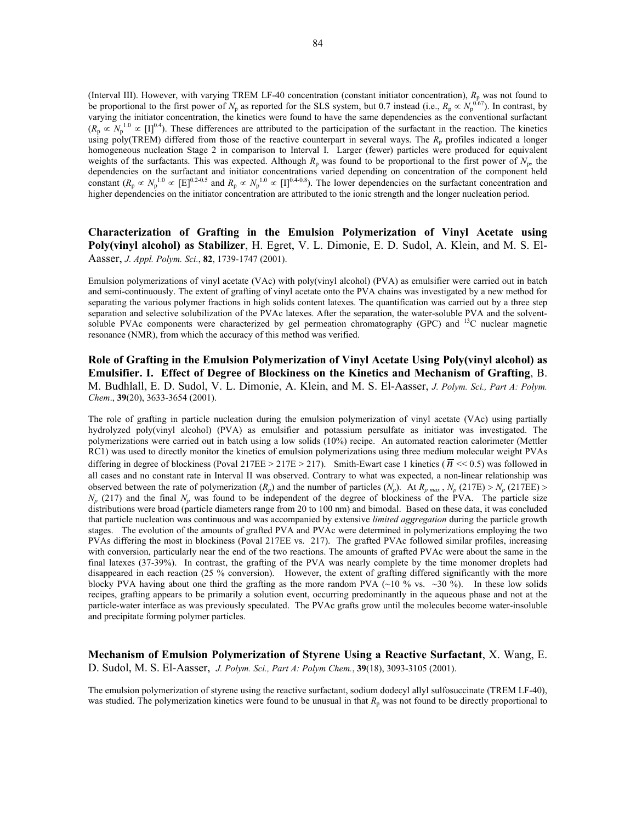(Interval III). However, with varying TREM LF-40 concentration (constant initiator concentration),  $R_p$  was not found to be proportional to the first power of  $N_p$  as reported for the SLS system, but 0.7 instead (i.e.,  $R_p \propto N_p^{0.67}$ ). In contrast, by varying the initiator concentration, the kinetics were found to have the same dependencies as the conventional surfactant  $(R_p \propto N_p^{1.0} \propto [I]^{0.4}$ ). These differences are attributed to the participation of the surfactant in the reaction. The kinetics using poly(TREM) differed from those of the reactive counterpart in several ways. The  $R_p$  profiles indicated a longer homogeneous nucleation Stage 2 in comparison to Interval I. Larger (fewer) particles were produced for equivalent weights of the surfactants. This was expected. Although  $R_p$  was found to be proportional to the first power of  $N_p$ , the dependencies on the surfactant and initiator concentrations varied depending on concentration of the component held constant  $(R_p \propto N_p^{1.0} \propto [E]^{0.2-0.5}$  and  $R_p \propto N_p^{1.0} \propto [I]^{0.4-0.8}$ ). The lower dependencies on the surfactant concentration and higher dependencies on the initiator concentration are attributed to the ionic strength and the longer nucleation period.

# **Characterization of Grafting in the Emulsion Polymerization of Vinyl Acetate using Poly(vinyl alcohol) as Stabilizer**, H. Egret, V. L. Dimonie, E. D. Sudol, A. Klein, and M. S. El-Aasser, *J. Appl. Polym. Sci.*, **82**, 1739-1747 (2001).

Emulsion polymerizations of vinyl acetate (VAc) with poly(vinyl alcohol) (PVA) as emulsifier were carried out in batch and semi-continuously. The extent of grafting of vinyl acetate onto the PVA chains was investigated by a new method for separating the various polymer fractions in high solids content latexes. The quantification was carried out by a three step separation and selective solubilization of the PVAc latexes. After the separation, the water-soluble PVA and the solventsoluble PVAc components were characterized by gel permeation chromatography (GPC) and  $^{13}C$  nuclear magnetic resonance (NMR), from which the accuracy of this method was verified.

**Role of Grafting in the Emulsion Polymerization of Vinyl Acetate Using Poly(vinyl alcohol) as Emulsifier. I. Effect of Degree of Blockiness on the Kinetics and Mechanism of Grafting**, B. M. Budhlall, E. D. Sudol, V. L. Dimonie, A. Klein, and M. S. El-Aasser, *J. Polym. Sci., Part A: Polym. Chem*., **39**(20), 3633-3654 (2001).

The role of grafting in particle nucleation during the emulsion polymerization of vinyl acetate (VAc) using partially hydrolyzed poly(vinyl alcohol) (PVA) as emulsifier and potassium persulfate as initiator was investigated. The polymerizations were carried out in batch using a low solids (10%) recipe. An automated reaction calorimeter (Mettler RC1) was used to directly monitor the kinetics of emulsion polymerizations using three medium molecular weight PVAs differing in degree of blockiness (Poval 217EE > 217E > 217). Smith-Ewart case 1 kinetics ( $\overline{n}$  < 0.5) was followed in all cases and no constant rate in Interval II was observed. Contrary to what was expected, a non-linear relationship was observed between the rate of polymerization  $(R_p)$  and the number of particles  $(N_p)$ . At  $R_{p \text{ max}}$ ,  $N_p$  (217E) >  $N_p$  (217EE) >  $N_p$  (217) and the final  $N_p$  was found to be independent of the degree of blockiness of the PVA. The particle size distributions were broad (particle diameters range from 20 to 100 nm) and bimodal. Based on these data, it was concluded that particle nucleation was continuous and was accompanied by extensive *limited aggregation* during the particle growth stages. The evolution of the amounts of grafted PVA and PVAc were determined in polymerizations employing the two PVAs differing the most in blockiness (Poval 217EE vs. 217). The grafted PVAc followed similar profiles, increasing with conversion, particularly near the end of the two reactions. The amounts of grafted PVAc were about the same in the final latexes (37-39%). In contrast, the grafting of the PVA was nearly complete by the time monomer droplets had disappeared in each reaction (25 % conversion). However, the extent of grafting differed significantly with the more blocky PVA having about one third the grafting as the more random PVA ( $\sim$ 10 % vs.  $\sim$ 30 %). In these low solids recipes, grafting appears to be primarily a solution event, occurring predominantly in the aqueous phase and not at the particle-water interface as was previously speculated. The PVAc grafts grow until the molecules become water-insoluble and precipitate forming polymer particles.

**Mechanism of Emulsion Polymerization of Styrene Using a Reactive Surfactant**, X. Wang, E. D. Sudol, M. S. El-Aasser, *J. Polym. Sci., Part A: Polym Chem.*, **39**(18), 3093-3105 (2001).

The emulsion polymerization of styrene using the reactive surfactant, sodium dodecyl allyl sulfosuccinate (TREM LF-40), was studied. The polymerization kinetics were found to be unusual in that  $R<sub>p</sub>$  was not found to be directly proportional to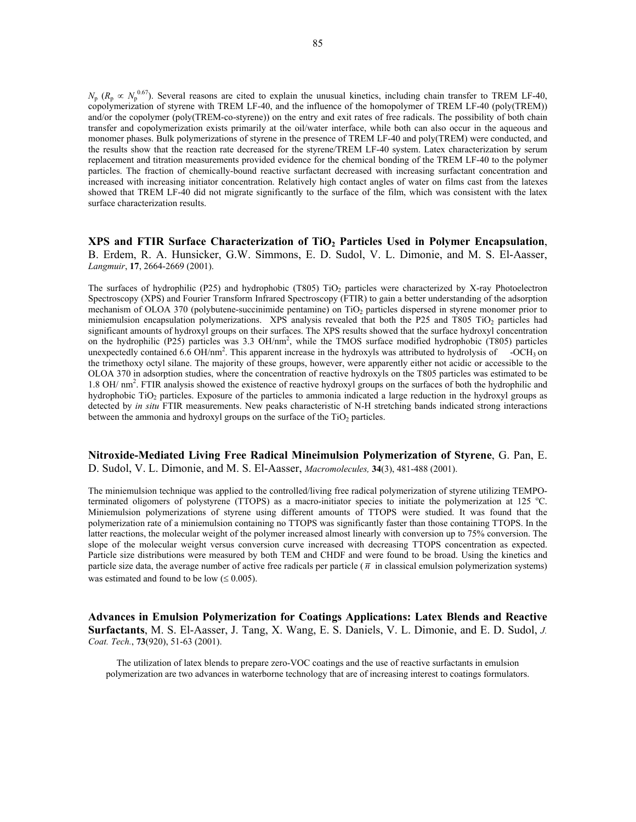$N_p$  ( $R_p \propto N_p^{0.67}$ ). Several reasons are cited to explain the unusual kinetics, including chain transfer to TREM LF-40, copolymerization of styrene with TREM LF-40, and the influence of the homopolymer of TREM LF-40 (poly(TREM)) and/or the copolymer (poly(TREM-co-styrene)) on the entry and exit rates of free radicals. The possibility of both chain transfer and copolymerization exists primarily at the oil/water interface, while both can also occur in the aqueous and monomer phases. Bulk polymerizations of styrene in the presence of TREM LF-40 and poly(TREM) were conducted, and the results show that the reaction rate decreased for the styrene/TREM LF-40 system. Latex characterization by serum replacement and titration measurements provided evidence for the chemical bonding of the TREM LF-40 to the polymer particles. The fraction of chemically-bound reactive surfactant decreased with increasing surfactant concentration and increased with increasing initiator concentration. Relatively high contact angles of water on films cast from the latexes showed that TREM LF-40 did not migrate significantly to the surface of the film, which was consistent with the latex surface characterization results.

**XPS and FTIR Surface Characterization of TiO2 Particles Used in Polymer Encapsulation**, B. Erdem, R. A. Hunsicker, G.W. Simmons, E. D. Sudol, V. L. Dimonie, and M. S. El-Aasser, *Langmuir*, **17**, 2664-2669 (2001).

The surfaces of hydrophilic (P25) and hydrophobic (T805) TiO<sub>2</sub> particles were characterized by X-ray Photoelectron Spectroscopy (XPS) and Fourier Transform Infrared Spectroscopy (FTIR) to gain a better understanding of the adsorption mechanism of OLOA 370 (polybutene-succinimide pentamine) on  $TiO<sub>2</sub>$  particles dispersed in styrene monomer prior to miniemulsion encapsulation polymerizations. XPS analysis revealed that both the P25 and T805 TiO<sub>2</sub> particles had significant amounts of hydroxyl groups on their surfaces. The XPS results showed that the surface hydroxyl concentration on the hydrophilic (P25) particles was  $3.3 \text{ OH/nm}^2$ , while the TMOS surface modified hydrophobic (T805) particles unexpectedly contained  $6.6$  OH/nm<sup>2</sup>. This apparent increase in the hydroxyls was attributed to hydrolysis of  $-OCH_3$  on the trimethoxy octyl silane. The majority of these groups, however, were apparently either not acidic or accessible to the OLOA 370 in adsorption studies, where the concentration of reactive hydroxyls on the T805 particles was estimated to be 1.8 OH/ nm<sup>2</sup>. FTIR analysis showed the existence of reactive hydroxyl groups on the surfaces of both the hydrophilic and hydrophobic TiO<sub>2</sub> particles. Exposure of the particles to ammonia indicated a large reduction in the hydroxyl groups as detected by *in situ* FTIR measurements. New peaks characteristic of N-H stretching bands indicated strong interactions between the ammonia and hydroxyl groups on the surface of the  $TiO<sub>2</sub>$  particles.

**Nitroxide-Mediated Living Free Radical Mineimulsion Polymerization of Styrene**, G. Pan, E. D. Sudol, V. L. Dimonie, and M. S. El-Aasser, *Macromolecules,* **34**(3), 481-488 (2001).

The miniemulsion technique was applied to the controlled/living free radical polymerization of styrene utilizing TEMPOterminated oligomers of polystyrene (TTOPS) as a macro-initiator species to initiate the polymerization at 125 °C. Miniemulsion polymerizations of styrene using different amounts of TTOPS were studied. It was found that the polymerization rate of a miniemulsion containing no TTOPS was significantly faster than those containing TTOPS. In the latter reactions, the molecular weight of the polymer increased almost linearly with conversion up to 75% conversion. The slope of the molecular weight versus conversion curve increased with decreasing TTOPS concentration as expected. Particle size distributions were measured by both TEM and CHDF and were found to be broad. Using the kinetics and particle size data, the average number of active free radicals per particle ( $\bar{n}$  in classical emulsion polymerization systems) was estimated and found to be low  $(\leq 0.005)$ .

**Advances in Emulsion Polymerization for Coatings Applications: Latex Blends and Reactive Surfactants**, M. S. El-Aasser, J. Tang, X. Wang, E. S. Daniels, V. L. Dimonie, and E. D. Sudol, *J. Coat. Tech.*, **73**(920), 51-63 (2001).

The utilization of latex blends to prepare zero-VOC coatings and the use of reactive surfactants in emulsion polymerization are two advances in waterborne technology that are of increasing interest to coatings formulators.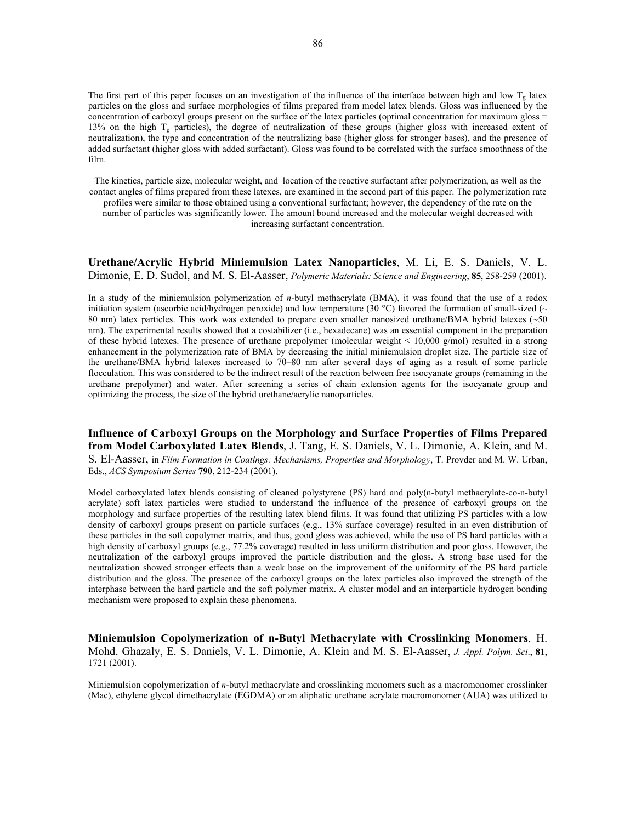The first part of this paper focuses on an investigation of the influence of the interface between high and low  $T_g$  latex particles on the gloss and surface morphologies of films prepared from model latex blends. Gloss was influenced by the concentration of carboxyl groups present on the surface of the latex particles (optimal concentration for maximum gloss = 13% on the high  $T_g$  particles), the degree of neutralization of these groups (higher gloss with increased extent of neutralization), the type and concentration of the neutralizing base (higher gloss for stronger bases), and the presence of added surfactant (higher gloss with added surfactant). Gloss was found to be correlated with the surface smoothness of the film.

The kinetics, particle size, molecular weight, and location of the reactive surfactant after polymerization, as well as the contact angles of films prepared from these latexes, are examined in the second part of this paper. The polymerization rate profiles were similar to those obtained using a conventional surfactant; however, the dependency of the rate on the number of particles was significantly lower. The amount bound increased and the molecular weight decreased with increasing surfactant concentration.

**Urethane/Acrylic Hybrid Miniemulsion Latex Nanoparticles**, M. Li, E. S. Daniels, V. L. Dimonie, E. D. Sudol, and M. S. El-Aasser, *Polymeric Materials: Science and Engineering*, **85**, 258-259 (2001).

In a study of the miniemulsion polymerization of *n*-butyl methacrylate (BMA), it was found that the use of a redox initiation system (ascorbic acid/hydrogen peroxide) and low temperature (30 °C) favored the formation of small-sized ( $\sim$ 80 nm) latex particles. This work was extended to prepare even smaller nanosized urethane/BMA hybrid latexes (~50 nm). The experimental results showed that a costabilizer (i.e., hexadecane) was an essential component in the preparation of these hybrid latexes. The presence of urethane prepolymer (molecular weight < 10,000 g/mol) resulted in a strong enhancement in the polymerization rate of BMA by decreasing the initial miniemulsion droplet size. The particle size of the urethane/BMA hybrid latexes increased to 70–80 nm after several days of aging as a result of some particle flocculation. This was considered to be the indirect result of the reaction between free isocyanate groups (remaining in the urethane prepolymer) and water. After screening a series of chain extension agents for the isocyanate group and optimizing the process, the size of the hybrid urethane/acrylic nanoparticles.

**Influence of Carboxyl Groups on the Morphology and Surface Properties of Films Prepared from Model Carboxylated Latex Blends**, J. Tang, E. S. Daniels, V. L. Dimonie, A. Klein, and M. S. El-Aasser, in *Film Formation in Coatings: Mechanisms, Properties and Morphology*, T. Provder and M. W. Urban, Eds., *ACS Symposium Series* **790**, 212-234 (2001).

Model carboxylated latex blends consisting of cleaned polystyrene (PS) hard and poly(n-butyl methacrylate-co-n-butyl acrylate) soft latex particles were studied to understand the influence of the presence of carboxyl groups on the morphology and surface properties of the resulting latex blend films. It was found that utilizing PS particles with a low density of carboxyl groups present on particle surfaces (e.g., 13% surface coverage) resulted in an even distribution of these particles in the soft copolymer matrix, and thus, good gloss was achieved, while the use of PS hard particles with a high density of carboxyl groups (e.g., 77.2% coverage) resulted in less uniform distribution and poor gloss. However, the neutralization of the carboxyl groups improved the particle distribution and the gloss. A strong base used for the neutralization showed stronger effects than a weak base on the improvement of the uniformity of the PS hard particle distribution and the gloss. The presence of the carboxyl groups on the latex particles also improved the strength of the interphase between the hard particle and the soft polymer matrix. A cluster model and an interparticle hydrogen bonding mechanism were proposed to explain these phenomena.

**Miniemulsion Copolymerization of n-Butyl Methacrylate with Crosslinking Monomers**, H. Mohd. Ghazaly, E. S. Daniels, V. L. Dimonie, A. Klein and M. S. El-Aasser, *J. Appl. Polym. Sci*., **81**, 1721 (2001).

Miniemulsion copolymerization of *n*-butyl methacrylate and crosslinking monomers such as a macromonomer crosslinker (Mac), ethylene glycol dimethacrylate (EGDMA) or an aliphatic urethane acrylate macromonomer (AUA) was utilized to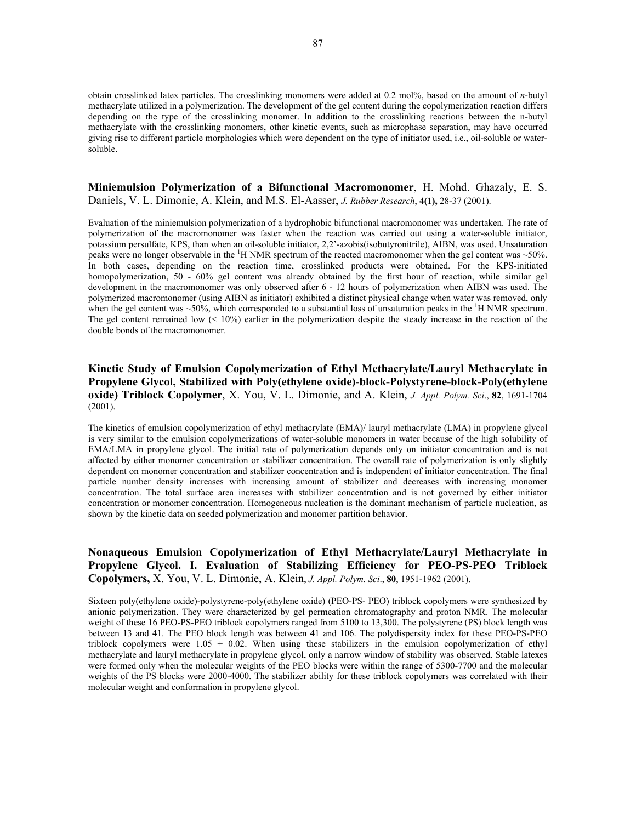obtain crosslinked latex particles. The crosslinking monomers were added at 0.2 mol%, based on the amount of *n*-butyl methacrylate utilized in a polymerization. The development of the gel content during the copolymerization reaction differs depending on the type of the crosslinking monomer. In addition to the crosslinking reactions between the n-butyl methacrylate with the crosslinking monomers, other kinetic events, such as microphase separation, may have occurred giving rise to different particle morphologies which were dependent on the type of initiator used, i.e., oil-soluble or watersoluble.

**Miniemulsion Polymerization of a Bifunctional Macromonomer**, H. Mohd. Ghazaly, E. S. Daniels, V. L. Dimonie, A. Klein, and M.S. El-Aasser, *J. Rubber Research*, **4(1),** 28-37 (2001).

Evaluation of the miniemulsion polymerization of a hydrophobic bifunctional macromonomer was undertaken. The rate of polymerization of the macromonomer was faster when the reaction was carried out using a water-soluble initiator, potassium persulfate, KPS, than when an oil-soluble initiator, 2,2'-azobis(isobutyronitrile), AIBN, was used. Unsaturation peaks were no longer observable in the  ${}^{1}H$  NMR spectrum of the reacted macromonomer when the gel content was  $\sim$ 50%. In both cases, depending on the reaction time, crosslinked products were obtained. For the KPS-initiated homopolymerization, 50 - 60% gel content was already obtained by the first hour of reaction, while similar gel development in the macromonomer was only observed after 6 - 12 hours of polymerization when AIBN was used. The polymerized macromonomer (using AIBN as initiator) exhibited a distinct physical change when water was removed, only when the gel content was  $\sim$ 50%, which corresponded to a substantial loss of unsaturation peaks in the  ${}^{1}H$  NMR spectrum. The gel content remained low  $(< 10\%)$  earlier in the polymerization despite the steady increase in the reaction of the double bonds of the macromonomer.

# **Kinetic Study of Emulsion Copolymerization of Ethyl Methacrylate/Lauryl Methacrylate in Propylene Glycol, Stabilized with Poly(ethylene oxide)-block-Polystyrene-block-Poly(ethylene oxide) Triblock Copolymer**, X. You, V. L. Dimonie, and A. Klein, *J. Appl. Polym. Sci*., **82**, 1691-1704 (2001).

The kinetics of emulsion copolymerization of ethyl methacrylate (EMA)/ lauryl methacrylate (LMA) in propylene glycol is very similar to the emulsion copolymerizations of water-soluble monomers in water because of the high solubility of EMA/LMA in propylene glycol. The initial rate of polymerization depends only on initiator concentration and is not affected by either monomer concentration or stabilizer concentration. The overall rate of polymerization is only slightly dependent on monomer concentration and stabilizer concentration and is independent of initiator concentration. The final particle number density increases with increasing amount of stabilizer and decreases with increasing monomer concentration. The total surface area increases with stabilizer concentration and is not governed by either initiator concentration or monomer concentration. Homogeneous nucleation is the dominant mechanism of particle nucleation, as shown by the kinetic data on seeded polymerization and monomer partition behavior.

# **Nonaqueous Emulsion Copolymerization of Ethyl Methacrylate/Lauryl Methacrylate in Propylene Glycol. I. Evaluation of Stabilizing Efficiency for PEO-PS-PEO Triblock Copolymers,** X. You, V. L. Dimonie, A. Klein, *J. Appl. Polym. Sci*., **80**, 1951-1962 (2001).

Sixteen poly(ethylene oxide)-polystyrene-poly(ethylene oxide) (PEO-PS- PEO) triblock copolymers were synthesized by anionic polymerization. They were characterized by gel permeation chromatography and proton NMR. The molecular weight of these 16 PEO-PS-PEO triblock copolymers ranged from 5100 to 13,300. The polystyrene (PS) block length was between 13 and 41. The PEO block length was between 41 and 106. The polydispersity index for these PEO-PS-PEO triblock copolymers were  $1.05 \pm 0.02$ . When using these stabilizers in the emulsion copolymerization of ethyl methacrylate and lauryl methacrylate in propylene glycol, only a narrow window of stability was observed. Stable latexes were formed only when the molecular weights of the PEO blocks were within the range of 5300-7700 and the molecular weights of the PS blocks were 2000-4000. The stabilizer ability for these triblock copolymers was correlated with their molecular weight and conformation in propylene glycol.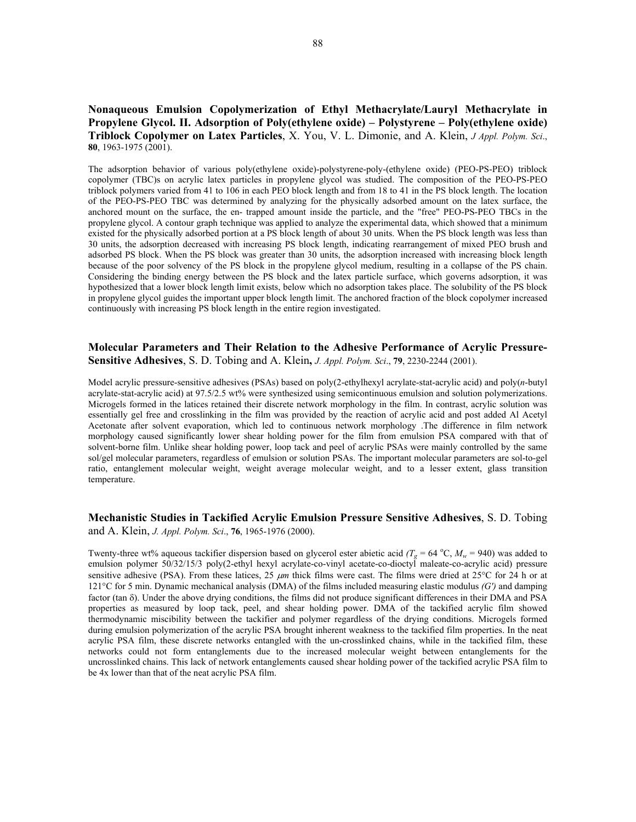## **Nonaqueous Emulsion Copolymerization of Ethyl Methacrylate/Lauryl Methacrylate in Propylene Glycol. II. Adsorption of Poly(ethylene oxide) – Polystyrene – Poly(ethylene oxide) Triblock Copolymer on Latex Particles**, X. You, V. L. Dimonie, and A. Klein, *J Appl. Polym. Sci*., **80**, 1963-1975 (2001).

The adsorption behavior of various poly(ethylene oxide)-polystyrene-poly-(ethylene oxide) (PEO-PS-PEO) triblock copolymer (TBC)s on acrylic latex particles in propylene glycol was studied. The composition of the PEO-PS-PEO triblock polymers varied from 41 to 106 in each PEO block length and from 18 to 41 in the PS block length. The location of the PEO-PS-PEO TBC was determined by analyzing for the physically adsorbed amount on the latex surface, the anchored mount on the surface, the en- trapped amount inside the particle, and the "free" PEO-PS-PEO TBCs in the propylene glycol. A contour graph technique was applied to analyze the experimental data, which showed that a minimum existed for the physically adsorbed portion at a PS block length of about 30 units. When the PS block length was less than 30 units, the adsorption decreased with increasing PS block length, indicating rearrangement of mixed PEO brush and adsorbed PS block. When the PS block was greater than 30 units, the adsorption increased with increasing block length because of the poor solvency of the PS block in the propylene glycol medium, resulting in a collapse of the PS chain. Considering the binding energy between the PS block and the latex particle surface, which governs adsorption, it was hypothesized that a lower block length limit exists, below which no adsorption takes place. The solubility of the PS block in propylene glycol guides the important upper block length limit. The anchored fraction of the block copolymer increased continuously with increasing PS block length in the entire region investigated.

## **Molecular Parameters and Their Relation to the Adhesive Performance of Acrylic Pressure-Sensitive Adhesives**, S. D. Tobing and A. Klein**,** *J. Appl. Polym. Sci*., **79**, 2230-2244 (2001).

Model acrylic pressure-sensitive adhesives (PSAs) based on poly(2-ethylhexyl acrylate-stat-acrylic acid) and poly(*n*-butyl acrylate-stat-acrylic acid) at 97.5/2.5 wt% were synthesized using semicontinuous emulsion and solution polymerizations. Microgels formed in the latices retained their discrete network morphology in the film. In contrast, acrylic solution was essentially gel free and crosslinking in the film was provided by the reaction of acrylic acid and post added Al Acetyl Acetonate after solvent evaporation, which led to continuous network morphology .The difference in film network morphology caused significantly lower shear holding power for the film from emulsion PSA compared with that of solvent-borne film. Unlike shear holding power, loop tack and peel of acrylic PSAs were mainly controlled by the same sol/gel molecular parameters, regardless of emulsion or solution PSAs. The important molecular parameters are sol-to-gel ratio, entanglement molecular weight, weight average molecular weight, and to a lesser extent, glass transition temperature.

# **Mechanistic Studies in Tackified Acrylic Emulsion Pressure Sensitive Adhesives**, S. D. Tobing

and A. Klein, *J. Appl. Polym. Sci*., **76**, 1965-1976 (2000).

Twenty-three wt% aqueous tackifier dispersion based on glycerol ester abietic acid  $(T_g = 64 \degree \text{C}, M_w = 940)$  was added to emulsion polymer 50/32/15/3 poly(2-ethyl hexyl acrylate-co-vinyl acetate-co-dioctyl maleate-co-acrylic acid) pressure sensitive adhesive (PSA). From these latices, 25  $\mu$ m thick films were cast. The films were dried at 25°C for 24 h or at 121°C for 5 min. Dynamic mechanical analysis (DMA) of the films included measuring elastic modulus *(G')* and damping factor (tan δ). Under the above drying conditions, the films did not produce significant differences in their DMA and PSA properties as measured by loop tack, peel, and shear holding power. DMA of the tackified acrylic film showed thermodynamic miscibility between the tackifier and polymer regardless of the drying conditions. Microgels formed during emulsion polymerization of the acrylic PSA brought inherent weakness to the tackified film properties. In the neat acrylic PSA film, these discrete networks entangled with the un-crosslinked chains, while in the tackified film, these networks could not form entanglements due to the increased molecular weight between entanglements for the uncrosslinked chains. This lack of network entanglements caused shear holding power of the tackified acrylic PSA film to be 4x lower than that of the neat acrylic PSA film.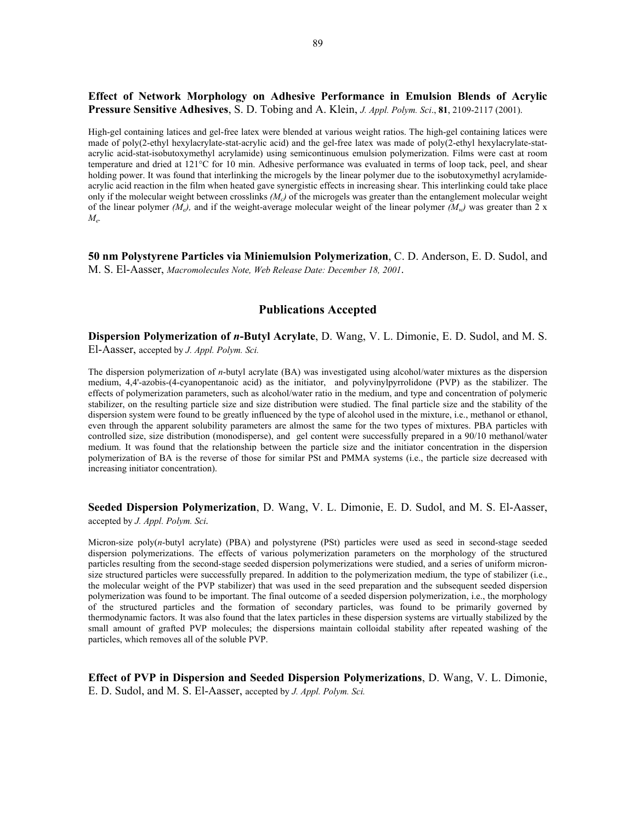**Effect of Network Morphology on Adhesive Performance in Emulsion Blends of Acrylic Pressure Sensitive Adhesives**, S. D. Tobing and A. Klein, *J. Appl. Polym. Sci*., **81**, 2109-2117 (2001).

High-gel containing latices and gel-free latex were blended at various weight ratios. The high-gel containing latices were made of poly(2-ethyl hexylacrylate-stat*-*acrylic acid) and the gel-free latex was made of poly(2-ethyl hexylacrylate-statacrylic acid-stat-isobutoxymethyl acrylamide) using semicontinuous emulsion polymerization. Films were cast at room temperature and dried at 121°C for 10 min. Adhesive performance was evaluated in terms of loop tack, peel, and shear holding power. It was found that interlinking the microgels by the linear polymer due to the isobutoxymethyl acrylamideacrylic acid reaction in the film when heated gave synergistic effects in increasing shear. This interlinking could take place only if the molecular weight between crosslinks *(Mc)* of the microgels was greater than the entanglement molecular weight of the linear polymer *(M<sub>e</sub>)*, and if the weight-average molecular weight of the linear polymer *(M<sub>w</sub>)* was greater than 2 x  $M_e$ .

**50 nm Polystyrene Particles via Miniemulsion Polymerization**, C. D. Anderson, E. D. Sudol, and M. S. El-Aasser, *Macromolecules Note, Web Release Date: December 18, 2001*.

#### **Publications Accepted**

**Dispersion Polymerization of** *n***-Butyl Acrylate**, D. Wang, V. L. Dimonie, E. D. Sudol, and M. S. El-Aasser, accepted by *J. Appl. Polym. Sci.*

The dispersion polymerization of *n*-butyl acrylate (BA) was investigated using alcohol/water mixtures as the dispersion medium, 4,4'-azobis-(4-cyanopentanoic acid) as the initiator, and polyvinylpyrrolidone (PVP) as the stabilizer. The effects of polymerization parameters, such as alcohol/water ratio in the medium, and type and concentration of polymeric stabilizer, on the resulting particle size and size distribution were studied. The final particle size and the stability of the dispersion system were found to be greatly influenced by the type of alcohol used in the mixture, i.e., methanol or ethanol, even through the apparent solubility parameters are almost the same for the two types of mixtures. PBA particles with controlled size, size distribution (monodisperse), and gel content were successfully prepared in a 90/10 methanol/water medium. It was found that the relationship between the particle size and the initiator concentration in the dispersion polymerization of BA is the reverse of those for similar PSt and PMMA systems (i.e., the particle size decreased with increasing initiator concentration).

#### **Seeded Dispersion Polymerization**, D. Wang, V. L. Dimonie, E. D. Sudol, and M. S. El-Aasser, accepted by *J. Appl. Polym. Sci.*

Micron-size poly(*n*-butyl acrylate) (PBA) and polystyrene (PSt) particles were used as seed in second-stage seeded dispersion polymerizations. The effects of various polymerization parameters on the morphology of the structured particles resulting from the second-stage seeded dispersion polymerizations were studied, and a series of uniform micronsize structured particles were successfully prepared. In addition to the polymerization medium, the type of stabilizer (i.e., the molecular weight of the PVP stabilizer) that was used in the seed preparation and the subsequent seeded dispersion polymerization was found to be important. The final outcome of a seeded dispersion polymerization, i.e., the morphology of the structured particles and the formation of secondary particles, was found to be primarily governed by thermodynamic factors. It was also found that the latex particles in these dispersion systems are virtually stabilized by the small amount of grafted PVP molecules; the dispersions maintain colloidal stability after repeated washing of the particles, which removes all of the soluble PVP.

**Effect of PVP in Dispersion and Seeded Dispersion Polymerizations**, D. Wang, V. L. Dimonie, E. D. Sudol, and M. S. El-Aasser, accepted by *J. Appl. Polym. Sci.*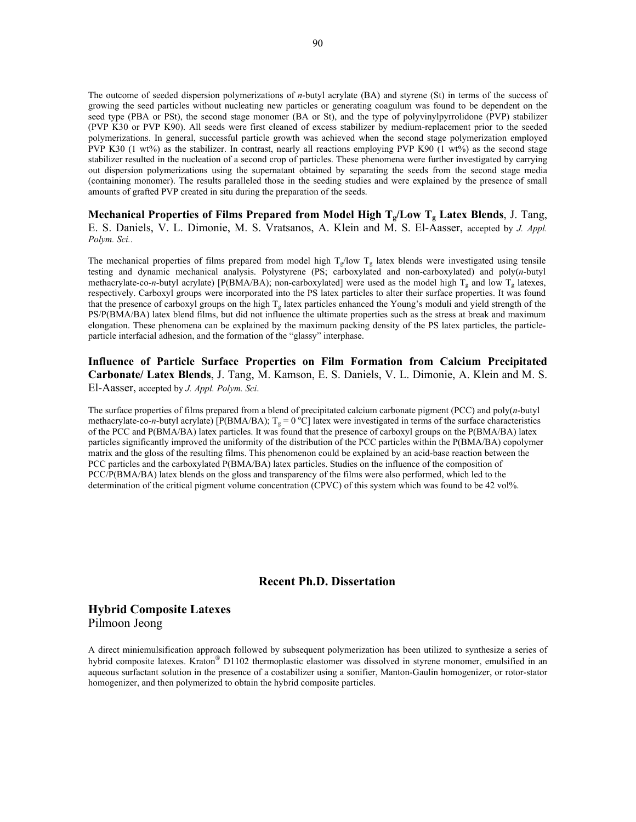The outcome of seeded dispersion polymerizations of *n*-butyl acrylate (BA) and styrene (St) in terms of the success of growing the seed particles without nucleating new particles or generating coagulum was found to be dependent on the seed type (PBA or PSt), the second stage monomer (BA or St), and the type of polyvinylpyrrolidone (PVP) stabilizer (PVP K30 or PVP K90). All seeds were first cleaned of excess stabilizer by medium-replacement prior to the seeded polymerizations. In general, successful particle growth was achieved when the second stage polymerization employed PVP K30 (1 wt%) as the stabilizer. In contrast, nearly all reactions employing PVP K90 (1 wt%) as the second stage stabilizer resulted in the nucleation of a second crop of particles. These phenomena were further investigated by carrying out dispersion polymerizations using the supernatant obtained by separating the seeds from the second stage media (containing monomer). The results paralleled those in the seeding studies and were explained by the presence of small amounts of grafted PVP created in situ during the preparation of the seeds.

**Mechanical Properties of Films Prepared from Model High Tg/Low Tg Latex Blends**, J. Tang, E. S. Daniels, V. L. Dimonie, M. S. Vratsanos, A. Klein and M. S. El-Aasser, accepted by *J. Appl. Polym. Sci.*.

The mechanical properties of films prepared from model high  $T_g$ /low  $T_g$  latex blends were investigated using tensile testing and dynamic mechanical analysis. Polystyrene (PS; carboxylated and non-carboxylated) and poly(*n*-butyl methacrylate-co-*n*-butyl acrylate) [P(BMA/BA); non-carboxylated] were used as the model high  $T_g$  and low  $T_g$  latexes, respectively. Carboxyl groups were incorporated into the PS latex particles to alter their surface properties. It was found that the presence of carboxyl groups on the high  $T_g$  latex particles enhanced the Young's moduli and yield strength of the PS/P(BMA/BA) latex blend films, but did not influence the ultimate properties such as the stress at break and maximum elongation. These phenomena can be explained by the maximum packing density of the PS latex particles, the particleparticle interfacial adhesion, and the formation of the "glassy" interphase.

**Influence of Particle Surface Properties on Film Formation from Calcium Precipitated Carbonate/ Latex Blends**, J. Tang, M. Kamson, E. S. Daniels, V. L. Dimonie, A. Klein and M. S. El-Aasser, accepted by *J. Appl. Polym. Sci*.

The surface properties of films prepared from a blend of precipitated calcium carbonate pigment (PCC) and poly(*n*-butyl methacrylate-co-*n*-butyl acrylate) [P(BMA/BA);  $T_g = 0$  °C] latex were investigated in terms of the surface characteristics of the PCC and P(BMA/BA) latex particles. It was found that the presence of carboxyl groups on the P(BMA/BA) latex particles significantly improved the uniformity of the distribution of the PCC particles within the P(BMA/BA) copolymer matrix and the gloss of the resulting films. This phenomenon could be explained by an acid-base reaction between the PCC particles and the carboxylated P(BMA/BA) latex particles. Studies on the influence of the composition of PCC/P(BMA/BA) latex blends on the gloss and transparency of the films were also performed, which led to the determination of the critical pigment volume concentration (CPVC) of this system which was found to be 42 vol%.

#### **Recent Ph.D. Dissertation**

## **Hybrid Composite Latexes** Pilmoon Jeong

A direct miniemulsification approach followed by subsequent polymerization has been utilized to synthesize a series of hybrid composite latexes. Kraton® D1102 thermoplastic elastomer was dissolved in styrene monomer, emulsified in an aqueous surfactant solution in the presence of a costabilizer using a sonifier, Manton-Gaulin homogenizer, or rotor-stator homogenizer, and then polymerized to obtain the hybrid composite particles.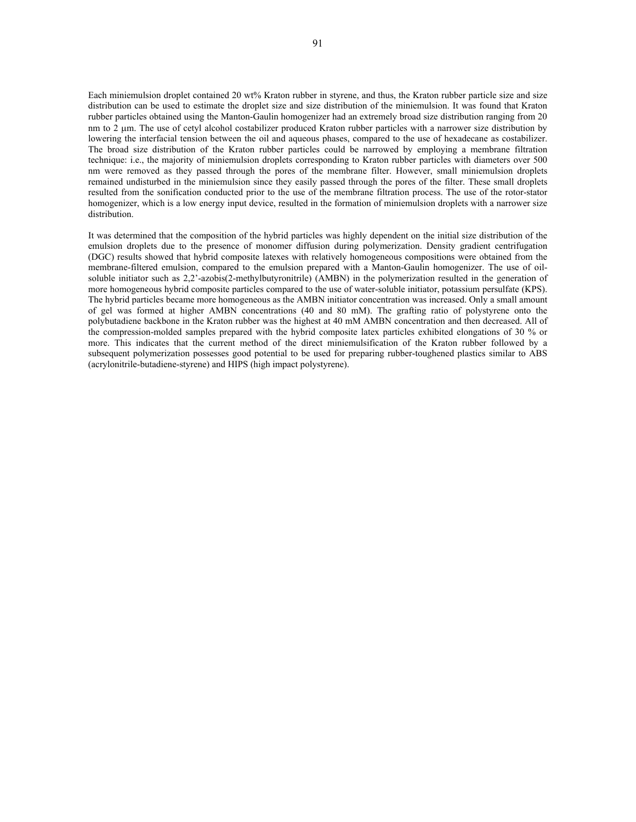Each miniemulsion droplet contained 20 wt% Kraton rubber in styrene, and thus, the Kraton rubber particle size and size distribution can be used to estimate the droplet size and size distribution of the miniemulsion. It was found that Kraton rubber particles obtained using the Manton-Gaulin homogenizer had an extremely broad size distribution ranging from 20 nm to 2 µm. The use of cetyl alcohol costabilizer produced Kraton rubber particles with a narrower size distribution by lowering the interfacial tension between the oil and aqueous phases, compared to the use of hexadecane as costabilizer. The broad size distribution of the Kraton rubber particles could be narrowed by employing a membrane filtration technique: i.e., the majority of miniemulsion droplets corresponding to Kraton rubber particles with diameters over 500 nm were removed as they passed through the pores of the membrane filter. However, small miniemulsion droplets remained undisturbed in the miniemulsion since they easily passed through the pores of the filter. These small droplets resulted from the sonification conducted prior to the use of the membrane filtration process. The use of the rotor-stator homogenizer, which is a low energy input device, resulted in the formation of miniemulsion droplets with a narrower size distribution.

It was determined that the composition of the hybrid particles was highly dependent on the initial size distribution of the emulsion droplets due to the presence of monomer diffusion during polymerization. Density gradient centrifugation (DGC) results showed that hybrid composite latexes with relatively homogeneous compositions were obtained from the membrane-filtered emulsion, compared to the emulsion prepared with a Manton-Gaulin homogenizer. The use of oilsoluble initiator such as 2,2'-azobis(2-methylbutyronitrile) (AMBN) in the polymerization resulted in the generation of more homogeneous hybrid composite particles compared to the use of water-soluble initiator, potassium persulfate (KPS). The hybrid particles became more homogeneous as the AMBN initiator concentration was increased. Only a small amount of gel was formed at higher AMBN concentrations (40 and 80 mM). The grafting ratio of polystyrene onto the polybutadiene backbone in the Kraton rubber was the highest at 40 mM AMBN concentration and then decreased. All of the compression-molded samples prepared with the hybrid composite latex particles exhibited elongations of 30 % or more. This indicates that the current method of the direct miniemulsification of the Kraton rubber followed by a subsequent polymerization possesses good potential to be used for preparing rubber-toughened plastics similar to ABS (acrylonitrile-butadiene-styrene) and HIPS (high impact polystyrene).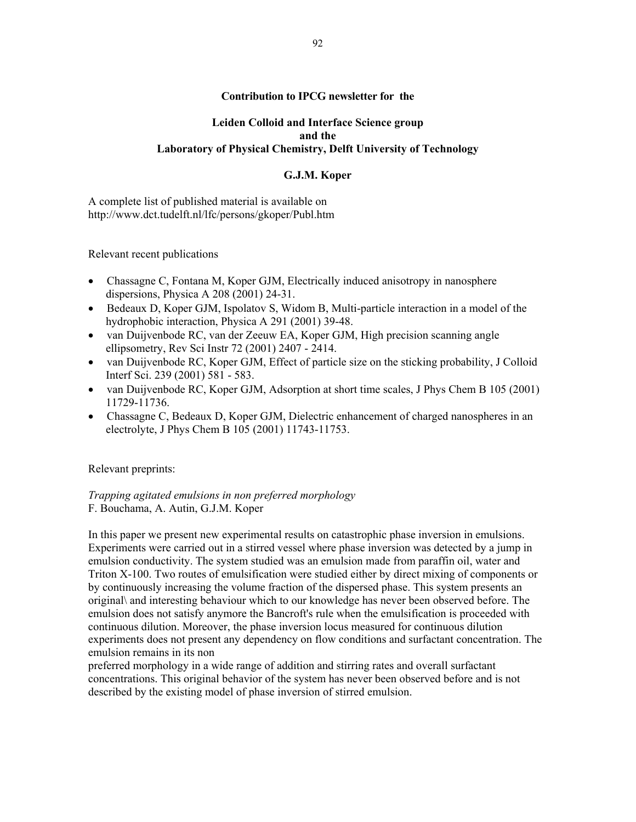# **Contribution to IPCG newsletter for the**

# **Leiden Colloid and Interface Science group and the Laboratory of Physical Chemistry, Delft University of Technology**

# **G.J.M. Koper**

A complete list of published material is available on http://www.dct.tudelft.nl/lfc/persons/gkoper/Publ.htm

Relevant recent publications

- Chassagne C, Fontana M, Koper GJM, Electrically induced anisotropy in nanosphere dispersions, Physica A 208 (2001) 24-31.
- Bedeaux D, Koper GJM, Ispolatov S, Widom B, Multi-particle interaction in a model of the hydrophobic interaction, Physica A 291 (2001) 39-48.
- van Duijvenbode RC, van der Zeeuw EA, Koper GJM, High precision scanning angle ellipsometry, Rev Sci Instr 72 (2001) 2407 - 2414.
- van Duijvenbode RC, Koper GJM, Effect of particle size on the sticking probability, J Colloid Interf Sci. 239 (2001) 581 - 583.
- van Duijvenbode RC, Koper GJM, Adsorption at short time scales, J Phys Chem B 105 (2001) 11729-11736.
- Chassagne C, Bedeaux D, Koper GJM, Dielectric enhancement of charged nanospheres in an electrolyte, J Phys Chem B 105 (2001) 11743-11753.

Relevant preprints:

*Trapping agitated emulsions in non preferred morphology*  F. Bouchama, A. Autin, G.J.M. Koper

In this paper we present new experimental results on catastrophic phase inversion in emulsions. Experiments were carried out in a stirred vessel where phase inversion was detected by a jump in emulsion conductivity. The system studied was an emulsion made from paraffin oil, water and Triton X-100. Two routes of emulsification were studied either by direct mixing of components or by continuously increasing the volume fraction of the dispersed phase. This system presents an original\ and interesting behaviour which to our knowledge has never been observed before. The emulsion does not satisfy anymore the Bancroft's rule when the emulsification is proceeded with continuous dilution. Moreover, the phase inversion locus measured for continuous dilution experiments does not present any dependency on flow conditions and surfactant concentration. The emulsion remains in its non

preferred morphology in a wide range of addition and stirring rates and overall surfactant concentrations. This original behavior of the system has never been observed before and is not described by the existing model of phase inversion of stirred emulsion.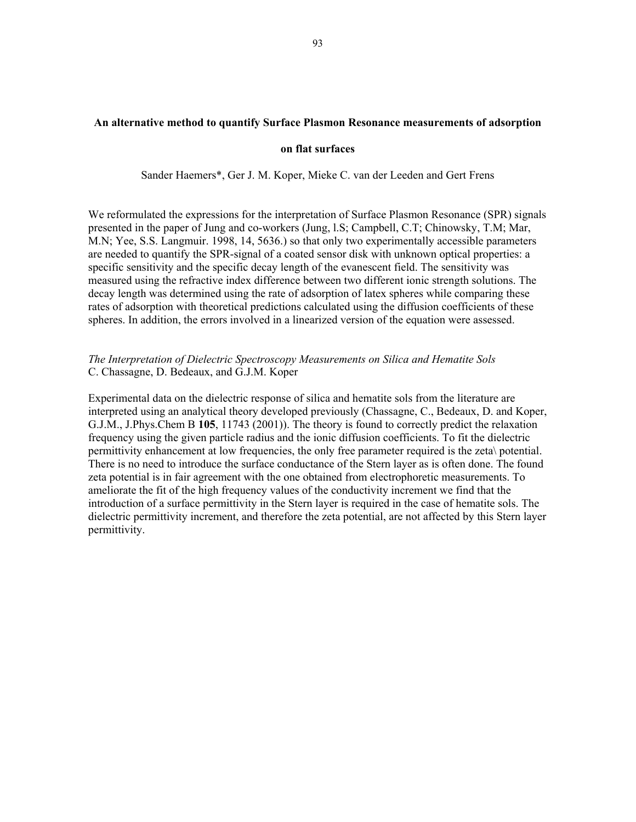# **An alternative method to quantify Surface Plasmon Resonance measurements of adsorption**

# **on flat surfaces**

Sander Haemers\*, Ger J. M. Koper, Mieke C. van der Leeden and Gert Frens

We reformulated the expressions for the interpretation of Surface Plasmon Resonance (SPR) signals presented in the paper of Jung and co-workers (Jung, l.S; Campbell, C.T; Chinowsky, T.M; Mar, M.N; Yee, S.S. Langmuir. 1998, 14, 5636.) so that only two experimentally accessible parameters are needed to quantify the SPR-signal of a coated sensor disk with unknown optical properties: a specific sensitivity and the specific decay length of the evanescent field. The sensitivity was measured using the refractive index difference between two different ionic strength solutions. The decay length was determined using the rate of adsorption of latex spheres while comparing these rates of adsorption with theoretical predictions calculated using the diffusion coefficients of these spheres. In addition, the errors involved in a linearized version of the equation were assessed.

# *The Interpretation of Dielectric Spectroscopy Measurements on Silica and Hematite Sols*  C. Chassagne, D. Bedeaux, and G.J.M. Koper

Experimental data on the dielectric response of silica and hematite sols from the literature are interpreted using an analytical theory developed previously (Chassagne, C., Bedeaux, D. and Koper, G.J.M., J.Phys.Chem B **105**, 11743 (2001)). The theory is found to correctly predict the relaxation frequency using the given particle radius and the ionic diffusion coefficients. To fit the dielectric permittivity enhancement at low frequencies, the only free parameter required is the zeta\ potential. There is no need to introduce the surface conductance of the Stern layer as is often done. The found zeta potential is in fair agreement with the one obtained from electrophoretic measurements. To ameliorate the fit of the high frequency values of the conductivity increment we find that the introduction of a surface permittivity in the Stern layer is required in the case of hematite sols. The dielectric permittivity increment, and therefore the zeta potential, are not affected by this Stern layer permittivity.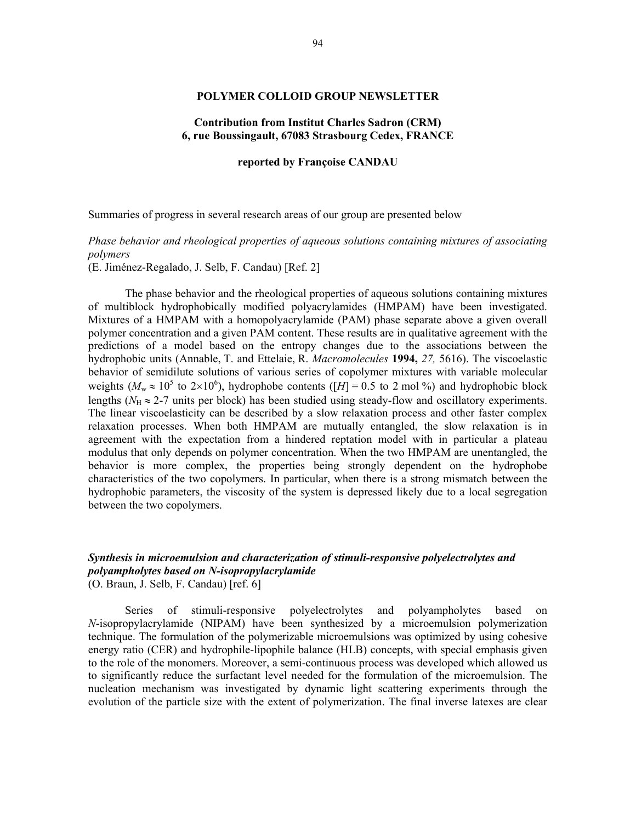# **POLYMER COLLOID GROUP NEWSLETTER**

## **Contribution from Institut Charles Sadron (CRM) 6, rue Boussingault, 67083 Strasbourg Cedex, FRANCE**

#### **reported by Françoise CANDAU**

Summaries of progress in several research areas of our group are presented below

*Phase behavior and rheological properties of aqueous solutions containing mixtures of associating polymers* 

(E. Jiménez-Regalado, J. Selb, F. Candau) [Ref. 2]

The phase behavior and the rheological properties of aqueous solutions containing mixtures of multiblock hydrophobically modified polyacrylamides (HMPAM) have been investigated. Mixtures of a HMPAM with a homopolyacrylamide (PAM) phase separate above a given overall polymer concentration and a given PAM content. These results are in qualitative agreement with the predictions of a model based on the entropy changes due to the associations between the hydrophobic units (Annable, T. and Ettelaie, R. *Macromolecules* **1994,** *27,* 5616). The viscoelastic behavior of semidilute solutions of various series of copolymer mixtures with variable molecular weights ( $M_w \approx 10^5$  to 2×10<sup>6</sup>), hydrophobe contents ([H] = 0.5 to 2 mol %) and hydrophobic block lengths ( $N_H \approx 2$ -7 units per block) has been studied using steady-flow and oscillatory experiments. The linear viscoelasticity can be described by a slow relaxation process and other faster complex relaxation processes. When both HMPAM are mutually entangled, the slow relaxation is in agreement with the expectation from a hindered reptation model with in particular a plateau modulus that only depends on polymer concentration. When the two HMPAM are unentangled, the behavior is more complex, the properties being strongly dependent on the hydrophobe characteristics of the two copolymers. In particular, when there is a strong mismatch between the hydrophobic parameters, the viscosity of the system is depressed likely due to a local segregation between the two copolymers.

## *Synthesis in microemulsion and characterization of stimuli-responsive polyelectrolytes and polyampholytes based on N-isopropylacrylamide*  (O. Braun, J. Selb, F. Candau) [ref. 6]

Series of stimuli-responsive polyelectrolytes and polyampholytes based on *N*-isopropylacrylamide (NIPAM) have been synthesized by a microemulsion polymerization technique. The formulation of the polymerizable microemulsions was optimized by using cohesive energy ratio (CER) and hydrophile-lipophile balance (HLB) concepts, with special emphasis given to the role of the monomers. Moreover, a semi-continuous process was developed which allowed us to significantly reduce the surfactant level needed for the formulation of the microemulsion. The nucleation mechanism was investigated by dynamic light scattering experiments through the evolution of the particle size with the extent of polymerization. The final inverse latexes are clear